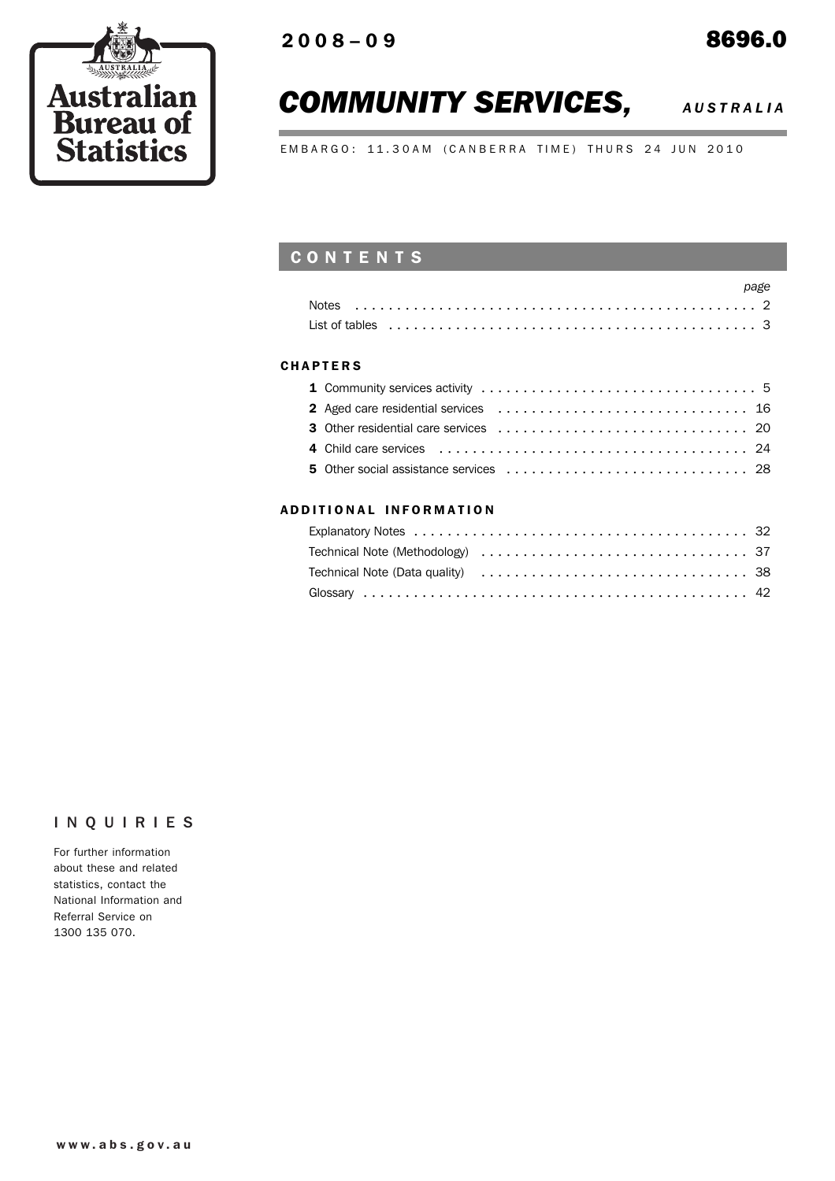

# *COMMUNITY SERVICES, AUSTRALIA*

EMBARGO: 11.30AM (CANBERRA TIME) THURS 24 JUN 2010

# **CONTENTS**

| <b>Notes</b>                                                                                                    |  |
|-----------------------------------------------------------------------------------------------------------------|--|
| List of tables entitled to the control of the control of the control of the control of the control of the contr |  |

### **CHAPTERS**

## ADD ITIONAL INFORMATION

## INQUIRIES

For further information about these and related statistics, contact the National Information and Referral Service on 1300 135 070.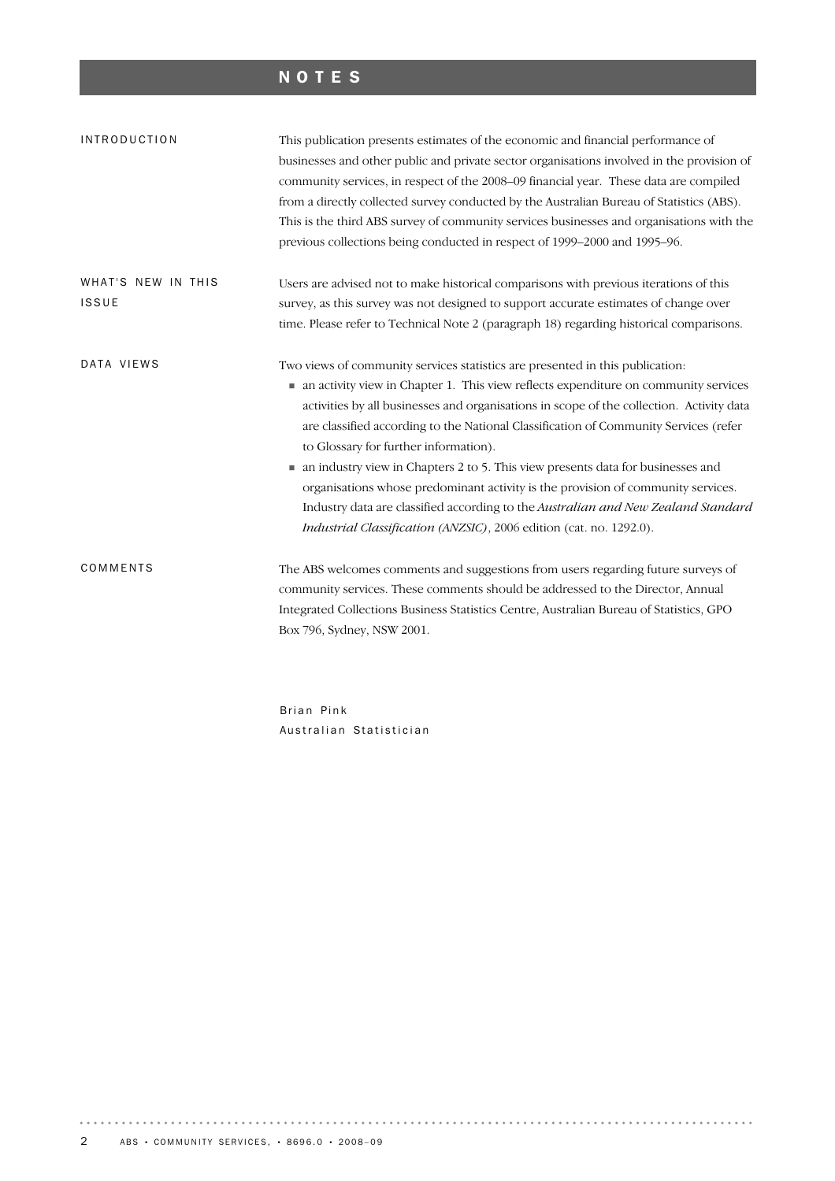# NOTES

| <b>INTRODUCTION</b> | This publication presents estimates of the economic and financial performance of<br>businesses and other public and private sector organisations involved in the provision of<br>community services, in respect of the 2008-09 financial year. These data are compiled<br>from a directly collected survey conducted by the Australian Bureau of Statistics (ABS).<br>This is the third ABS survey of community services businesses and organisations with the<br>previous collections being conducted in respect of 1999–2000 and 1995–96.                                                                                                                                                                                            |
|---------------------|----------------------------------------------------------------------------------------------------------------------------------------------------------------------------------------------------------------------------------------------------------------------------------------------------------------------------------------------------------------------------------------------------------------------------------------------------------------------------------------------------------------------------------------------------------------------------------------------------------------------------------------------------------------------------------------------------------------------------------------|
| WHAT'S NEW IN THIS  | Users are advised not to make historical comparisons with previous iterations of this                                                                                                                                                                                                                                                                                                                                                                                                                                                                                                                                                                                                                                                  |
| ISSUE               | survey, as this survey was not designed to support accurate estimates of change over                                                                                                                                                                                                                                                                                                                                                                                                                                                                                                                                                                                                                                                   |
|                     | time. Please refer to Technical Note 2 (paragraph 18) regarding historical comparisons.                                                                                                                                                                                                                                                                                                                                                                                                                                                                                                                                                                                                                                                |
| DATA VIEWS          | Two views of community services statistics are presented in this publication:<br>• an activity view in Chapter 1. This view reflects expenditure on community services<br>activities by all businesses and organisations in scope of the collection. Activity data<br>are classified according to the National Classification of Community Services (refer<br>to Glossary for further information).<br>an industry view in Chapters 2 to 5. This view presents data for businesses and<br>organisations whose predominant activity is the provision of community services.<br>Industry data are classified according to the Australian and New Zealand Standard<br>Industrial Classification (ANZSIC), 2006 edition (cat. no. 1292.0). |
| COMMENTS            | The ABS welcomes comments and suggestions from users regarding future surveys of<br>community services. These comments should be addressed to the Director, Annual<br>Integrated Collections Business Statistics Centre, Australian Bureau of Statistics, GPO<br>Box 796, Sydney, NSW 2001.                                                                                                                                                                                                                                                                                                                                                                                                                                            |
|                     | Brian Pink                                                                                                                                                                                                                                                                                                                                                                                                                                                                                                                                                                                                                                                                                                                             |

Australian Statistician

 $\cdots \cdots \cdots \cdots$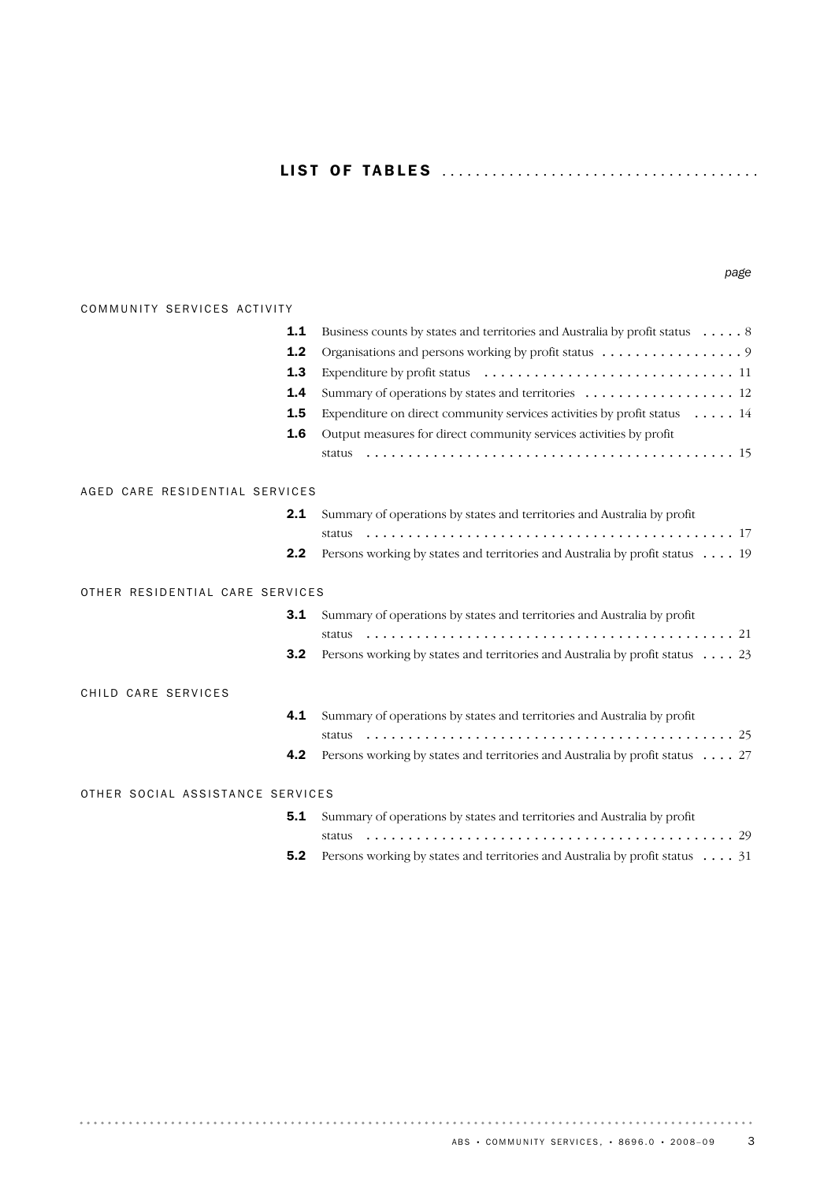## LI S T OF TA B L E S ..................................... .

| COMMUNITY SERVICES ACTIVITY      |                                                                             |
|----------------------------------|-----------------------------------------------------------------------------|
| $1.1$                            | Business counts by states and territories and Australia by profit status 8  |
| 1.2                              | Organisations and persons working by profit status 9                        |
| 1.3                              |                                                                             |
| 1.4                              | Summary of operations by states and territories  12                         |
| 1.5                              | Expenditure on direct community services activities by profit status  14    |
| 1.6                              | Output measures for direct community services activities by profit          |
|                                  |                                                                             |
| AGED CARE RESIDENTIAL SERVICES   |                                                                             |
| 2.1                              | Summary of operations by states and territories and Australia by profit     |
|                                  |                                                                             |
| 2.2                              | Persons working by states and territories and Australia by profit status 19 |
| OTHER RESIDENTIAL CARE SERVICES  |                                                                             |
| 3.1                              | Summary of operations by states and territories and Australia by profit     |
|                                  |                                                                             |
| 3.2                              | Persons working by states and territories and Australia by profit status 23 |
| CHILD CARE SERVICES              |                                                                             |
| 4.1                              | Summary of operations by states and territories and Australia by profit     |
|                                  |                                                                             |
| 4.2                              | Persons working by states and territories and Australia by profit status 27 |
| OTHER SOCIAL ASSISTANCE SERVICES |                                                                             |
| 5.1                              | Summary of operations by states and territories and Australia by profit     |
|                                  |                                                                             |
| 5.2                              | Persons working by states and territories and Australia by profit status 31 |

. . . . . .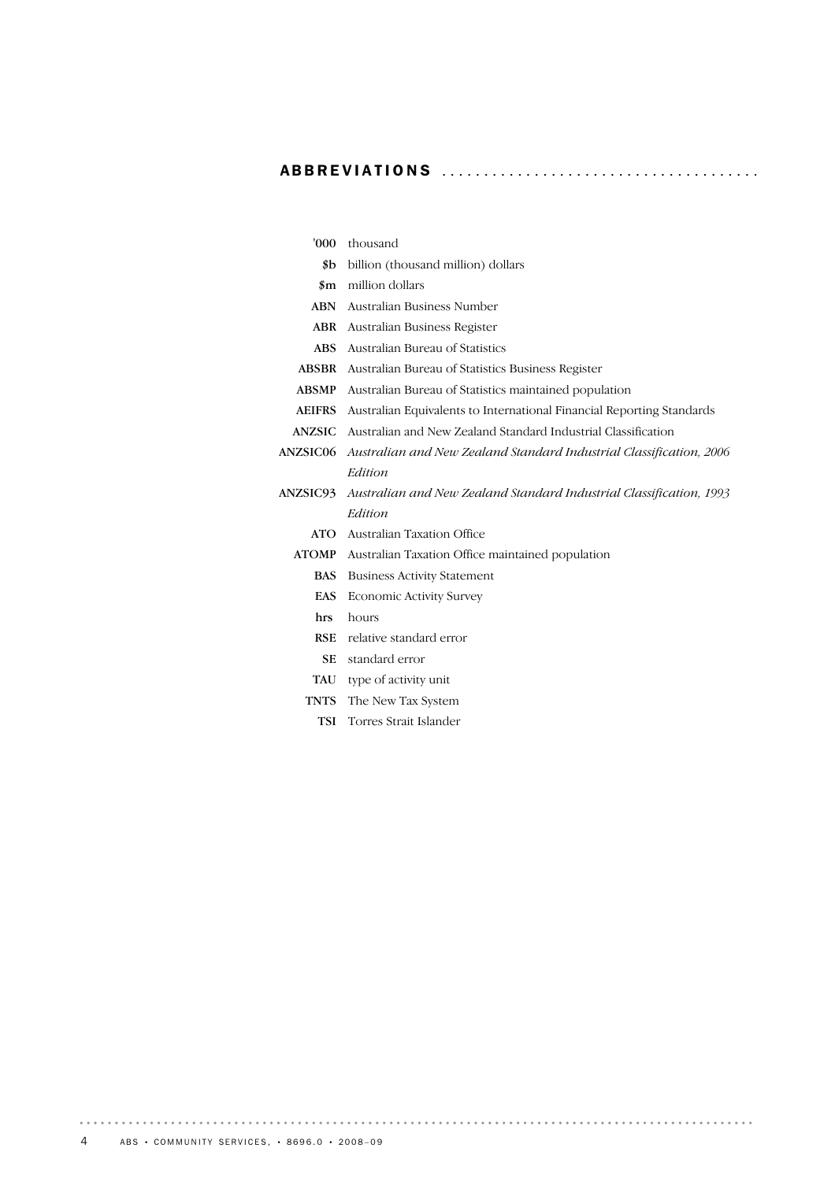# ABBREVIATIONS ..................................... .

| 000'            | thousand                                                              |
|-----------------|-----------------------------------------------------------------------|
| \$b             | billion (thousand million) dollars                                    |
| $\sin$          | million dollars                                                       |
| <b>ABN</b>      | Australian Business Number                                            |
| ABR             | Australian Business Register                                          |
| ABS .           | Australian Bureau of Statistics                                       |
| <b>ABSBR</b>    | Australian Bureau of Statistics Business Register                     |
| <b>ABSMP</b>    | Australian Bureau of Statistics maintained population                 |
| <b>AEIFRS</b>   | Australian Equivalents to International Financial Reporting Standards |
| ANZSIC          | Australian and New Zealand Standard Industrial Classification         |
| <b>ANZSIC06</b> | Australian and New Zealand Standard Industrial Classification, 2006   |
|                 | Edition                                                               |
| ANZSIC93        | Australian and New Zealand Standard Industrial Classification, 1993   |
|                 | Edition                                                               |
| <b>ATO</b>      | Australian Taxation Office                                            |
| <b>ATOMP</b>    | Australian Taxation Office maintained population                      |
| <b>BAS</b>      | <b>Business Activity Statement</b>                                    |
| <b>EAS</b>      | <b>Economic Activity Survey</b>                                       |
| hrs             | hours                                                                 |
| <b>RSE</b>      | relative standard error                                               |
| <b>SE</b>       | standard error                                                        |
| TAU             | type of activity unit                                                 |
| TNTS            | The New Tax System                                                    |
| TSI             | Torres Strait Islander                                                |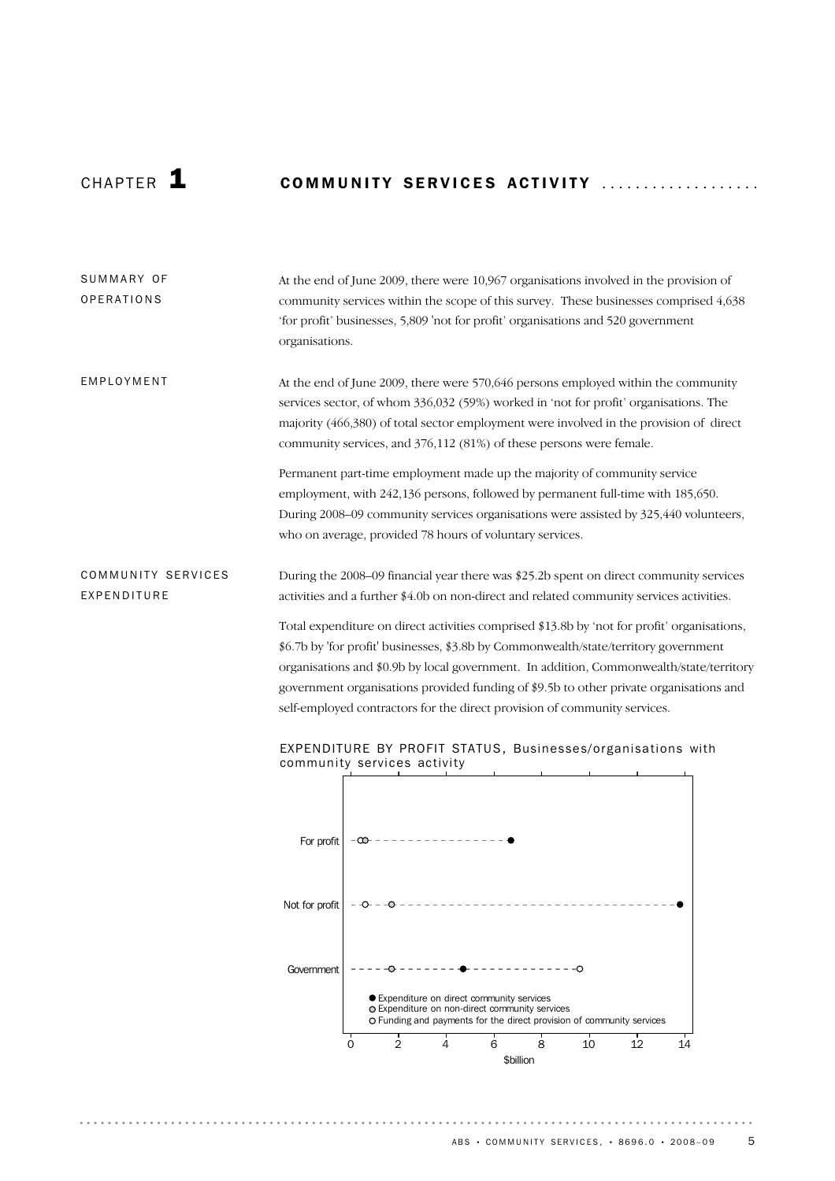# CHAPTER 1 **COMMUNITY SERVICES ACTIVITY** ...................

| SUMMARY OF<br>OPERATIONS          | At the end of June 2009, there were 10,967 organisations involved in the provision of<br>community services within the scope of this survey. These businesses comprised 4,638<br>'for profit' businesses, 5,809 'not for profit' organisations and 520 government<br>organisations.                                                                                                                                                                                                                                                                                                                                                         |
|-----------------------------------|---------------------------------------------------------------------------------------------------------------------------------------------------------------------------------------------------------------------------------------------------------------------------------------------------------------------------------------------------------------------------------------------------------------------------------------------------------------------------------------------------------------------------------------------------------------------------------------------------------------------------------------------|
| EMPLOYMENT                        | At the end of June 2009, there were 570,646 persons employed within the community<br>services sector, of whom 336,032 (59%) worked in 'not for profit' organisations. The<br>majority (466,380) of total sector employment were involved in the provision of direct<br>community services, and 376,112 (81%) of these persons were female.                                                                                                                                                                                                                                                                                                  |
|                                   | Permanent part-time employment made up the majority of community service<br>employment, with 242,136 persons, followed by permanent full-time with 185,650.<br>During 2008-09 community services organisations were assisted by 325,440 volunteers,<br>who on average, provided 78 hours of voluntary services.                                                                                                                                                                                                                                                                                                                             |
| COMMUNITY SERVICES<br>EXPENDITURE | During the 2008–09 financial year there was \$25.2b spent on direct community services<br>activities and a further \$4.0b on non-direct and related community services activities.<br>Total expenditure on direct activities comprised \$13.8b by 'not for profit' organisations,<br>\$6.7b by 'for profit' businesses, \$3.8b by Commonwealth/state/territory government<br>organisations and \$0.9b by local government. In addition, Commonwealth/state/territory<br>government organisations provided funding of \$9.5b to other private organisations and<br>self-employed contractors for the direct provision of community services. |
|                                   | EXPENDITURE BY PROFIT STATUS, Businesses/organisations with<br>community services activity                                                                                                                                                                                                                                                                                                                                                                                                                                                                                                                                                  |

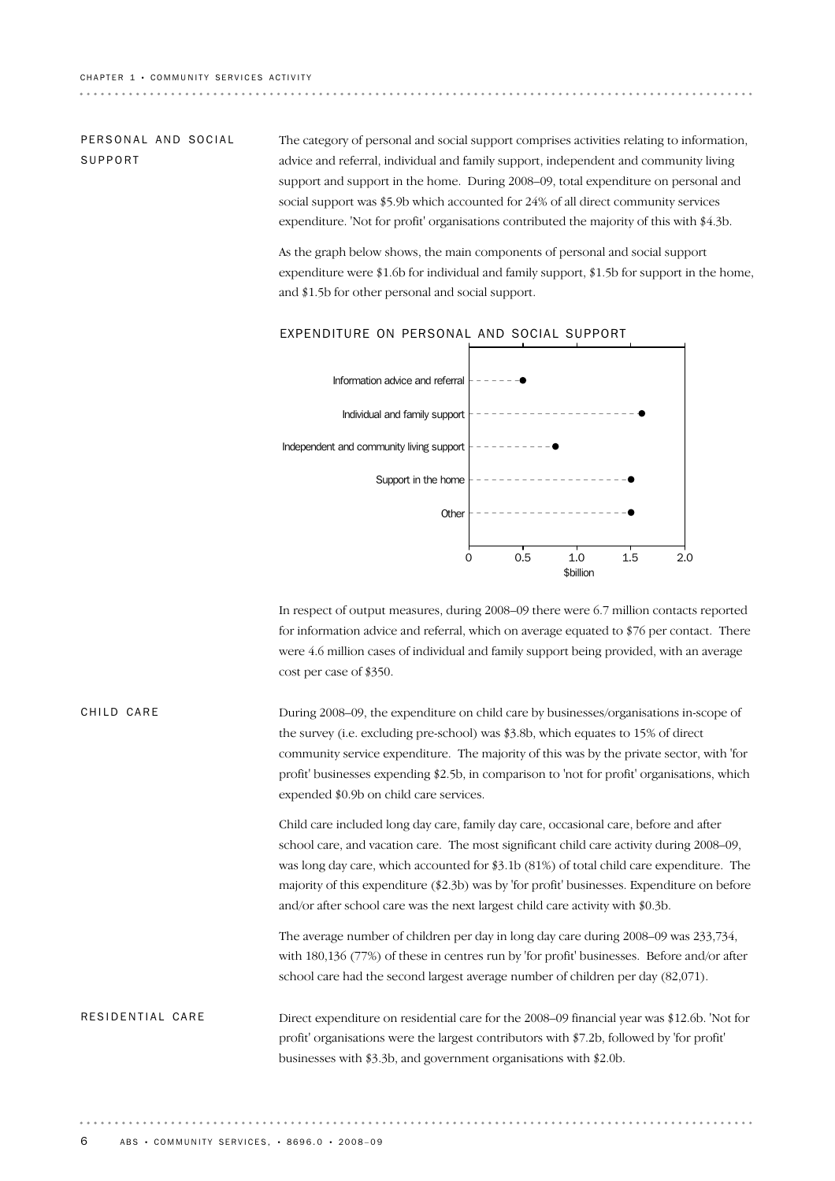### PERSONAL AND SOCIAL SUPPORT

The category of personal and social support comprises activities relating to information, advice and referral, individual and family support, independent and community living support and support in the home. During 2008–09, total expenditure on personal and social support was \$5.9b which accounted for 24% of all direct community services expenditure. 'Not for profit' organisations contributed the majority of this with \$4.3b.

As the graph below shows, the main components of personal and social support expenditure were \$1.6b for individual and family support, \$1.5b for support in the home, and \$1.5b for other personal and social support.



### EXPENDITURE ON PERSONAL AND SOCIAL SUPPORT

In respect of output measures, during 2008–09 there were 6.7 million contacts reported for information advice and referral, which on average equated to \$76 per contact. There were 4.6 million cases of individual and family support being provided, with an average cost per case of \$350.

### During 2008–09, the expenditure on child care by businesses/organisations in-scope of the survey (i.e. excluding pre-school) was \$3.8b, which equates to 15% of direct community service expenditure. The majority of this was by the private sector, with 'for profit' businesses expending \$2.5b, in comparison to 'not for profit' organisations, which expended \$0.9b on child care services. CHILD CARE

Child care included long day care, family day care, occasional care, before and after school care, and vacation care. The most significant child care activity during 2008–09, was long day care, which accounted for \$3.1b (81%) of total child care expenditure. The majority of this expenditure (\$2.3b) was by 'for profit' businesses. Expenditure on before and/or after school care was the next largest child care activity with \$0.3b.

The average number of children per day in long day care during 2008–09 was 233,734, with 180,136 (77%) of these in centres run by 'for profit' businesses. Before and/or after school care had the second largest average number of children per day (82,071).

### Direct expenditure on residential care for the 2008–09 financial year was \$12.6b. 'Not for profit' organisations were the largest contributors with \$7.2b, followed by 'for profit' businesses with \$3.3b, and government organisations with \$2.0b. RESIDENTIAL CARE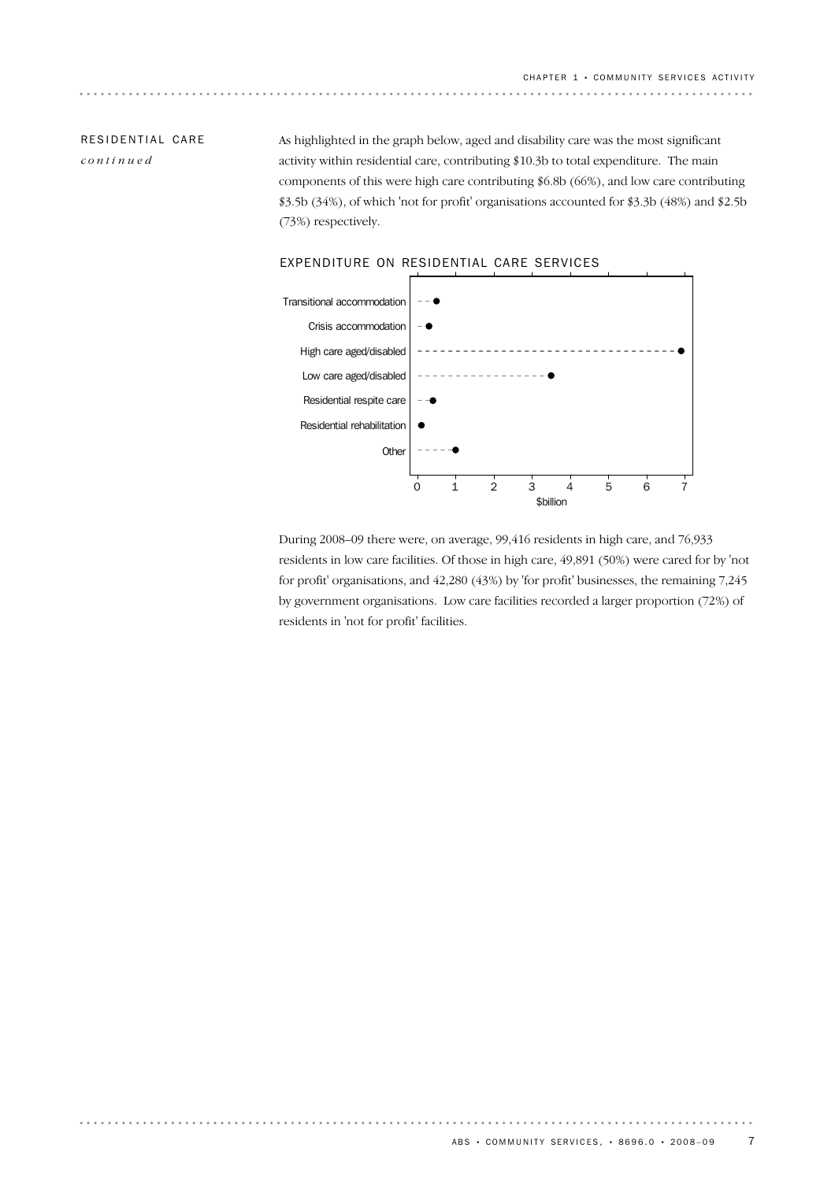## RESIDENTIAL CARE *continued*

As highlighted in the graph below, aged and disability care was the most significant activity within residential care, contributing \$10.3b to total expenditure. The main components of this were high care contributing \$6.8b (66%), and low care contributing \$3.5b (34%), of which 'not for profit' organisations accounted for \$3.3b (48%) and \$2.5b (73%) respectively.



### EXPENDITURE ON RESIDENTIAL CARE SERVICES

During 2008–09 there were, on average, 99,416 residents in high care, and 76,933 residents in low care facilities. Of those in high care, 49,891 (50%) were cared for by 'not for profit' organisations, and 42,280 (43%) by 'for profit' businesses, the remaining 7,245 by government organisations. Low care facilities recorded a larger proportion (72%) of residents in 'not for profit' facilities.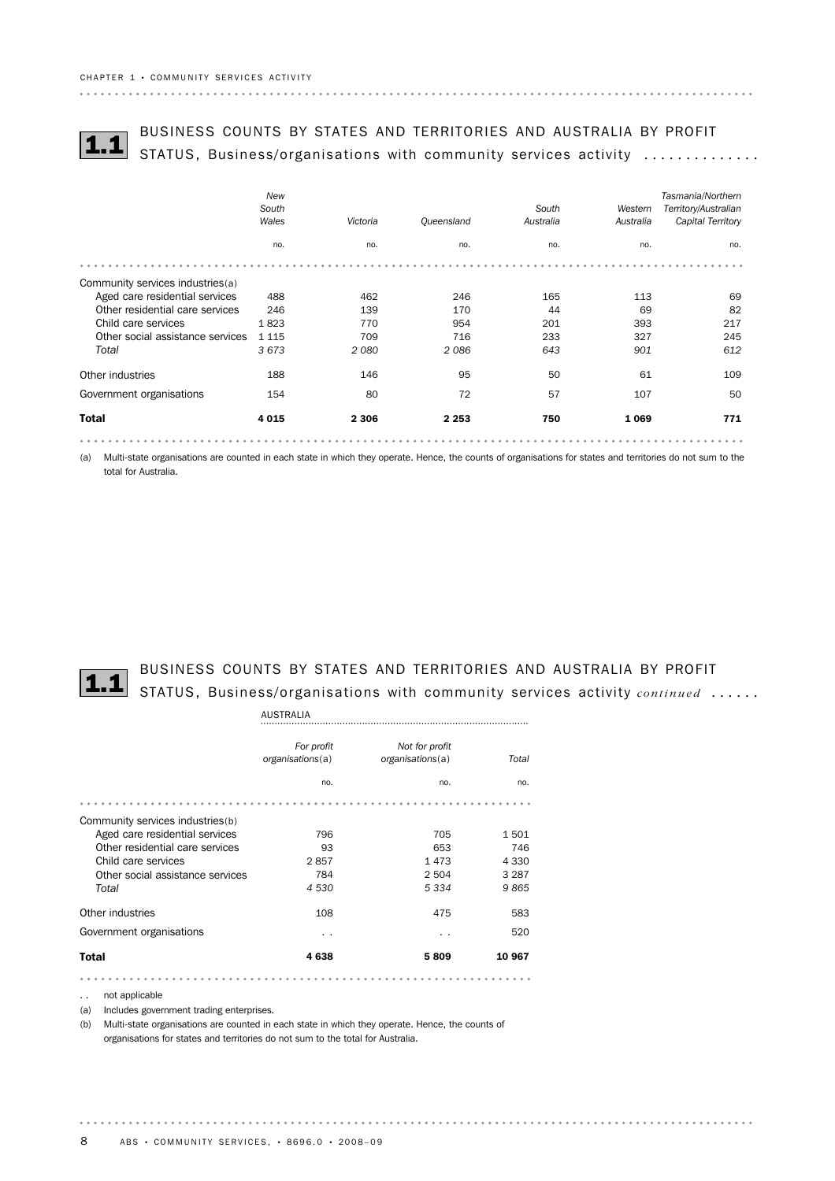

# BUSINESS COUNTS BY STATES AND TERRITORIES AND AUSTRALIA BY PROFIT<br>STATUS, Business/organisations with community services activity ...............

|                                  | New<br>South<br>Wales | Victoria | Queensland | South<br>Australia | Western<br>Australia | Tasmania/Northern<br>Territory/Australian<br>Capital Territory |
|----------------------------------|-----------------------|----------|------------|--------------------|----------------------|----------------------------------------------------------------|
|                                  | no.                   | no.      | no.        | no.                | no.                  | no.                                                            |
|                                  |                       |          |            |                    |                      |                                                                |
| Community services industries(a) |                       |          |            |                    |                      |                                                                |
| Aged care residential services   | 488                   | 462      | 246        | 165                | 113                  | 69                                                             |
| Other residential care services  | 246                   | 139      | 170        | 44                 | 69                   | 82                                                             |
| Child care services              | 1823                  | 770      | 954        | 201                | 393                  | 217                                                            |
| Other social assistance services | 1 1 1 5               | 709      | 716        | 233                | 327                  | 245                                                            |
| Total                            | 3673                  | 2080     | 2086       | 643                | 901                  | 612                                                            |
| Other industries                 | 188                   | 146      | 95         | 50                 | 61                   | 109                                                            |
| Government organisations         | 154                   | 80       | 72         | 57                 | 107                  | 50                                                             |
| <b>Total</b>                     | 4 0 1 5               | 2 3 0 6  | 2 2 5 3    | 750                | 1069                 | 771                                                            |
|                                  |                       |          |            |                    |                      |                                                                |

(a) Multi-state organisations are counted in each state in which they operate. Hence, the counts of organisations for states and territories do not sum to the total for Australia.



# BUSINESS COUNTS BY STATES AND TERRITORIES AND AUSTRALIA BY PROFIT<br>1.1 STATUS, Business/organisations with community services activity *continued* ......

|                                  | <b>AUSTRALIA</b>               |                                    |         |
|----------------------------------|--------------------------------|------------------------------------|---------|
|                                  | For profit<br>organisations(a) | Not for profit<br>organisations(a) | Total   |
|                                  | no.                            | no.                                | no.     |
|                                  |                                |                                    |         |
| Community services industries(b) |                                |                                    |         |
| Aged care residential services   | 796                            | 705                                | 1501    |
| Other residential care services  | 93                             | 653                                | 746     |
| Child care services              | 2857                           | 1473                               | 4 3 3 0 |
| Other social assistance services | 784                            | 2 5 0 4                            | 3 2 8 7 |
| Total                            | 4 5 3 0                        | 5 3 3 4                            | 9865    |
| Other industries                 | 108                            | 475                                | 583     |
| Government organisations         | . .                            | . .                                | 520     |
| <b>Total</b>                     | 4638                           | 5809                               | 10 967  |
|                                  |                                |                                    |         |

.. not applicable

(a) Includes government trading enterprises.

(b) Multi-state organisations are counted in each state in which they operate. Hence, the counts of organisations for states and territories do not sum to the total for Australia.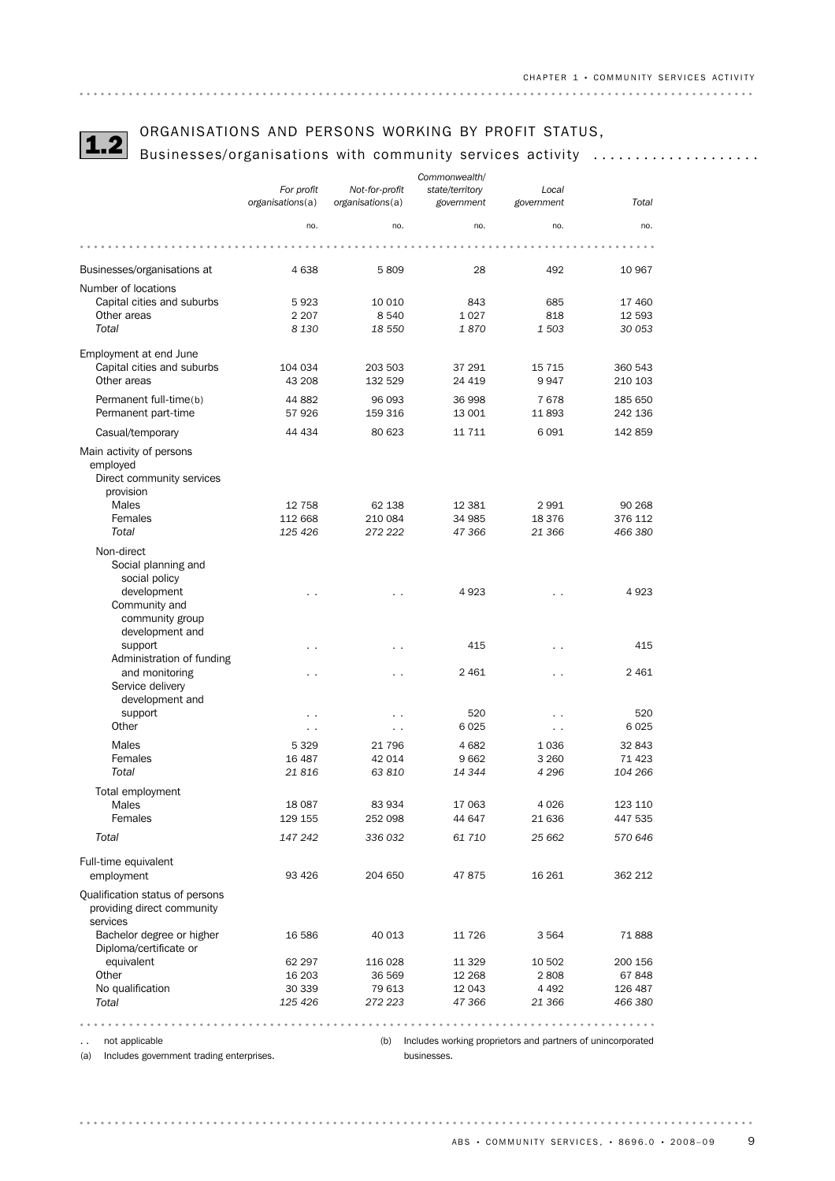# ORGANISATIONS AND PERSONS WORKING BY PROFIT STATUS,<br>1.2 Businesses/organisations with community services activity ...................

|                                                                           |                      |                      | Commonwealth/    |                                                             |                    |
|---------------------------------------------------------------------------|----------------------|----------------------|------------------|-------------------------------------------------------------|--------------------|
|                                                                           | For profit           | Not-for-profit       | state/territory  | Local                                                       |                    |
|                                                                           | organisations(a)     | organisations(a)     | government       | government                                                  | Total              |
|                                                                           | no.                  | no.                  | no.              | no.                                                         | no.                |
|                                                                           |                      |                      |                  |                                                             |                    |
| Businesses/organisations at                                               | 4638                 | 5809                 | 28               | 492                                                         | 10 967             |
| Number of locations                                                       |                      |                      |                  |                                                             |                    |
| Capital cities and suburbs                                                | 5923                 | 10 010               | 843              | 685                                                         | 17460              |
| Other areas                                                               | 2 2 0 7              | 8 5 4 0              | 1027             | 818                                                         | 12 593             |
| Total                                                                     | 8 1 3 0              | 18 550               | 1870             | 1 503                                                       | 30 053             |
|                                                                           |                      |                      |                  |                                                             |                    |
| Employment at end June<br>Capital cities and suburbs                      | 104 034              | 203 503              | 37 291           | 15 7 15                                                     | 360 543            |
| Other areas                                                               | 43 208               | 132 529              | 24 419           | 9947                                                        | 210 103            |
|                                                                           |                      |                      |                  |                                                             |                    |
| Permanent full-time(b)                                                    | 44 882               | 96 093               | 36 998           | 7678                                                        | 185 650            |
| Permanent part-time                                                       | 57926                | 159 316              | 13 001           | 11893                                                       | 242 136            |
| Casual/temporary                                                          | 44 434               | 80 623               | 11 7 11          | 6091                                                        | 142 859            |
| Main activity of persons                                                  |                      |                      |                  |                                                             |                    |
| employed                                                                  |                      |                      |                  |                                                             |                    |
| Direct community services                                                 |                      |                      |                  |                                                             |                    |
| provision                                                                 |                      |                      |                  |                                                             |                    |
| Males                                                                     | 12 758               | 62 138               | 12 381           | 2991                                                        | 90 268             |
| Females                                                                   | 112 668              | 210 084              | 34 985           | 18 376                                                      | 376 112            |
| Total                                                                     | 125 426              | 272 222              | 47 366           | 21 366                                                      | 466 380            |
| Non-direct                                                                |                      |                      |                  |                                                             |                    |
| Social planning and                                                       |                      |                      |                  |                                                             |                    |
| social policy                                                             |                      |                      |                  |                                                             |                    |
| development                                                               | . .                  | . .                  | 4923             |                                                             | 4923               |
| Community and                                                             |                      |                      |                  |                                                             |                    |
| community group                                                           |                      |                      |                  |                                                             |                    |
| development and                                                           |                      |                      |                  |                                                             |                    |
| support                                                                   |                      |                      | 415              |                                                             | 415                |
| Administration of funding                                                 |                      |                      |                  |                                                             |                    |
| and monitoring                                                            | $\sim$ $\sim$        | $\sim$ $\sim$        | 2 4 6 1          | $\sim$                                                      | 2 4 6 1            |
| Service delivery                                                          |                      |                      |                  |                                                             |                    |
| development and                                                           |                      |                      |                  |                                                             |                    |
| support                                                                   |                      |                      | 520              |                                                             | 520                |
| Other                                                                     | $\ddot{\phantom{0}}$ | $\ddot{\phantom{1}}$ | 6025             | $\cdot$ .                                                   | 6025               |
| Males                                                                     | 5 3 2 9              | 21 796               | 4682             | 1036                                                        | 32 843             |
| Females                                                                   | 16 487               | 42 014               | 9662             | 3 2 6 0                                                     | 71 4 23            |
| Total                                                                     | 21816                | 63 810               | 14 344           | 4 2 9 6                                                     | 104 266            |
|                                                                           |                      |                      |                  |                                                             |                    |
| Total employment                                                          |                      |                      |                  |                                                             |                    |
| Males                                                                     | 18 087<br>129 155    | 83 934<br>252 098    | 17 063<br>44 647 | 4 0 2 6<br>21 636                                           | 123 110<br>447 535 |
| Females                                                                   |                      |                      |                  |                                                             |                    |
| Total                                                                     | 147 242              | 336 032              | 61 710           | 25 662                                                      | 570 646            |
| Full-time equivalent                                                      |                      |                      |                  |                                                             |                    |
| employment                                                                | 93 4 26              | 204 650              | 47875            | 16 26 1                                                     | 362 212            |
|                                                                           |                      |                      |                  |                                                             |                    |
| Qualification status of persons<br>providing direct community<br>services |                      |                      |                  |                                                             |                    |
| Bachelor degree or higher<br>Diploma/certificate or                       | 16 586               | 40 013               | 11 7 26          | 3 5 6 4                                                     | 71888              |
| equivalent                                                                | 62 297               | 116 028              | 11 3 29          | 10 502                                                      | 200 156            |
| Other                                                                     | 16 203               | 36 569               | 12 2 68          | 2808                                                        | 67848              |
| No qualification                                                          | 30 339               | 79 613               | 12 043           | 4 4 9 2                                                     | 126 487            |
| Total                                                                     | 125 426              | 272 223              | 47 366           | 21 366                                                      | 466 380            |
|                                                                           |                      |                      |                  |                                                             |                    |
|                                                                           |                      |                      |                  |                                                             |                    |
| not applicable<br>. .                                                     |                      | (b)                  |                  | Includes working proprietors and partners of unincorporated |                    |

(a) Includes government trading enterprises.

(b) Includes working proprietors and partners of unincorporated businesses.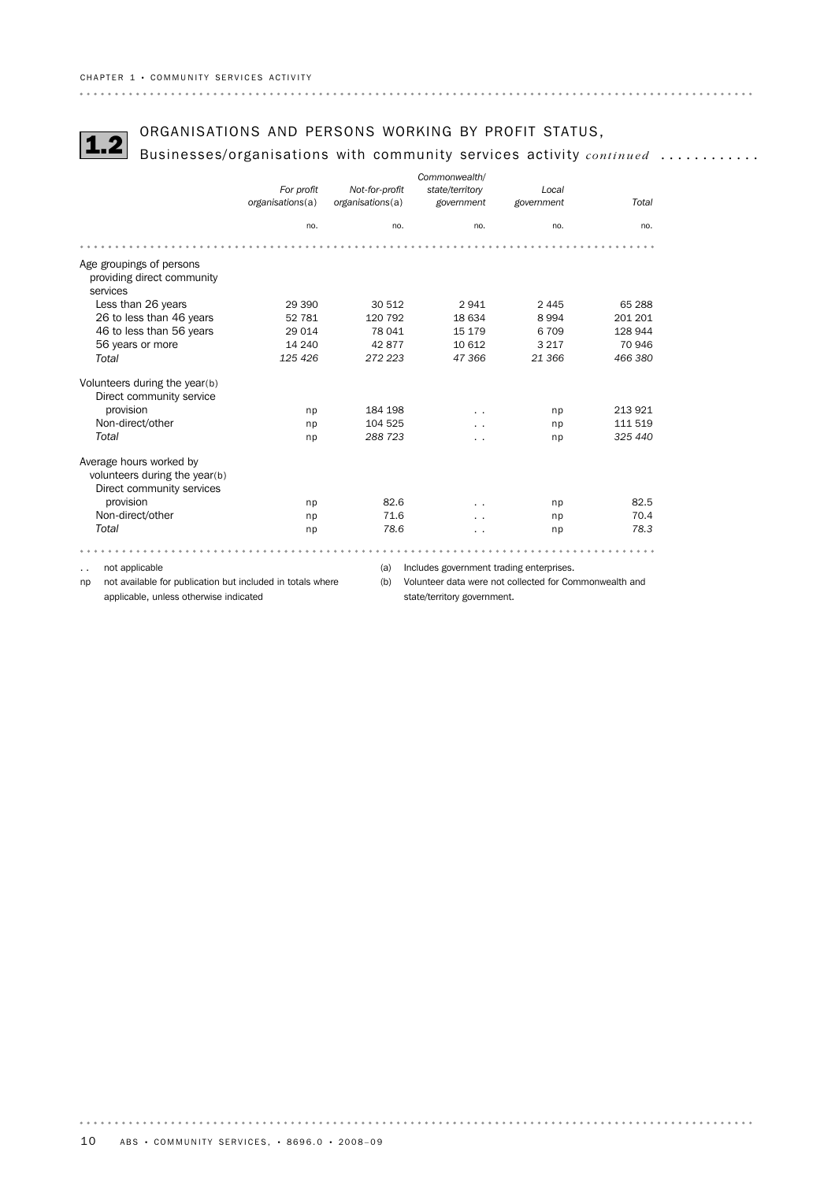# ORGANISATIONS AND PERSONS WORKING BY PROFIT STATUS,<br>**1.2** Businesses/organisations with community services activity *continued* ............

|                                                                                       |                  |                  | Commonwealth/                                          |            |         |
|---------------------------------------------------------------------------------------|------------------|------------------|--------------------------------------------------------|------------|---------|
|                                                                                       | For profit       | Not-for-profit   | state/territory                                        | Local      |         |
|                                                                                       | organisations(a) | organisations(a) | government                                             | government | Total   |
|                                                                                       | no.              | no.              | no.                                                    | no.        | no.     |
|                                                                                       |                  |                  |                                                        |            |         |
| Age groupings of persons<br>providing direct community<br>services                    |                  |                  |                                                        |            |         |
| Less than 26 years                                                                    | 29 390           | 30 512           | 2941                                                   | 2 4 4 5    | 65 288  |
| 26 to less than 46 years                                                              | 52 781           | 120 792          | 18 634                                                 | 8994       | 201 201 |
| 46 to less than 56 years                                                              | 29 0 14          | 78 041           | 15 179                                                 | 6709       | 128 944 |
| 56 years or more                                                                      | 14 240           | 42877            | 10 612                                                 | 3 2 1 7    | 70 946  |
| Total                                                                                 | 125 426          | 272 223          | 47366                                                  | 21 366     | 466 380 |
| Volunteers during the year(b)<br>Direct community service                             |                  |                  |                                                        |            |         |
| provision                                                                             | np               | 184 198          | $\cdot$ .                                              | np         | 213 921 |
| Non-direct/other                                                                      | np               | 104 525          |                                                        | np         | 111 519 |
| Total                                                                                 | np               | 288 723          | . .                                                    | np         | 325 440 |
| Average hours worked by<br>volunteers during the year(b)<br>Direct community services |                  |                  |                                                        |            |         |
| provision                                                                             | np               | 82.6             |                                                        | np         | 82.5    |
| Non-direct/other                                                                      | np               | 71.6             |                                                        | np         | 70.4    |
| Total                                                                                 | np               | 78.6             | $\sim$                                                 | np         | 78.3    |
|                                                                                       |                  |                  |                                                        |            |         |
| not applicable<br>$\ddot{\phantom{0}}$                                                |                  | (a)              | Includes government trading enterprises.               |            |         |
| not available for publication but included in totals where<br>np                      |                  | (b)              | Volunteer data were not collected for Commonwealth and |            |         |

applicable, unless otherwise indicated

state/territory government.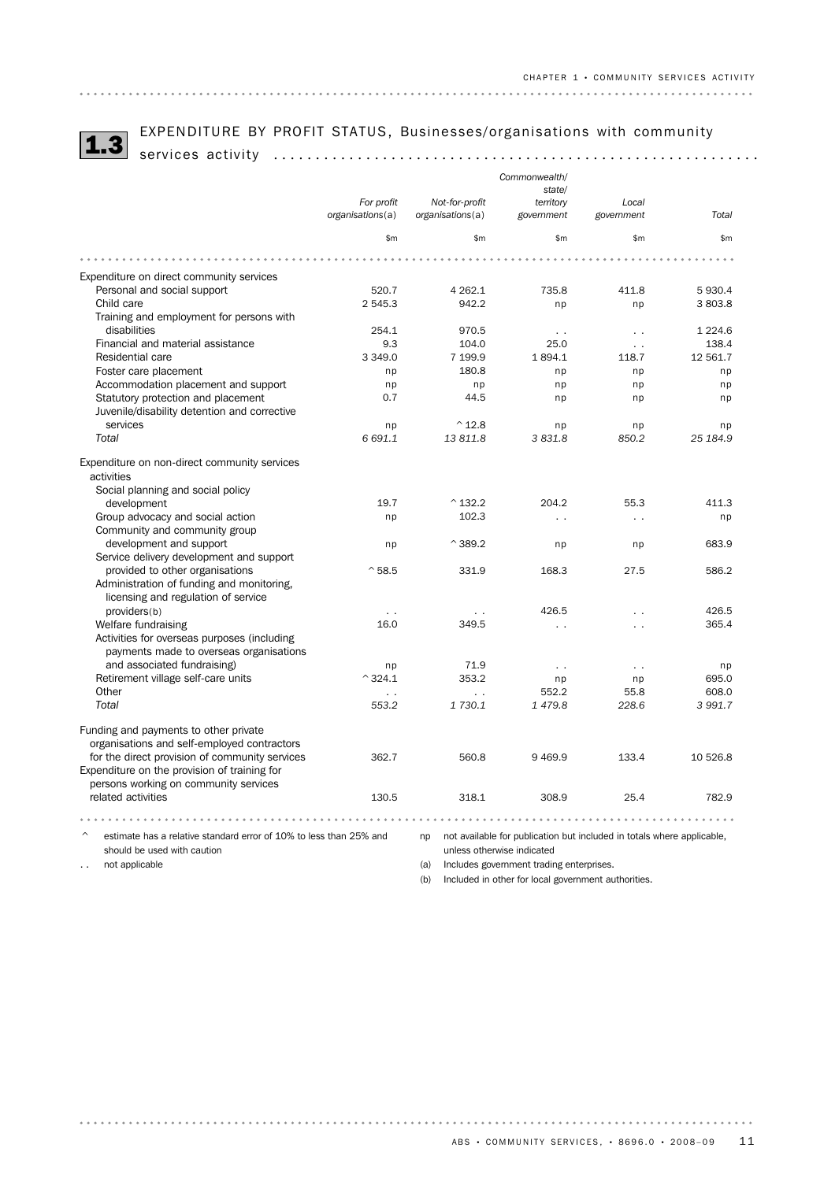

# EXPENDITURE BY PROFIT STATUS, Businesses/organisations with community 1.3 services activity ..........................................................

|                                                                    |                                |                                    | Commonwealth/<br>state/                                                |                      |                    |
|--------------------------------------------------------------------|--------------------------------|------------------------------------|------------------------------------------------------------------------|----------------------|--------------------|
|                                                                    | For profit<br>organisations(a) | Not-for-profit<br>organisations(a) | territory<br>government                                                | Local<br>government  | Total              |
|                                                                    | \$m                            | \$m\$                              | \$m\$                                                                  | \$m\$                | \$m                |
|                                                                    |                                |                                    |                                                                        |                      |                    |
| Expenditure on direct community services                           |                                |                                    |                                                                        |                      |                    |
| Personal and social support                                        | 520.7                          | 4 2 6 2.1                          | 735.8                                                                  | 411.8                | 5 930.4            |
| Child care                                                         | 2 545.3                        | 942.2                              | np                                                                     | np                   | 3 803.8            |
| Training and employment for persons with                           |                                |                                    |                                                                        |                      |                    |
| disabilities                                                       | 254.1                          | 970.5                              | $\cdot$ .                                                              | $\ddot{\phantom{0}}$ | 1 2 2 4.6          |
| Financial and material assistance                                  | 9.3                            | 104.0                              | 25.0                                                                   | $\ddotsc$            | 138.4              |
| Residential care                                                   | 3 3 4 9 . 0                    | 7 199.9                            | 1894.1                                                                 | 118.7                | 12 561.7           |
| Foster care placement                                              | np                             | 180.8                              | np                                                                     | np                   | np                 |
| Accommodation placement and support                                | np                             | np                                 | np                                                                     | np                   | np                 |
| Statutory protection and placement                                 | 0.7                            | 44.5                               | np                                                                     | np                   | np                 |
| Juvenile/disability detention and corrective                       |                                |                                    |                                                                        |                      |                    |
| services                                                           | np                             | $^{\wedge}$ 12.8                   | np                                                                     | np                   | np                 |
| Total                                                              | 6 691.1                        | 13811.8                            | 3831.8                                                                 | 850.2                | 25 184.9           |
| Expenditure on non-direct community services                       |                                |                                    |                                                                        |                      |                    |
| activities                                                         |                                |                                    |                                                                        |                      |                    |
| Social planning and social policy                                  |                                |                                    |                                                                        |                      |                    |
| development                                                        | 19.7                           | $^{\wedge}$ 132.2                  | 204.2                                                                  | 55.3                 | 411.3              |
| Group advocacy and social action                                   | np                             | 102.3                              | $\sim$                                                                 | $\sim$               | np                 |
| Community and community group                                      |                                |                                    |                                                                        |                      |                    |
| development and support                                            | np                             | $^{\wedge}$ 389.2                  | np                                                                     | np                   | 683.9              |
| Service delivery development and support                           |                                |                                    |                                                                        |                      |                    |
| provided to other organisations                                    | $^{\circ}58.5$                 | 331.9                              | 168.3                                                                  | 27.5                 | 586.2              |
| Administration of funding and monitoring,                          |                                |                                    |                                                                        |                      |                    |
| licensing and regulation of service                                |                                |                                    |                                                                        |                      |                    |
| providers(b)                                                       | $\cdot$ .                      | $\cdot$ .                          | 426.5                                                                  | $\sim$               | 426.5              |
| Welfare fundraising                                                | 16.0                           | 349.5                              | $\ddot{\phantom{0}}$                                                   | $\ddot{\phantom{0}}$ | 365.4              |
| Activities for overseas purposes (including                        |                                |                                    |                                                                        |                      |                    |
| payments made to overseas organisations                            |                                |                                    |                                                                        |                      |                    |
| and associated fundraising)                                        | np                             | 71.9                               | $\ddot{\phantom{1}}$                                                   | $\sim$ $\sim$        | np                 |
| Retirement village self-care units                                 | $^{\wedge}$ 324.1              | 353.2                              | np                                                                     | np                   | 695.0              |
| Other                                                              | $\ddotsc$                      | $\ddot{\phantom{0}}$<br>1 730.1    | 552.2<br>1479.8                                                        | 55.8<br>228.6        | 608.0<br>3 9 9 1.7 |
| Total                                                              | 553.2                          |                                    |                                                                        |                      |                    |
| Funding and payments to other private                              |                                |                                    |                                                                        |                      |                    |
| organisations and self-employed contractors                        |                                |                                    |                                                                        |                      |                    |
| for the direct provision of community services                     | 362.7                          | 560.8                              | 9469.9                                                                 | 133.4                | 10 526.8           |
| Expenditure on the provision of training for                       |                                |                                    |                                                                        |                      |                    |
| persons working on community services                              |                                |                                    |                                                                        |                      |                    |
| related activities                                                 | 130.5                          | 318.1                              | 308.9                                                                  | 25.4                 | 782.9              |
|                                                                    |                                |                                    |                                                                        |                      |                    |
| estimate has a relative standard error of 10% to less than 25% and |                                | np                                 | not available for publication but included in totals where applicable, |                      |                    |
| should be used with caution                                        |                                |                                    | unless otherwise indicated                                             |                      |                    |
|                                                                    |                                |                                    |                                                                        |                      |                    |

.. not applicable

(a) Includes government trading enterprises.

(b) Included in other for local government authorities.

 $\begin{array}{cccccccccccccc} \bullet & \bullet & \bullet & \bullet & \bullet & \bullet & \bullet & \bullet \end{array}$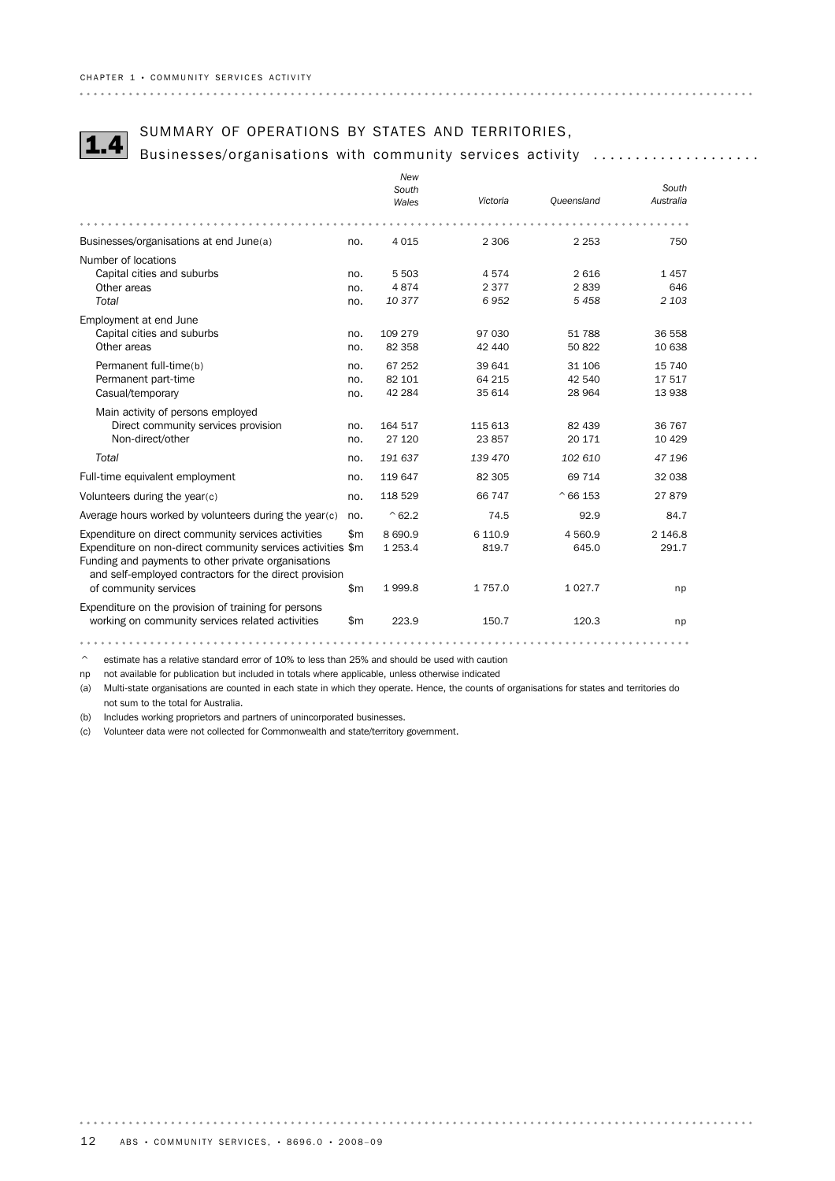# SUMMARY OF OPERATIONS BY STATES AND TERRITORIES,<br>1.4 Businesses/organisations with community services activity ...................

|                                                                                                                                                                              |              | New            |            |                 |           |
|------------------------------------------------------------------------------------------------------------------------------------------------------------------------------|--------------|----------------|------------|-----------------|-----------|
|                                                                                                                                                                              |              | South          |            |                 | South     |
|                                                                                                                                                                              |              | Wales          | Victoria   | Oueensland      | Australia |
|                                                                                                                                                                              |              |                |            |                 |           |
| Businesses/organisations at end June(a)                                                                                                                                      | no.          | 4 0 1 5        | 2 3 0 6    | 2 2 5 3         | 750       |
| Number of locations                                                                                                                                                          |              |                |            |                 |           |
| Capital cities and suburbs                                                                                                                                                   | no.          | 5 5 0 3        | 4574       | 2616            | 1457      |
| Other areas                                                                                                                                                                  | no.          | 4874           | 2 3 7 7    | 2839            | 646       |
| Total                                                                                                                                                                        | no.          | 10377          | 6952       | 5 4 5 8         | 2 1 0 3   |
| Employment at end June                                                                                                                                                       |              |                |            |                 |           |
| Capital cities and suburbs                                                                                                                                                   | no.          | 109 279        | 97 030     | 51 788          | 36 558    |
| Other areas                                                                                                                                                                  | no.          | 82 358         | 42 440     | 50 822          | 10 638    |
| Permanent full-time(b)                                                                                                                                                       | no.          | 67 252         | 39 641     | 31 106          | 15 740    |
| Permanent part-time                                                                                                                                                          | no.          | 82 101         | 64 215     | 42 540          | 17517     |
| Casual/temporary                                                                                                                                                             | no.          | 42 284         | 35 614     | 28 964          | 13 938    |
| Main activity of persons employed                                                                                                                                            |              |                |            |                 |           |
| Direct community services provision                                                                                                                                          | no.          | 164 517        | 115 613    | 82 439          | 36 767    |
| Non-direct/other                                                                                                                                                             | no.          | 27 120         | 23 857     | 20 17 1         | 10 4 29   |
| Total                                                                                                                                                                        | no.          | 191 637        | 139 470    | 102 610         | 47 196    |
| Full-time equivalent employment                                                                                                                                              | no.          | 119 647        | 82 305     | 69 714          | 32 038    |
| Volunteers during the year(c)                                                                                                                                                | no.          | 118 529        | 66 747     | $^{\circ}66153$ | 27879     |
| Average hours worked by volunteers during the year(c)                                                                                                                        | no.          | $^{\circ}62.2$ | 74.5       | 92.9            | 84.7      |
| Expenditure on direct community services activities                                                                                                                          | $\mathsf{m}$ | 8690.9         | 6 1 1 0.9  | 4 5 6 0.9       | 2 146.8   |
| Expenditure on non-direct community services activities \$m<br>Funding and payments to other private organisations<br>and self-employed contractors for the direct provision |              | 1 2 5 3.4      | 819.7      | 645.0           | 291.7     |
| of community services                                                                                                                                                        | $\mathsf{m}$ | 1999.8         | 1 7 5 7 .0 | 1 0 27.7        | np        |
| Expenditure on the provision of training for persons<br>working on community services related activities                                                                     | $\mathsf{m}$ | 223.9          | 150.7      | 120.3           | np        |
|                                                                                                                                                                              |              |                |            |                 |           |

 $\degree$  estimate has a relative standard error of 10% to less than 25% and should be used with caution

np not available for publication but included in totals where applicable, unless otherwise indicated

(a) Multi-state organisations are counted in each state in which they operate. Hence, the counts of organisations for states and territories do not sum to the total for Australia.

(b) Includes working proprietors and partners of unincorporated businesses.

(c) Volunteer data were not collected for Commonwealth and state/territory government.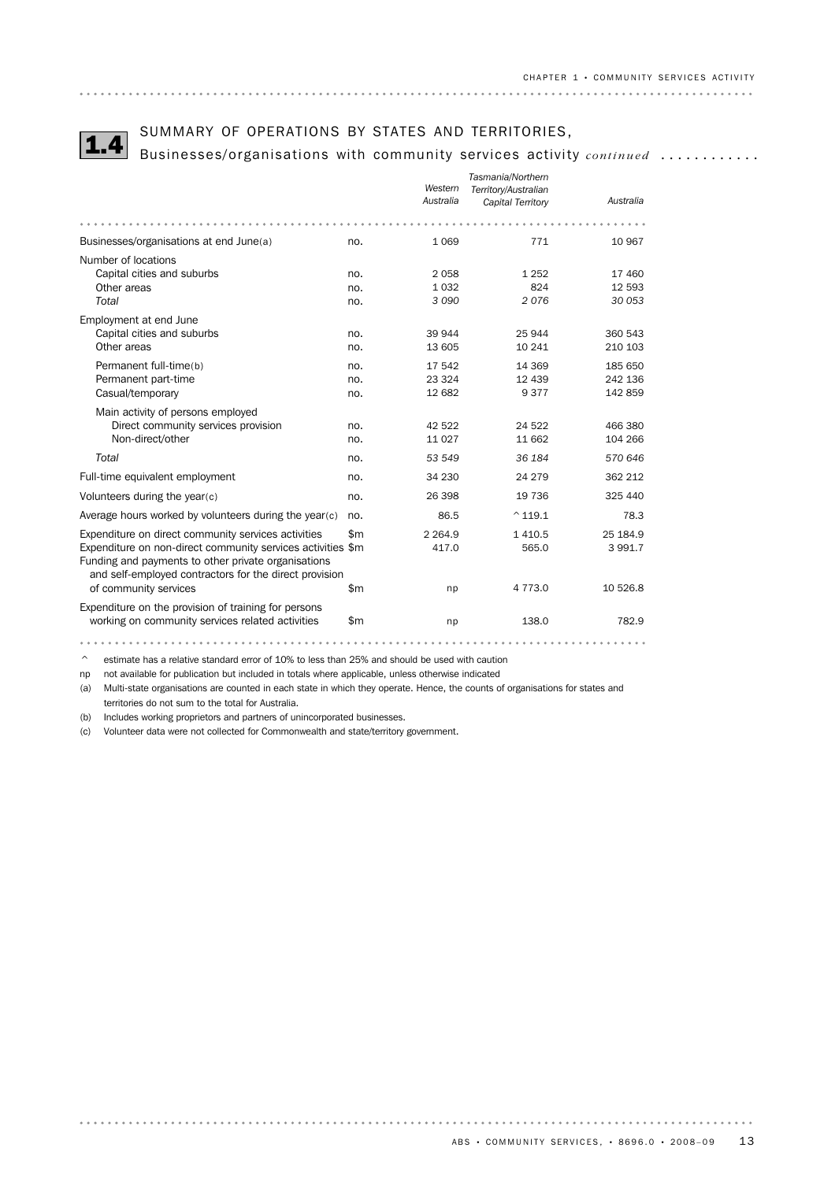SUMMARY OF OPERATIONS BY STATES AND TERRITORIES,<br>Businesses/organisations with community services activity *continued* ............

|                                                             |              |            | Tasmania/Northern    |           |
|-------------------------------------------------------------|--------------|------------|----------------------|-----------|
|                                                             |              | Western    | Territory/Australian |           |
|                                                             |              | Australia  | Capital Territory    | Australia |
|                                                             |              |            |                      |           |
| Businesses/organisations at end June(a)                     | no.          | 1 0 6 9    | 771                  | 10 967    |
| Number of locations                                         |              |            |                      |           |
| Capital cities and suburbs                                  | no.          | 2058       | 1 2 5 2              | 17 460    |
| Other areas                                                 | no.          | 1 0 3 2    | 824                  | 12 593    |
| Total                                                       | no.          | 3 0 9 0    | 2076                 | 30 053    |
| Employment at end June                                      |              |            |                      |           |
| Capital cities and suburbs                                  | no.          | 39 944     | 25 944               | 360 543   |
| Other areas                                                 | no.          | 13 605     | 10 241               | 210 103   |
| Permanent full-time(b)                                      | no.          | 17 542     | 14 3 69              | 185 650   |
| Permanent part-time                                         | no.          | 23 3 24    | 12 439               | 242 136   |
| Casual/temporary                                            | no.          | 12 682     | 9377                 | 142 859   |
| Main activity of persons employed                           |              |            |                      |           |
| Direct community services provision                         | no.          | 42 522     | 24 5 22              | 466 380   |
| Non-direct/other                                            | no.          | 11 0 27    | 11 662               | 104 266   |
| Total                                                       | no.          | 53 549     | 36 184               | 570 646   |
| Full-time equivalent employment                             | no.          | 34 230     | 24 279               | 362 212   |
| Volunteers during the year(c)                               | no.          | 26 398     | 19 736               | 325 440   |
| Average hours worked by volunteers during the year(c)       | no.          | 86.5       | $^{\wedge}$ 119.1    | 78.3      |
| Expenditure on direct community services activities         | \$m          | 2 2 6 4 .9 | 1 4 1 0.5            | 25 184.9  |
| Expenditure on non-direct community services activities \$m |              | 417.0      | 565.0                | 3 991.7   |
| Funding and payments to other private organisations         |              |            |                      |           |
| and self-employed contractors for the direct provision      |              |            |                      |           |
| of community services                                       | $\mathsf{m}$ | np         | 4 7 7 3 .0           | 10 526.8  |
| Expenditure on the provision of training for persons        |              |            |                      |           |
| working on community services related activities            | \$m          | np         | 138.0                | 782.9     |
|                                                             |              |            |                      |           |

 $\degree$  estimate has a relative standard error of 10% to less than 25% and should be used with caution

np not available for publication but included in totals where applicable, unless otherwise indicated

(a) Multi-state organisations are counted in each state in which they operate. Hence, the counts of organisations for states and territories do not sum to the total for Australia.

(b) Includes working proprietors and partners of unincorporated businesses.

(c) Volunteer data were not collected for Commonwealth and state/territory government.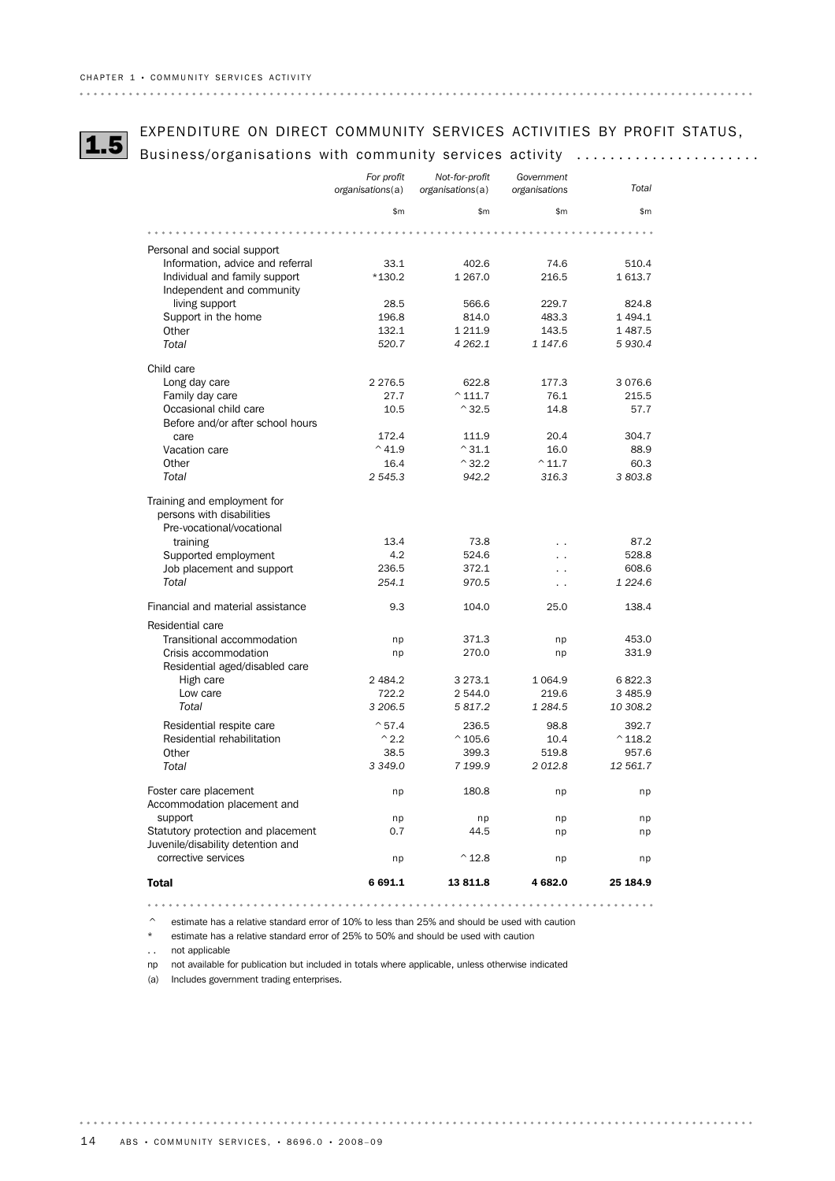# EXPENDITURE ON DIRECT COMMUNITY SERVICES ACTIVITIES BY PROFIT STATUS,<br>1.5 Business/organisations with community services activity .....................

|                                                                                       | For profit<br>organisations(a) | Not-for-profit<br>organisations(a) | Government<br>organisations | Total             |
|---------------------------------------------------------------------------------------|--------------------------------|------------------------------------|-----------------------------|-------------------|
|                                                                                       | \$m                            | \$m                                | \$m                         | \$m               |
|                                                                                       |                                |                                    |                             |                   |
| Personal and social support                                                           |                                |                                    |                             |                   |
| Information, advice and referral                                                      | 33.1                           | 402.6                              | 74.6                        | 510.4             |
| Individual and family support                                                         | $*130.2$                       | 1 2 6 7 .0                         | 216.5                       | 1613.7            |
| Independent and community                                                             |                                |                                    |                             |                   |
| living support                                                                        | 28.5                           | 566.6                              | 229.7                       | 824.8             |
| Support in the home                                                                   | 196.8                          | 814.0                              | 483.3                       | 1494.1            |
| Other                                                                                 | 132.1                          | 1 2 1 1.9                          | 143.5                       | 1487.5            |
| Total                                                                                 | 520.7                          | 4 2 6 2.1                          | 1 147.6                     | 5 9 3 0.4         |
| Child care                                                                            |                                |                                    |                             |                   |
| Long day care                                                                         | 2 2 7 6.5                      | 622.8                              | 177.3                       | 3076.6            |
| Family day care                                                                       | 27.7                           | $^{\circ}$ 111.7                   | 76.1                        | 215.5             |
| Occasional child care                                                                 | 10.5                           | $^{\wedge}32.5$                    | 14.8                        | 57.7              |
| Before and/or after school hours                                                      |                                |                                    |                             |                   |
| care                                                                                  | 172.4                          | 111.9                              | 20.4                        | 304.7             |
| Vacation care                                                                         | $^{\wedge}$ 41.9               | $^{\wedge}31.1$                    | 16.0                        | 88.9              |
| Other                                                                                 | 16.4                           | $^{\wedge}32.2$                    | $^{\wedge}$ 11.7            | 60.3              |
| Total                                                                                 | 2 545.3                        | 942.2                              | 316.3                       | 3 803.8           |
| Training and employment for<br>persons with disabilities<br>Pre-vocational/vocational |                                |                                    |                             |                   |
| training                                                                              | 13.4                           | 73.8                               | . .                         | 87.2              |
| Supported employment                                                                  | 4.2                            | 524.6                              |                             | 528.8             |
| Job placement and support                                                             | 236.5                          | 372.1                              |                             | 608.6             |
| Total                                                                                 | 254.1                          | 970.5                              | $\ddot{\phantom{0}}$        | 1 2 2 4.6         |
| Financial and material assistance                                                     | 9.3                            | 104.0                              | 25.0                        | 138.4             |
| Residential care                                                                      |                                |                                    |                             |                   |
| Transitional accommodation                                                            | np                             | 371.3                              | np                          | 453.0             |
| Crisis accommodation                                                                  | np                             | 270.0                              | np                          | 331.9             |
| Residential aged/disabled care                                                        |                                |                                    |                             |                   |
| High care                                                                             | 2 4 8 4.2                      | 3 2 7 3 . 1                        | 1 0 64.9                    | 6822.3            |
| Low care                                                                              | 722.2                          | 2 544.0                            | 219.6                       | 3 4 8 5.9         |
| Total                                                                                 | 3 206.5                        | 5 817.2                            | 1 284.5                     | 10 308.2          |
| Residential respite care                                                              | $^{\circ}57.4$                 | 236.5                              | 98.8                        | 392.7             |
| Residential rehabilitation                                                            | $^{\wedge}$ 2.2                | $^{\circ}$ 105.6                   | 10.4                        | $^{\wedge}$ 118.2 |
| Other                                                                                 | 38.5                           | 399.3                              | 519.8                       | 957.6             |
| Total                                                                                 | 3 3 4 9.0                      | 7 199.9                            | 2012.8                      | 12 561.7          |
| Foster care placement<br>Accommodation placement and                                  | np                             | 180.8                              | np                          | np                |
| support                                                                               | np                             | np                                 | np                          | np                |
| Statutory protection and placement                                                    | 0.7                            | 44.5                               | np                          | np                |
| Juvenile/disability detention and<br>corrective services                              |                                |                                    |                             |                   |
|                                                                                       | np                             | $^{\wedge}$ 12.8                   | np                          | np                |
| <b>Total</b>                                                                          | 6 691.1                        | 13811.8                            | 4 682.0                     | 25 184.9          |
|                                                                                       |                                |                                    |                             |                   |

 $\degree$  estimate has a relative standard error of 10% to less than 25% and should be used with caution

\* estimate has a relative standard error of 25% to 50% and should be used with caution

. . not applicable

. . . . . .

np not available for publication but included in totals where applicable, unless otherwise indicated

(a) Includes government trading enterprises.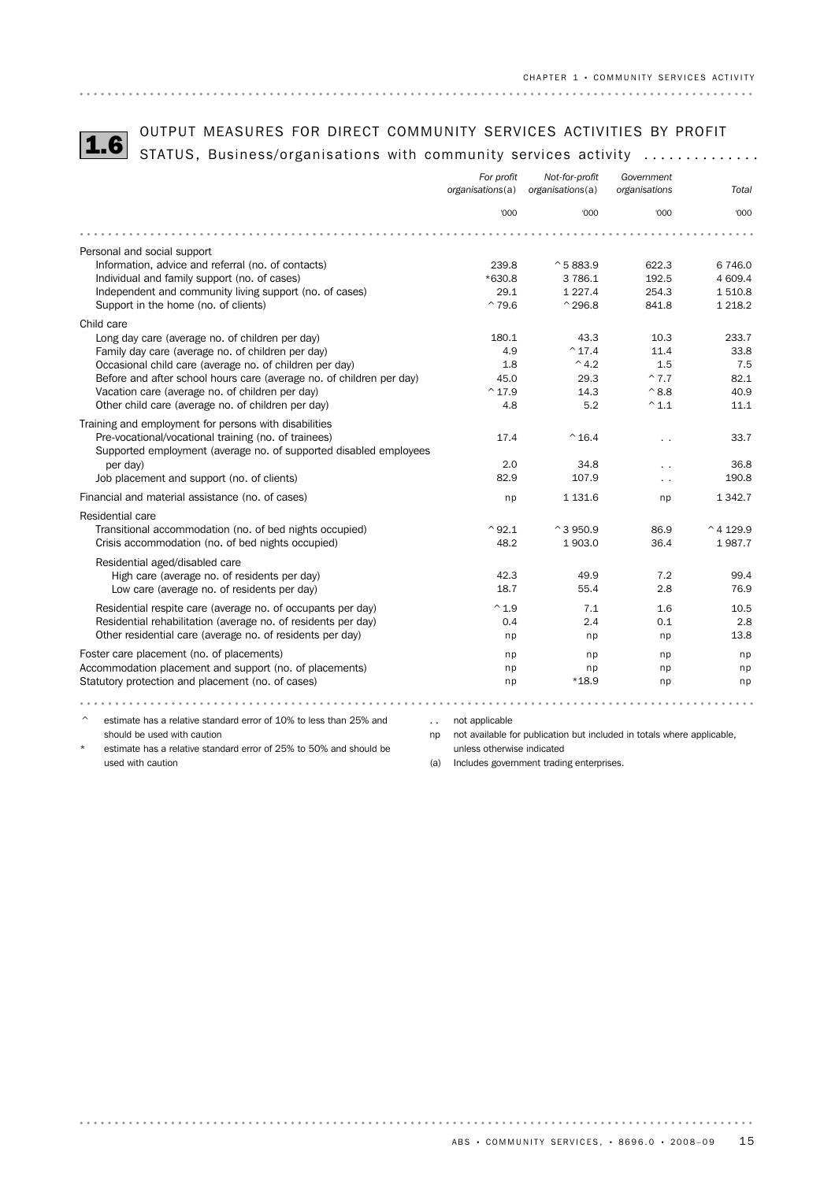OUTPUT MEASURES FOR DIRECT COMMUNITY SERVICES ACTIVITIES BY PROFIT<br>1.6 STATUS, Business/organisations with community services activity ..............

|                                                                      | For profit<br>organisations(a) | Not-for-profit<br>organisations(a) | Government<br>organisations | Total               |
|----------------------------------------------------------------------|--------------------------------|------------------------------------|-----------------------------|---------------------|
|                                                                      | '000                           | '000                               | '000                        | '000                |
|                                                                      |                                |                                    |                             |                     |
| Personal and social support                                          |                                |                                    |                             |                     |
| Information, advice and referral (no. of contacts)                   | 239.8                          | $^{\circ}$ 5 883.9                 | 622.3                       | 6746.0              |
| Individual and family support (no. of cases)                         | $*630.8$                       | 3 786.1                            | 192.5                       | 4 609.4             |
| Independent and community living support (no. of cases)              | 29.1                           | 1 2 2 7 . 4                        | 254.3                       | 1510.8              |
| Support in the home (no. of clients)                                 | $^{\sim}79.6$                  | $^{\wedge}$ 296.8                  | 841.8                       | 1 2 1 8 . 2         |
| Child care                                                           |                                |                                    |                             |                     |
| Long day care (average no. of children per day)                      | 180.1                          | 43.3                               | 10.3                        | 233.7               |
| Family day care (average no. of children per day)                    | 4.9                            | $^{\sim}$ 17.4                     | 11.4                        | 33.8                |
| Occasional child care (average no. of children per day)              | 1.8                            | $^{\wedge}$ 4.2                    | 1.5                         | 7.5                 |
| Before and after school hours care (average no. of children per day) | 45.0                           | 29.3                               | $^{\sim}7.7$                | 82.1                |
| Vacation care (average no. of children per day)                      | $^{\wedge}$ 17.9               | 14.3                               | $^{\wedge}8.8$              | 40.9                |
| Other child care (average no. of children per day)                   | 4.8                            | 5.2                                | $^{\wedge}$ 1.1             | 11.1                |
| Training and employment for persons with disabilities                |                                |                                    |                             |                     |
| Pre-vocational/vocational training (no. of trainees)                 | 17.4                           | $^{\wedge}$ 16.4                   | . .                         | 33.7                |
| Supported employment (average no. of supported disabled employees    |                                |                                    |                             |                     |
| per day)                                                             | 2.0                            | 34.8                               | . .                         | 36.8                |
| Job placement and support (no. of clients)                           | 82.9                           | 107.9                              | $\ddot{\phantom{0}}$        | 190.8               |
| Financial and material assistance (no. of cases)                     | np                             | 1 1 3 1.6                          | np                          | 1 3 4 2.7           |
| <b>Residential care</b>                                              |                                |                                    |                             |                     |
| Transitional accommodation (no. of bed nights occupied)              | $^{\wedge}92.1$                | $^{\wedge}$ 3 950.9                | 86.9                        | $^{\wedge}$ 4 129.9 |
| Crisis accommodation (no. of bed nights occupied)                    | 48.2                           | 1903.0                             | 36.4                        | 1987.7              |
| Residential aged/disabled care                                       |                                |                                    |                             |                     |
| High care (average no. of residents per day)                         | 42.3                           | 49.9                               | 7.2                         | 99.4                |
| Low care (average no. of residents per day)                          | 18.7                           | 55.4                               | 2.8                         | 76.9                |
|                                                                      |                                |                                    |                             |                     |
| Residential respite care (average no. of occupants per day)          | $^{\wedge}1.9$                 | 7.1                                | 1.6                         | 10.5                |
| Residential rehabilitation (average no. of residents per day)        | 0.4                            | 2.4                                | 0.1                         | 2.8                 |
| Other residential care (average no. of residents per day)            | np                             | np                                 | np                          | 13.8                |
| Foster care placement (no. of placements)                            | np                             | np                                 | np                          | np                  |
| Accommodation placement and support (no. of placements)              | np                             | np                                 | np                          | np                  |
| Statutory protection and placement (no. of cases)                    | np                             | $*18.9$                            | np                          | np                  |
|                                                                      |                                |                                    |                             |                     |
| estimate has a relative standard error of 10% to less than 25% and   | not applicable                 |                                    |                             |                     |

should be used with caution

estimate has a relative standard error of 25% to 50% and should be used with caution

np not available for publication but included in totals where applicable, unless otherwise indicated

(a) Includes government trading enterprises.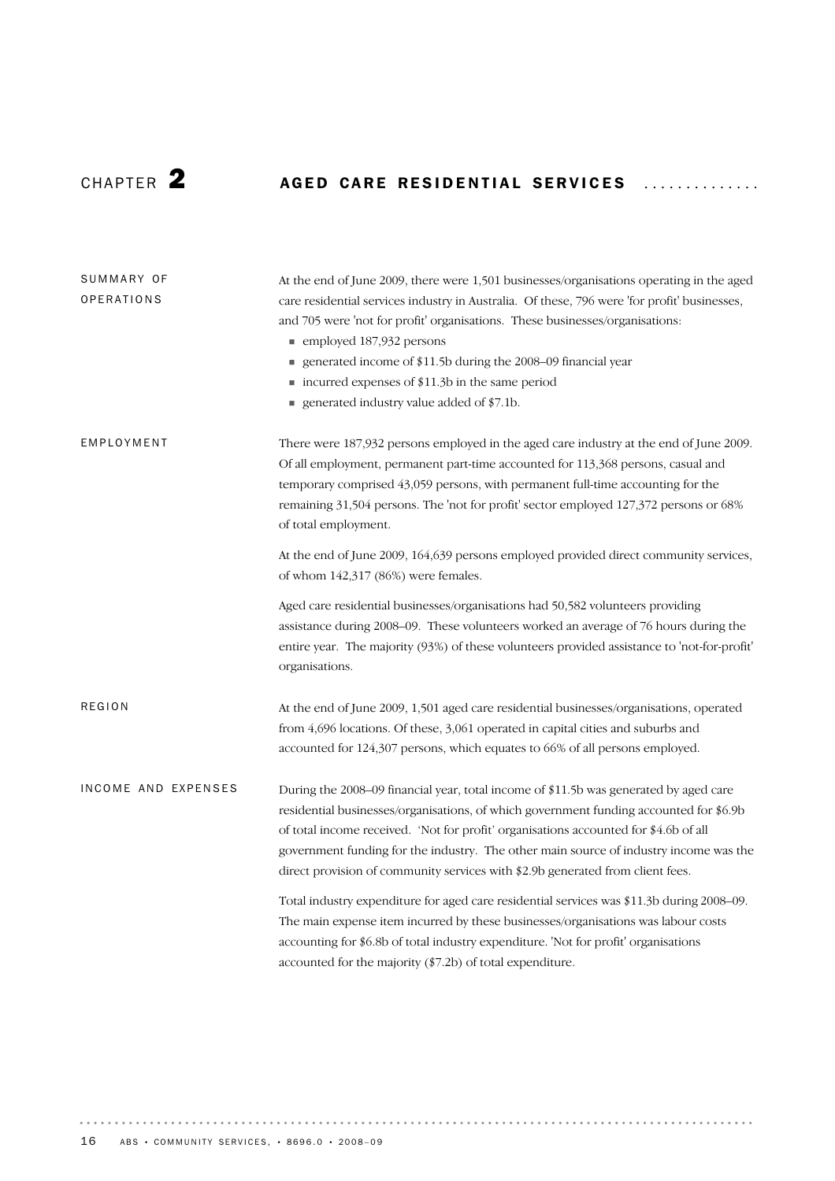# CHAPTER 2 **AGED CARE RESIDENTIAL SERVICES**

| SUMMARY OF<br>OPERATIONS | At the end of June 2009, there were 1,501 businesses/organisations operating in the aged<br>care residential services industry in Australia. Of these, 796 were 'for profit' businesses,<br>and 705 were 'not for profit' organisations. These businesses/organisations:<br>■ employed 187,932 persons<br>generated income of \$11.5b during the 2008-09 financial year<br>■ incurred expenses of \$11.3b in the same period<br>generated industry value added of \$7.1b. |
|--------------------------|---------------------------------------------------------------------------------------------------------------------------------------------------------------------------------------------------------------------------------------------------------------------------------------------------------------------------------------------------------------------------------------------------------------------------------------------------------------------------|
| EMPLOYMENT               | There were 187,932 persons employed in the aged care industry at the end of June 2009.<br>Of all employment, permanent part-time accounted for 113,368 persons, casual and<br>temporary comprised 43,059 persons, with permanent full-time accounting for the<br>remaining 31,504 persons. The 'not for profit' sector employed 127,372 persons or 68%<br>of total employment.                                                                                            |
|                          | At the end of June 2009, 164,639 persons employed provided direct community services,<br>of whom 142,317 (86%) were females.                                                                                                                                                                                                                                                                                                                                              |
|                          | Aged care residential businesses/organisations had 50,582 volunteers providing<br>assistance during 2008–09. These volunteers worked an average of 76 hours during the<br>entire year. The majority (93%) of these volunteers provided assistance to 'not-for-profit'<br>organisations.                                                                                                                                                                                   |
| <b>REGION</b>            | At the end of June 2009, 1,501 aged care residential businesses/organisations, operated<br>from 4,696 locations. Of these, 3,061 operated in capital cities and suburbs and<br>accounted for 124,307 persons, which equates to 66% of all persons employed.                                                                                                                                                                                                               |
| INCOME AND EXPENSES      | During the 2008-09 financial year, total income of \$11.5b was generated by aged care<br>residential businesses/organisations, of which government funding accounted for \$6.9b<br>of total income received. 'Not for profit' organisations accounted for \$4.6b of all<br>government funding for the industry. The other main source of industry income was the<br>direct provision of community services with \$2.9b generated from client fees.                        |
|                          | Total industry expenditure for aged care residential services was \$11.3b during 2008-09.<br>The main expense item incurred by these businesses/organisations was labour costs<br>accounting for \$6.8b of total industry expenditure. 'Not for profit' organisations<br>accounted for the majority (\$7.2b) of total expenditure.                                                                                                                                        |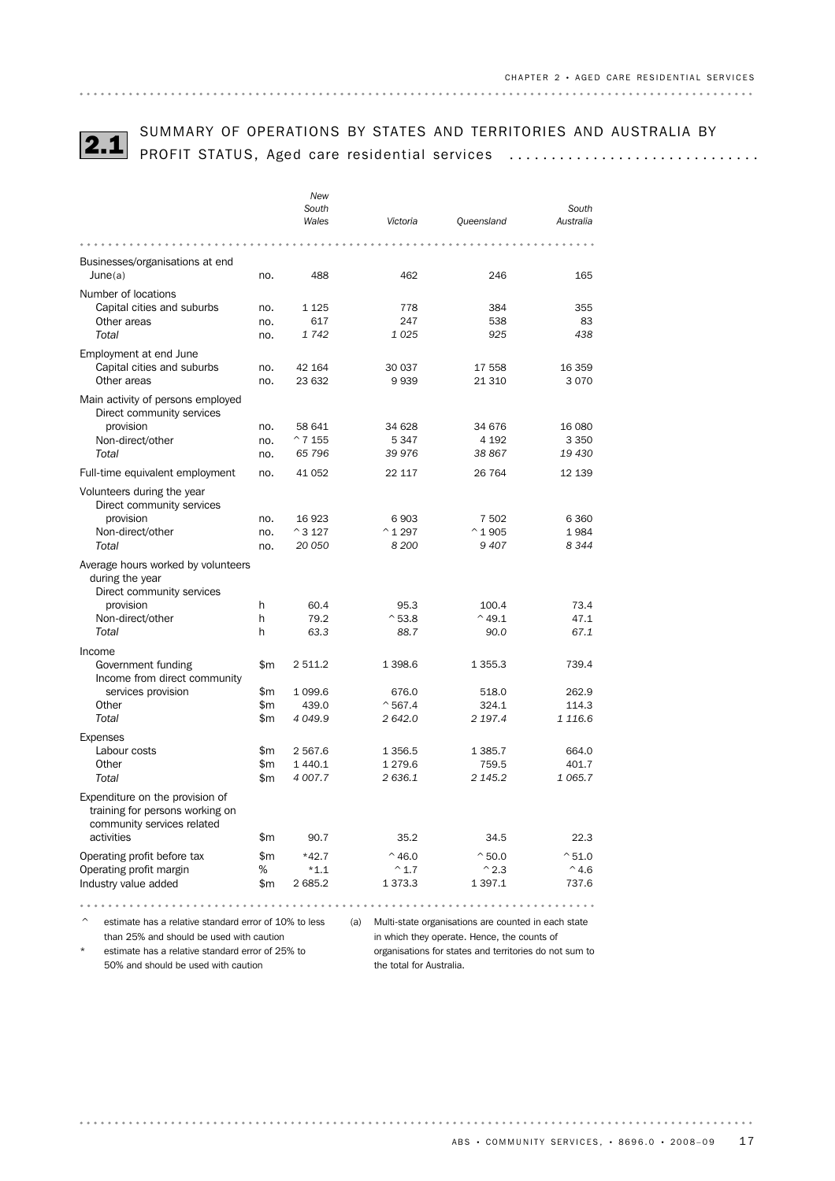

# SUMMARY OF OPERATIONS BY STATES AND TERRITORIES AND AUSTRALIA BY<br>PROFIT STATUS, Aged care residential services .................................

|                                                                                                                              |             | New<br>South               |                                 |                                   | South                |
|------------------------------------------------------------------------------------------------------------------------------|-------------|----------------------------|---------------------------------|-----------------------------------|----------------------|
|                                                                                                                              |             | Wales                      | Victoria                        | Queensland                        | Australia            |
|                                                                                                                              |             |                            |                                 |                                   |                      |
| Businesses/organisations at end                                                                                              |             |                            |                                 |                                   |                      |
| June(a)                                                                                                                      | no.         | 488                        | 462                             | 246                               | 165                  |
| Number of locations                                                                                                          |             |                            |                                 |                                   |                      |
| Capital cities and suburbs                                                                                                   | no.         | 1 1 2 5                    | 778                             | 384                               | 355                  |
| Other areas                                                                                                                  | no.         | 617                        | 247                             | 538                               | 83                   |
| Total                                                                                                                        | no.         | 1742                       | 1025                            | 925                               | 438                  |
| Employment at end June                                                                                                       |             |                            |                                 |                                   |                      |
| Capital cities and suburbs                                                                                                   | no.         | 42 164                     | 30 037                          | 17 558                            | 16 359               |
| Other areas                                                                                                                  | no.         | 23 632                     | 9939                            | 21 310                            | 3070                 |
| Main activity of persons employed<br>Direct community services                                                               |             |                            |                                 |                                   |                      |
| provision                                                                                                                    | no.         | 58 641                     | 34 628                          | 34 676                            | 16 080               |
| Non-direct/other                                                                                                             | no.         | $^{\circ}$ 7 155           | 5347                            | 4 192                             | 3 3 5 0              |
| Total                                                                                                                        | no.         | 65 796                     | 39 976                          | 38 867                            | 19 430               |
| Full-time equivalent employment                                                                                              | no.         | 41 052                     | 22 117                          | 26 7 64                           | 12 139               |
| Volunteers during the year<br>Direct community services                                                                      |             |                            |                                 |                                   |                      |
| provision                                                                                                                    | no.         | 16 923                     | 6903                            | 7 502                             | 6 3 6 0              |
| Non-direct/other<br><b>Total</b>                                                                                             | no.<br>no.  | $^{\circ}$ 3 127<br>20 050 | $^{\wedge}$ 1 297<br>8 200      | $^{\wedge} 1905$<br>9407          | 1984<br>8344         |
| Average hours worked by volunteers<br>during the year<br>Direct community services<br>provision<br>Non-direct/other<br>Total | h<br>h<br>h | 60.4<br>79.2<br>63.3       | 95.3<br>$^{\circ}$ 53.8<br>88.7 | 100.4<br>$^{\wedge}$ 49.1<br>90.0 | 73.4<br>47.1<br>67.1 |
| Income                                                                                                                       |             |                            |                                 |                                   |                      |
| Government funding<br>Income from direct community                                                                           | \$m         | 2 511.2                    | 1 3 9 8.6                       | 1 3 5 5.3                         | 739.4                |
| services provision                                                                                                           | \$m         | 1 0 9 9.6                  | 676.0                           | 518.0                             | 262.9                |
| Other                                                                                                                        | \$m         | 439.0                      | $^{\sim}$ 567.4                 | 324.1                             | 114.3                |
| Total                                                                                                                        | \$m         | 4 0 4 9.9                  | 2642.0                          | 2 197.4                           | 1 1 1 6.6            |
| Expenses                                                                                                                     |             |                            |                                 |                                   |                      |
| Labour costs                                                                                                                 | \$m         | 2 5 6 7.6                  | 1 3 5 6.5                       | 1 3 8 5.7                         | 664.0                |
| Other                                                                                                                        | \$m         | 1 440.1                    | 1 279.6                         | 759.5                             | 401.7                |
| Total                                                                                                                        | \$m         | 4 007.7                    | 2636.1                          | 2 145.2                           | 1 0 6 5.7            |
| Expenditure on the provision of<br>training for persons working on<br>community services related                             |             |                            |                                 |                                   |                      |
| activities                                                                                                                   | \$m         | 90.7                       | 35.2                            | 34.5                              | 22.3                 |
| Operating profit before tax                                                                                                  | \$m         | $*42.7$                    | $^{\wedge}$ 46.0                | $^{\circ}50.0$                    | $^{\sim}51.0$        |
| Operating profit margin                                                                                                      | %           | $*1.1$                     | $^{\wedge}$ 1.7                 | $^{\wedge}2.3$                    | $^{\wedge}$ 4.6      |
| Industry value added                                                                                                         | \$m         | 2 685.2                    | 1 3 7 3 . 3                     | 1 3 9 7 . 1                       | 737.6                |
|                                                                                                                              |             |                            |                                 |                                   |                      |

 $\degree$  estimate has a relative standard error of 10% to less (a) Multi-state organisations are counted in each state than 25% and should be used with caution

estimate has a relative standard error of 25% to 50% and should be used with caution

in which they operate. Hence, the counts of organisations for states and territories do not sum to the total for Australia.

 $\begin{array}{cccccccccccccc} a & a & a & a & a & a & a & a \end{array}$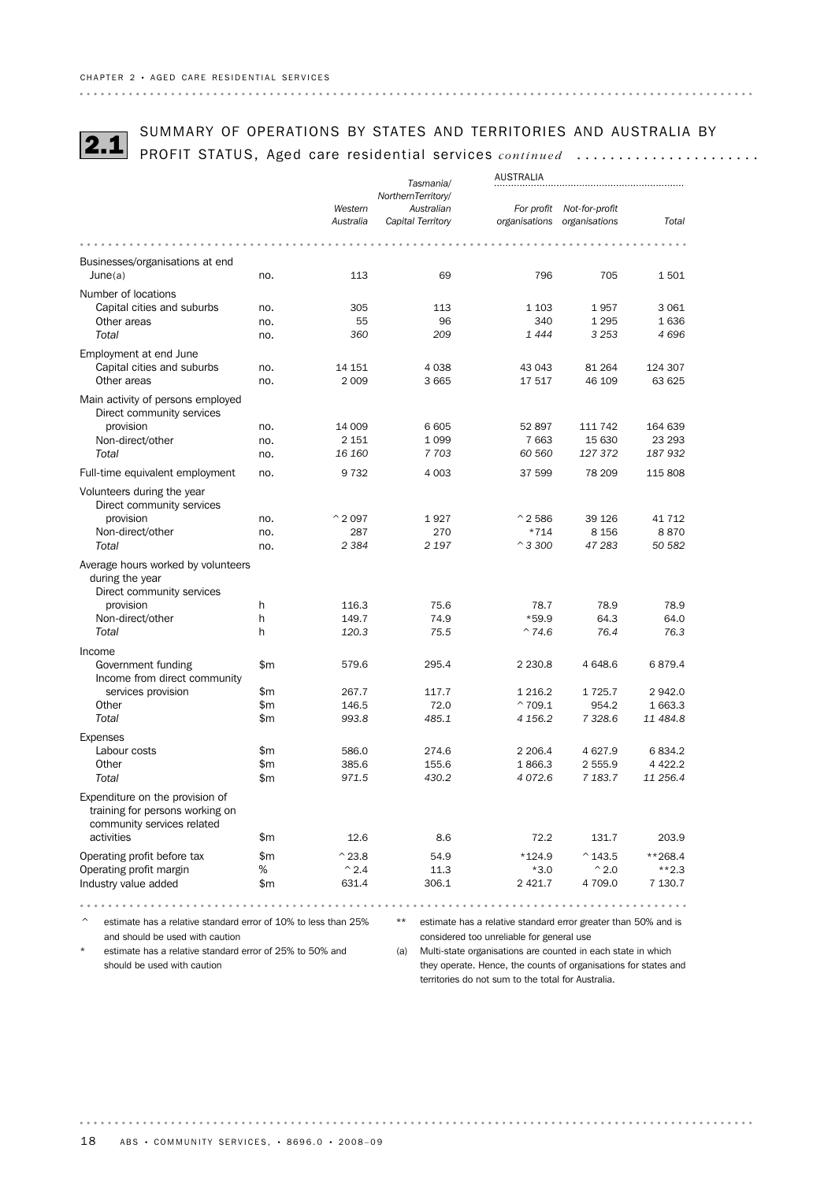SUMMARY OF OPERATIONS BY STATES AND TERRITORIES AND AUSTRALIA BY<br>2.1 PROFIT STATUS, Aged care residential services *continued* ......................

|                                                                | Tasmania/ |                  |                    | AUSTRALIA                                                      |                           |           |  |
|----------------------------------------------------------------|-----------|------------------|--------------------|----------------------------------------------------------------|---------------------------|-----------|--|
|                                                                |           |                  | NorthernTerritory/ |                                                                |                           |           |  |
|                                                                |           | Western          | Australian         |                                                                |                           |           |  |
|                                                                |           |                  |                    |                                                                | For profit Not-for-profit |           |  |
|                                                                |           | Australia        | Capital Territory  | organisations organisations                                    |                           | Total     |  |
|                                                                |           |                  |                    |                                                                |                           |           |  |
| Businesses/organisations at end                                |           |                  |                    |                                                                |                           |           |  |
| June(a)                                                        | no.       | 113              | 69                 | 796                                                            | 705                       | 1501      |  |
| Number of locations                                            |           |                  |                    |                                                                |                           |           |  |
| Capital cities and suburbs                                     | no.       | 305              | 113                | 1 1 0 3                                                        | 1957                      | 3 0 6 1   |  |
| Other areas                                                    | no.       | 55               | 96                 | 340                                                            | 1 2 9 5                   | 1636      |  |
| Total                                                          | no.       | 360              | 209                | 1444                                                           | 3 2 5 3                   | 4 6 9 6   |  |
|                                                                |           |                  |                    |                                                                |                           |           |  |
| Employment at end June                                         |           |                  |                    |                                                                |                           |           |  |
| Capital cities and suburbs                                     | no.       | 14 151           | 4 0 3 8            | 43 043                                                         | 81 264                    | 124 307   |  |
| Other areas                                                    | no.       | 2 0 0 9          | 3 6 6 5            | 17517                                                          | 46 109                    | 63 625    |  |
| Main activity of persons employed                              |           |                  |                    |                                                                |                           |           |  |
| Direct community services                                      |           |                  |                    |                                                                |                           |           |  |
| provision                                                      | no.       | 14 009           | 6 6 0 5            | 52 897                                                         | 111 742                   | 164 639   |  |
| Non-direct/other                                               | no.       | 2 1 5 1          | 1 0 9 9            | 7 6 63                                                         | 15 630                    | 23 293    |  |
| Total                                                          | no.       | 16 160           | 7 703              | 60 560                                                         | 127 372                   | 187932    |  |
| Full-time equivalent employment                                | no.       | 9 7 3 2          | 4 0 0 3            | 37 599                                                         | 78 209                    | 115 808   |  |
|                                                                |           |                  |                    |                                                                |                           |           |  |
| Volunteers during the year                                     |           |                  |                    |                                                                |                           |           |  |
| Direct community services                                      |           |                  |                    |                                                                |                           |           |  |
| provision                                                      | no.       | $^{\circ}$ 2 097 | 1927               | $^{\circ}$ 2 586                                               | 39 1 26                   | 41 7 12   |  |
| Non-direct/other                                               | no.       | 287              | 270                | $*714$                                                         | 8 1 5 6                   | 8870      |  |
| Total                                                          | no.       | 2 3 8 4          | 2 1 9 7            | $^{\circ}$ 3 300                                               | 47 283                    | 50 582    |  |
| Average hours worked by volunteers                             |           |                  |                    |                                                                |                           |           |  |
| during the year                                                |           |                  |                    |                                                                |                           |           |  |
| Direct community services                                      |           |                  |                    |                                                                |                           |           |  |
| provision                                                      | h         | 116.3            | 75.6               | 78.7                                                           | 78.9                      | 78.9      |  |
| Non-direct/other                                               | h         | 149.7            | 74.9               | $*59.9$                                                        | 64.3                      | 64.0      |  |
| Total                                                          | h         | 120.3            | 75.5               | $^{\wedge}74.6$                                                | 76.4                      | 76.3      |  |
| Income                                                         |           |                  |                    |                                                                |                           |           |  |
| Government funding                                             | \$m       | 579.6            | 295.4              | 2 2 3 0.8                                                      | 4 648.6                   | 6879.4    |  |
| Income from direct community                                   |           |                  |                    |                                                                |                           |           |  |
| services provision                                             | \$m       | 267.7            | 117.7              | 1 2 1 6.2                                                      | 1 7 2 5 . 7               | 2942.0    |  |
| Other                                                          | \$m       | 146.5            | 72.0               | $^{\sim}$ 709.1                                                | 954.2                     | 1 663.3   |  |
| Total                                                          | \$m       | 993.8            | 485.1              | 4 156.2                                                        | 7 3 28.6                  | 11 484.8  |  |
|                                                                |           |                  |                    |                                                                |                           |           |  |
| Expenses                                                       |           |                  |                    |                                                                |                           |           |  |
| Labour costs                                                   | \$m       | 586.0            | 274.6              | 2 2 0 6.4                                                      | 4 627.9                   | 6834.2    |  |
| Other                                                          | \$m       | 385.6            | 155.6              | 1866.3                                                         | 2 555.9                   | 4 4 2 2.2 |  |
| Total                                                          | \$m       | 971.5            | 430.2              | 4 0 7 2.6                                                      | 7 183.7                   | 11 256.4  |  |
| Expenditure on the provision of                                |           |                  |                    |                                                                |                           |           |  |
| training for persons working on                                |           |                  |                    |                                                                |                           |           |  |
| community services related                                     |           |                  |                    |                                                                |                           |           |  |
| activities                                                     | \$m       | 12.6             | 8.6                | 72.2                                                           | 131.7                     | 203.9     |  |
|                                                                |           |                  |                    |                                                                |                           |           |  |
| Operating profit before tax                                    | \$m       | $^{\wedge}$ 23.8 | 54.9               | $*124.9$                                                       | $^{\circ}$ 143.5          | $**268.4$ |  |
| Operating profit margin                                        | %         | $^{\wedge}$ 2.4  | 11.3               | $*3.0$                                                         | $^{\wedge}2.0$            | $***2.3$  |  |
| Industry value added                                           | \$m       | 631.4            | 306.1              | 2 4 2 1.7                                                      | 4 709.0                   | 7 130.7   |  |
|                                                                |           |                  |                    |                                                                | .                         |           |  |
| estimate has a relative standard error of 10% to less than 25% |           |                  | $***$              | estimate has a relative standard error greater than 50% and is |                           |           |  |
| and should be used with caution                                |           |                  |                    | considered too unreliable for general use                      |                           |           |  |
|                                                                |           |                  |                    |                                                                |                           |           |  |

\* estimate has a relative standard error of 25% to 50% and should be used with caution

(a) Multi-state organisations are counted in each state in which they operate. Hence, the counts of organisations for states and territories do not sum to the total for Australia.

. . . . . . .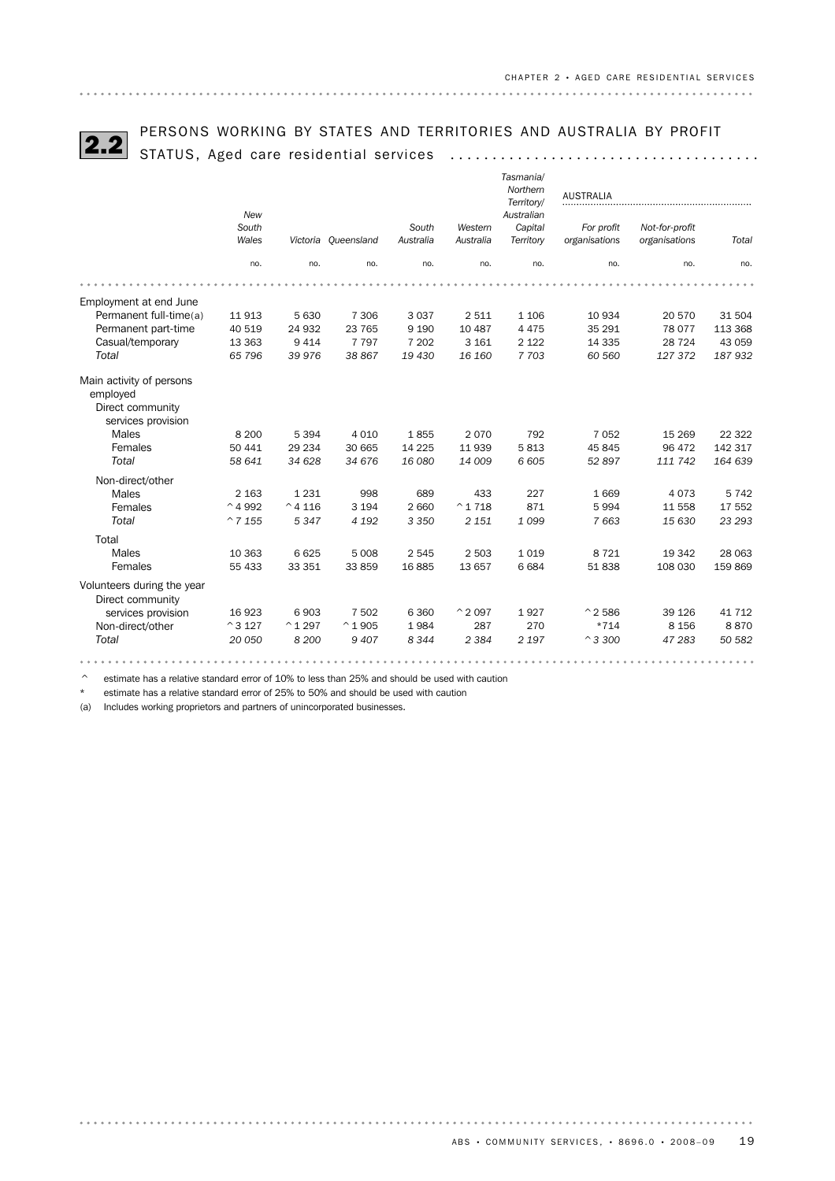# PERSONS WORKING BY STATES AND TERRITORIES AND AUSTRALIA BY PROFIT 2.2 STATUS, Aged care residential services .....................................

|                                                                                |                   |                   |                     |                    |                      | Tasmania/<br>Northern<br>Territory/ | <b>AUSTRALIA</b>            |                                 |         |
|--------------------------------------------------------------------------------|-------------------|-------------------|---------------------|--------------------|----------------------|-------------------------------------|-----------------------------|---------------------------------|---------|
|                                                                                | New               |                   |                     |                    |                      | Australian                          |                             |                                 |         |
|                                                                                | South<br>Wales    |                   | Victoria Queensland | South<br>Australia | Western<br>Australia | Capital<br>Territory                | For profit<br>organisations | Not-for-profit<br>organisations | Total   |
|                                                                                |                   |                   |                     |                    |                      |                                     |                             |                                 |         |
|                                                                                | no.               | no.               | no.                 | no.                | no.                  | no.                                 | no.                         | no.                             | no.     |
|                                                                                |                   |                   |                     |                    |                      |                                     |                             |                                 |         |
| Employment at end June                                                         |                   |                   |                     |                    |                      |                                     |                             |                                 |         |
| Permanent full-time(a)                                                         | 11913             | 5 6 3 0           | 7 3 0 6             | 3037               | 2511                 | 1 1 0 6                             | 10 9 34                     | 20 570                          | 31 504  |
| Permanent part-time                                                            | 40 519            | 24 932            | 23 765              | 9 1 9 0            | 10 487               | 4 4 7 5                             | 35 291                      | 78 077                          | 113 368 |
| Casual/temporary                                                               | 13 3 63           | 9 4 1 4           | 7 7 9 7             | 7 2 0 2            | 3 1 6 1              | 2 1 2 2                             | 14 3 35                     | 28 7 24                         | 43 059  |
| Total                                                                          | 65 796            | 39 976            | 38 867              | 19 430             | 16 160               | 7 703                               | 60 560                      | 127 372                         | 187 932 |
| Main activity of persons<br>employed<br>Direct community<br>services provision |                   |                   |                     |                    |                      |                                     |                             |                                 |         |
| Males                                                                          | 8 2 0 0           | 5 3 9 4           | 4 0 1 0             | 1855               | 2070                 | 792                                 | 7 0 5 2                     | 15 2 69                         | 22 3 22 |
| Females                                                                        | 50 441            | 29 234            | 30 665              | 14 2 25            | 11939                | 5813                                | 45 845                      | 96 472                          | 142 317 |
| Total                                                                          | 58 641            | 34 628            | 34 676              | 16 080             | 14 009               | 6 605                               | 52 897                      | 111 742                         | 164 639 |
| Non-direct/other                                                               |                   |                   |                     |                    |                      |                                     |                             |                                 |         |
| Males                                                                          | 2 1 6 3           | 1 2 3 1           | 998                 | 689                | 433                  | 227                                 | 1669                        | 4 0 7 3                         | 5742    |
| Females                                                                        | $^{\wedge}$ 4 992 | $^{\wedge}$ 4 116 | 3 1 9 4             | 2 6 6 0            | $^{\wedge}$ 1 718    | 871                                 | 5994                        | 11 558                          | 17 552  |
| <b>Total</b>                                                                   | $^{\circ}$ 7 155  | 5347              | 4 1 9 2             | 3 3 5 0            | 2 1 5 1              | 1099                                | 7663                        | 15 630                          | 23 293  |
| Total                                                                          |                   |                   |                     |                    |                      |                                     |                             |                                 |         |
| Males                                                                          | 10 363            | 6625              | 5 0 0 8             | 2545               | 2 5 0 3              | 1019                                | 8721                        | 19 342                          | 28 063  |
| Females                                                                        | 55 433            | 33 351            | 33 859              | 16885              | 13 657               | 6684                                | 51838                       | 108 030                         | 159869  |
| Volunteers during the year<br>Direct community                                 |                   |                   |                     |                    |                      |                                     |                             |                                 |         |
| services provision                                                             | 16 923            | 6903              | 7 502               | 6 3 6 0            | $^{\wedge}$ 2097     | 1927                                | $^{\circ}$ 2 586            | 39 1 26                         | 41 7 12 |
| Non-direct/other                                                               | $^{\circ}3127$    | $^{\wedge}1297$   | $^{\wedge} 1905$    | 1984               | 287                  | 270                                 | $*714$                      | 8 1 5 6                         | 8870    |
| Total                                                                          | 20 050            | 8 2 0 0           | 9 4 0 7             | 8 3 4 4            | 2 3 8 4              | 2 1 9 7                             | $^{\circ}$ 3 300            | 47 283                          | 50 582  |
|                                                                                |                   |                   |                     |                    |                      |                                     |                             |                                 |         |

 $\degree$  estimate has a relative standard error of 10% to less than 25% and should be used with caution \* estimate has a relative standard error of 25% to 50% and should be used with caution

(a) Includes working proprietors and partners of unincorporated businesses.

. . . . . . . . . . . . .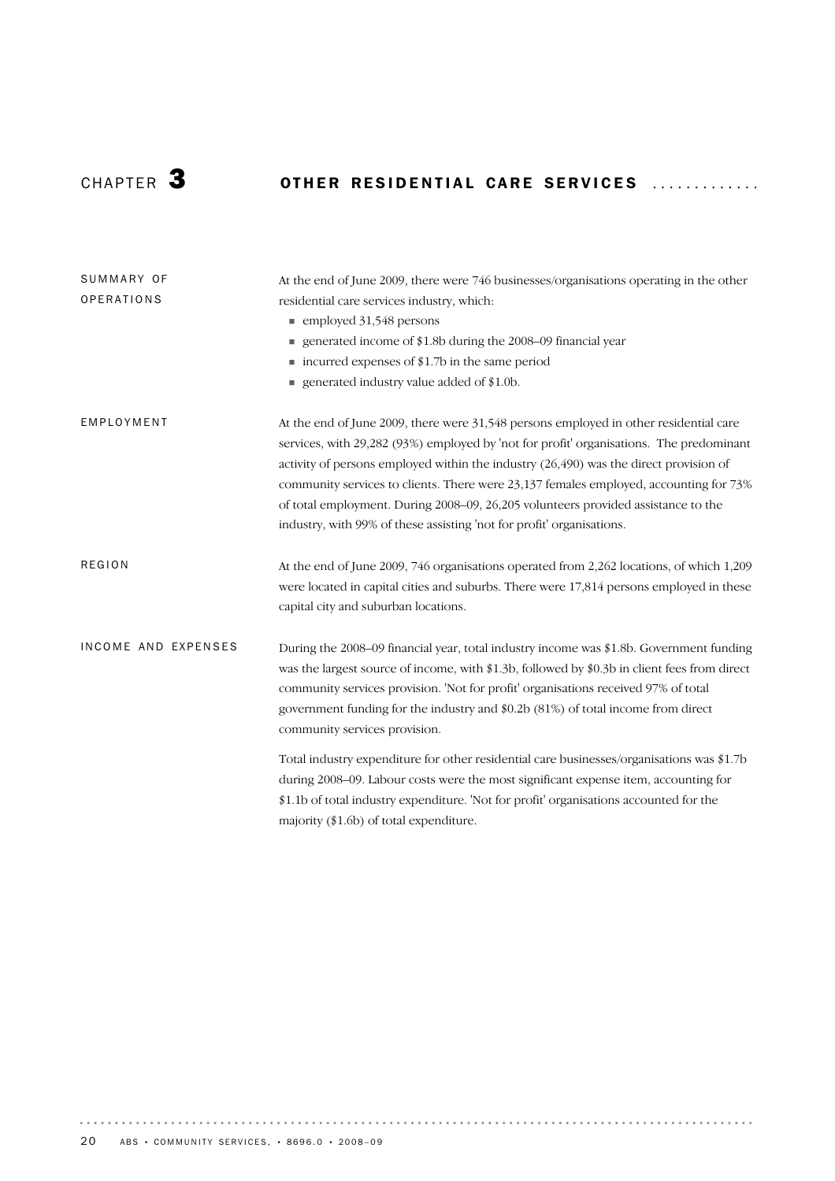# CHAPTER 3 OTHER RESIDENTIAL CARE SERVICES .............

| SUMMARY OF          | At the end of June 2009, there were 746 businesses/organisations operating in the other      |
|---------------------|----------------------------------------------------------------------------------------------|
| <b>OPERATIONS</b>   | residential care services industry, which:                                                   |
|                     | $\blacksquare$ employed 31,548 persons                                                       |
|                     | generated income of \$1.8b during the 2008–09 financial year                                 |
|                     | $\blacksquare$ incurred expenses of \$1.7b in the same period                                |
|                     | generated industry value added of \$1.0b.                                                    |
| EMPLOYMENT          | At the end of June 2009, there were 31,548 persons employed in other residential care        |
|                     | services, with 29,282 (93%) employed by 'not for profit' organisations. The predominant      |
|                     | activity of persons employed within the industry (26,490) was the direct provision of        |
|                     | community services to clients. There were 23,137 females employed, accounting for 73%        |
|                     | of total employment. During 2008–09, 26, 205 volunteers provided assistance to the           |
|                     | industry, with 99% of these assisting 'not for profit' organisations.                        |
| <b>REGION</b>       | At the end of June 2009, 746 organisations operated from 2,262 locations, of which 1,209     |
|                     | were located in capital cities and suburbs. There were 17,814 persons employed in these      |
|                     | capital city and suburban locations.                                                         |
| INCOME AND EXPENSES | During the 2008–09 financial year, total industry income was \$1.8b. Government funding      |
|                     | was the largest source of income, with \$1.3b, followed by \$0.3b in client fees from direct |
|                     | community services provision. 'Not for profit' organisations received 97% of total           |
|                     | government funding for the industry and \$0.2b (81%) of total income from direct             |
|                     | community services provision.                                                                |
|                     | Total industry expenditure for other residential care businesses/organisations was \$1.7b    |
|                     | during 2008–09. Labour costs were the most significant expense item, accounting for          |
|                     | \$1.1b of total industry expenditure. 'Not for profit' organisations accounted for the       |
|                     | majority $(\$1.6b)$ of total expenditure.                                                    |

 $\alpha$  ,  $\alpha$  ,  $\alpha$  ,  $\alpha$  ,  $\alpha$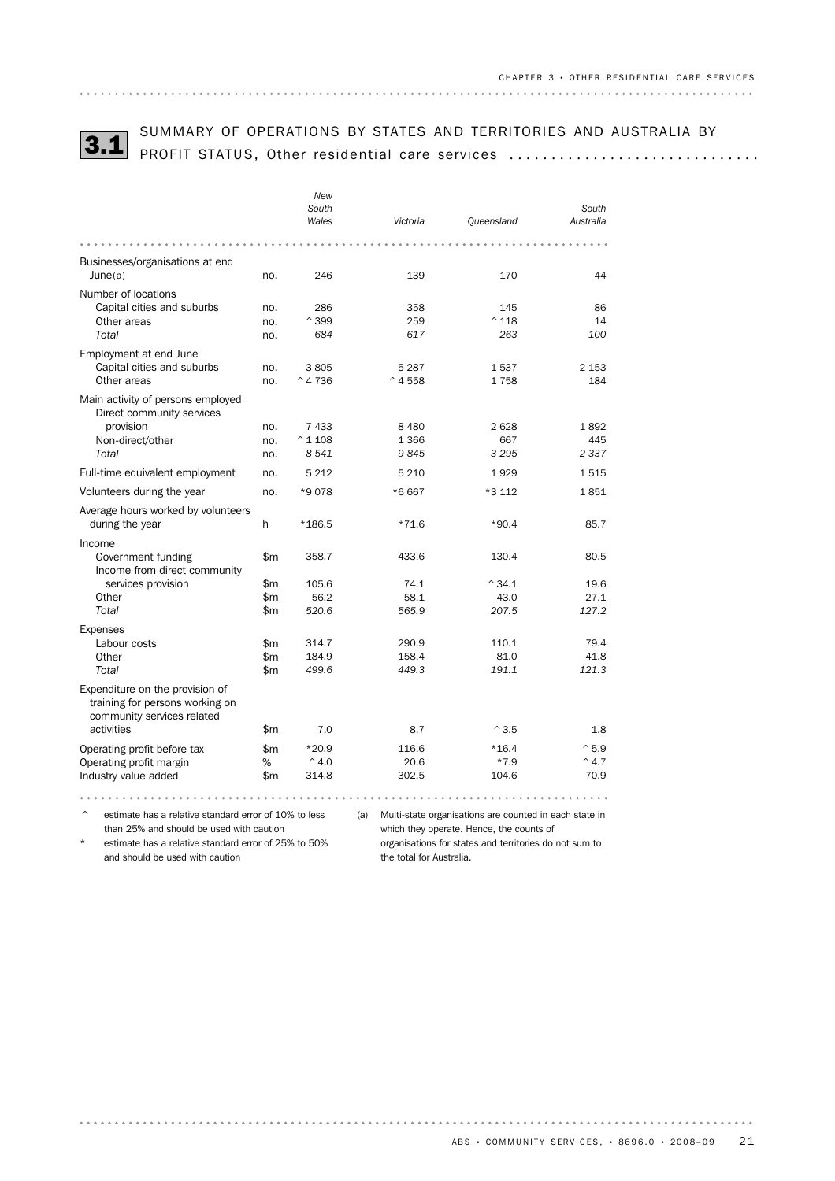

# SUMMARY OF OPERATIONS BY STATES AND TERRITORIES AND AUSTRALIA BY 3.1 PROFIT STATUS, Other residential care services ..............................

|                                                                                                                |            | New<br>South<br>Wales | Victoria         | Queensland            | South<br>Australia |
|----------------------------------------------------------------------------------------------------------------|------------|-----------------------|------------------|-----------------------|--------------------|
|                                                                                                                |            |                       |                  |                       |                    |
| Businesses/organisations at end<br>June(a)                                                                     | no.        | 246                   | 139              | 170                   | 44                 |
| Number of locations                                                                                            |            |                       |                  |                       |                    |
| Capital cities and suburbs<br>Other areas                                                                      | no.<br>no. | 286<br>$^{\wedge}399$ | 358<br>259       | 145<br>$^{\wedge}118$ | 86<br>14           |
| Total                                                                                                          | no.        | 684                   | 617              | 263                   | 100                |
| Employment at end June                                                                                         |            |                       |                  |                       |                    |
| Capital cities and suburbs                                                                                     | no.        | 3805                  | 5 2 8 7          | 1537                  | 2 1 5 3            |
| Other areas                                                                                                    | no.        | $^{\wedge}$ 4 736     | $^{\circ}$ 4 558 | 1758                  | 184                |
| Main activity of persons employed<br>Direct community services                                                 |            |                       |                  |                       |                    |
| provision                                                                                                      | no.        | 7 4 3 3               | 8 4 8 0          | 2628                  | 1892               |
| Non-direct/other                                                                                               | no.        | $^{\circ}$ 1 108      | 1 3 6 6          | 667                   | 445                |
| Total                                                                                                          | no.        | 8541                  | 9845             | 3 2 9 5               | 2 3 3 7            |
| Full-time equivalent employment                                                                                | no.        | 5 2 1 2               | 5 2 1 0          | 1929                  | 1515               |
| Volunteers during the year                                                                                     | no.        | *9078                 | *6667            | *3 112                | 1851               |
| Average hours worked by volunteers<br>during the year                                                          | h          | *186.5                | $*71.6$          | $*90.4$               | 85.7               |
| Income                                                                                                         |            |                       |                  |                       |                    |
| Government funding<br>Income from direct community                                                             | \$m        | 358.7                 | 433.6            | 130.4                 | 80.5               |
| services provision                                                                                             | \$m        | 105.6                 | 74.1             | $^{\wedge}34.1$       | 19.6               |
| Other                                                                                                          | \$m\$      | 56.2                  | 58.1             | 43.0                  | 27.1               |
| Total                                                                                                          | \$m        | 520.6                 | 565.9            | 207.5                 | 127.2              |
| <b>Expenses</b>                                                                                                |            |                       |                  |                       |                    |
| Labour costs                                                                                                   | \$m<br>\$m | 314.7<br>184.9        | 290.9<br>158.4   | 110.1<br>81.0         | 79.4<br>41.8       |
| Other<br>Total                                                                                                 | \$m        | 499.6                 | 449.3            | 191.1                 | 121.3              |
| Expenditure on the provision of<br>training for persons working on<br>community services related<br>activities | \$m        | 7.0                   | 8.7              | $^{\wedge}3.5$        | 1.8                |
| Operating profit before tax                                                                                    | \$m        | $*20.9$               | 116.6            | $*16.4$               | $^{\sim}$ 5.9      |
| Operating profit margin                                                                                        | ℅          | $^{\wedge}$ 4.0       | 20.6             | $*7.9$                | $^{\wedge}$ 4.7    |
| Industry value added                                                                                           | \$m        | 314.8                 | 302.5            | 104.6                 | 70.9               |
|                                                                                                                |            |                       |                  |                       |                    |

^ estimate has a relative standard error of 10% to less than 25% and should be used with caution

(a) Multi-state organisations are counted in each state in

estimate has a relative standard error of 25% to 50% and should be used with caution

which they operate. Hence, the counts of

organisations for states and territories do not sum to the total for Australia.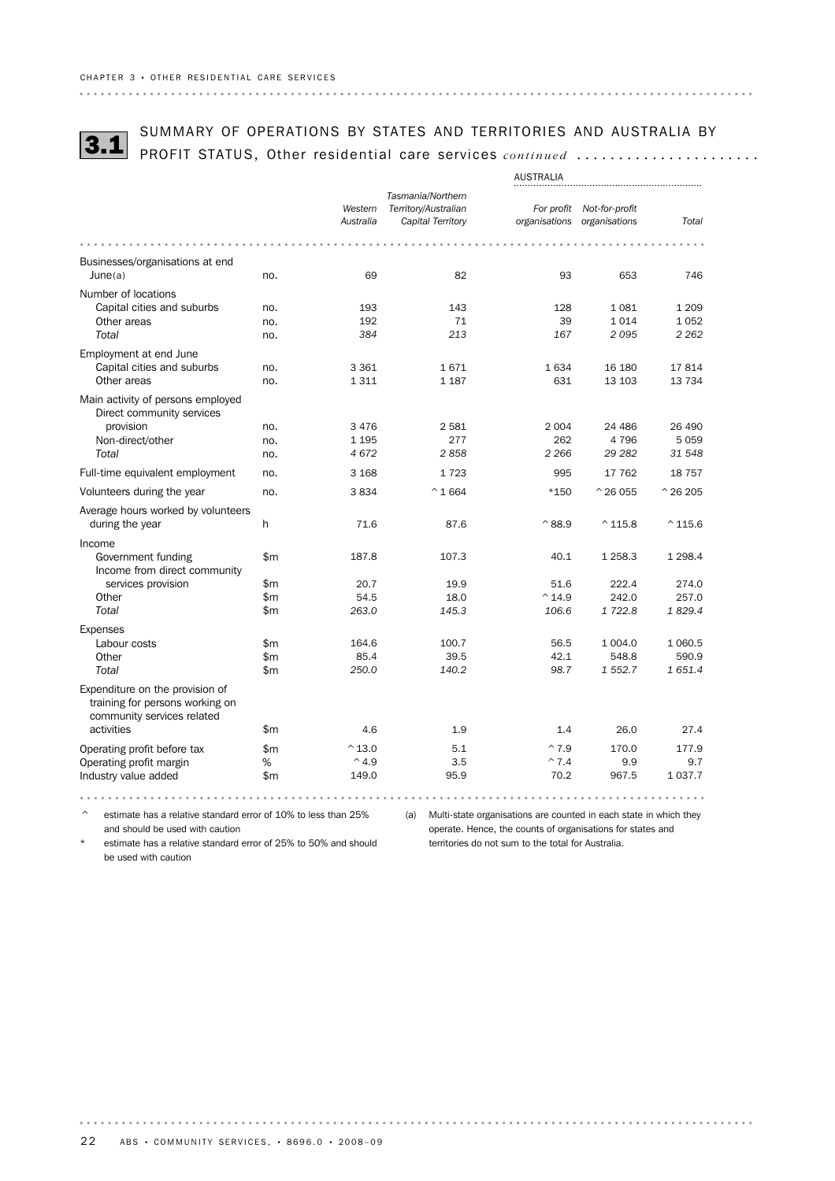

# SUMMARY OF OPERATIONS BY STATES AND TERRITORIES AND AUSTRALIA BY<br>3**.1** PROFIT STATUS, Other residential care services *continued* .....................

|                                                                                                  | AUSTRALIA                                                                                                                                                                                                                                                                                                                                                                                                                                                              |                      |                                                                |                             |                                 |                    |
|--------------------------------------------------------------------------------------------------|------------------------------------------------------------------------------------------------------------------------------------------------------------------------------------------------------------------------------------------------------------------------------------------------------------------------------------------------------------------------------------------------------------------------------------------------------------------------|----------------------|----------------------------------------------------------------|-----------------------------|---------------------------------|--------------------|
|                                                                                                  |                                                                                                                                                                                                                                                                                                                                                                                                                                                                        | Western<br>Australia | Tasmania/Northern<br>Territory/Australian<br>Capital Territory | For profit<br>organisations | Not-for-profit<br>organisations | Total              |
|                                                                                                  |                                                                                                                                                                                                                                                                                                                                                                                                                                                                        |                      |                                                                |                             |                                 |                    |
| Businesses/organisations at end<br>June(a)                                                       | no.                                                                                                                                                                                                                                                                                                                                                                                                                                                                    | 69                   | 82                                                             | 93                          | 653                             | 746                |
| Number of locations                                                                              |                                                                                                                                                                                                                                                                                                                                                                                                                                                                        |                      |                                                                |                             |                                 |                    |
| Capital cities and suburbs                                                                       | no.                                                                                                                                                                                                                                                                                                                                                                                                                                                                    | 193                  | 143                                                            | 128                         | 1081                            | 1 2 0 9            |
| Other areas                                                                                      | no.                                                                                                                                                                                                                                                                                                                                                                                                                                                                    | 192                  | 71                                                             | 39                          | 1014                            | 1 0 5 2            |
| Total                                                                                            | no.                                                                                                                                                                                                                                                                                                                                                                                                                                                                    | 384                  | 213                                                            | 167                         | 2095                            | 2 2 6 2            |
| Employment at end June                                                                           |                                                                                                                                                                                                                                                                                                                                                                                                                                                                        |                      |                                                                |                             |                                 |                    |
| Capital cities and suburbs                                                                       | no.                                                                                                                                                                                                                                                                                                                                                                                                                                                                    | 3 3 6 1              | 1671                                                           | 1634                        | 16 180                          | 17814              |
| Other areas                                                                                      | no.                                                                                                                                                                                                                                                                                                                                                                                                                                                                    | 1311                 | 1 1 8 7                                                        | 631                         | 13 103                          | 13734              |
| Main activity of persons employed<br>Direct community services                                   |                                                                                                                                                                                                                                                                                                                                                                                                                                                                        |                      |                                                                |                             |                                 |                    |
| provision                                                                                        | no.                                                                                                                                                                                                                                                                                                                                                                                                                                                                    | 3 4 7 6              | 2581                                                           | 2 0 0 4                     | 24 4 86                         | 26 490             |
| Non-direct/other                                                                                 | no.                                                                                                                                                                                                                                                                                                                                                                                                                                                                    | 1 1 9 5              | 277                                                            | 262                         | 4796                            | 5 0 5 9            |
| Total                                                                                            | no.                                                                                                                                                                                                                                                                                                                                                                                                                                                                    | 4672                 | 2858                                                           | 2 2 6 6                     | 29 28 2                         | 31 548             |
| Full-time equivalent employment                                                                  | no.                                                                                                                                                                                                                                                                                                                                                                                                                                                                    | 3 1 6 8              | 1723                                                           | 995                         | 17 762                          | 18 7 5 7           |
| Volunteers during the year                                                                       | no.                                                                                                                                                                                                                                                                                                                                                                                                                                                                    | 3834                 | $^{\wedge}1664$                                                | $*150$                      | $^{\wedge}$ 26 055              | $^{\wedge}$ 26 205 |
| Average hours worked by volunteers                                                               |                                                                                                                                                                                                                                                                                                                                                                                                                                                                        |                      |                                                                |                             |                                 |                    |
| during the year                                                                                  | $\mathsf{h}% _{1}\left( \mathsf{h}\right) ^{1}\left( \mathsf{h}\right) ^{1}\left( \mathsf{h}\right) ^{1}\left( \mathsf{h}\right) ^{1}\left( \mathsf{h}\right) ^{1}\left( \mathsf{h}\right) ^{1}\left( \mathsf{h}\right) ^{1}\left( \mathsf{h}\right) ^{1}\left( \mathsf{h}\right) ^{1}\left( \mathsf{h}\right) ^{1}\left( \mathsf{h}\right) ^{1}\left( \mathsf{h}\right) ^{1}\left( \mathsf{h}\right) ^{1}\left( \mathsf{h}\right) ^{1}\left( \mathsf{h}\right) ^{1}\$ | 71.6                 | 87.6                                                           | $^{\wedge}88.9$             | $^{\wedge}$ 115.8               | $^{\wedge}$ 115.6  |
| Income                                                                                           |                                                                                                                                                                                                                                                                                                                                                                                                                                                                        |                      |                                                                |                             |                                 |                    |
| Government funding<br>Income from direct community                                               | \$m                                                                                                                                                                                                                                                                                                                                                                                                                                                                    | 187.8                | 107.3                                                          | 40.1                        | 1 258.3                         | 1 2 9 8.4          |
| services provision                                                                               | \$m                                                                                                                                                                                                                                                                                                                                                                                                                                                                    | 20.7                 | 19.9                                                           | 51.6                        | 222.4                           | 274.0              |
| Other                                                                                            | \$m                                                                                                                                                                                                                                                                                                                                                                                                                                                                    | 54.5                 | 18.0                                                           | $^{\wedge}$ 14.9            | 242.0                           | 257.0              |
| Total                                                                                            | \$m                                                                                                                                                                                                                                                                                                                                                                                                                                                                    | 263.0                | 145.3                                                          | 106.6                       | 1722.8                          | 1829.4             |
| <b>Expenses</b>                                                                                  |                                                                                                                                                                                                                                                                                                                                                                                                                                                                        |                      |                                                                |                             |                                 |                    |
| Labour costs                                                                                     | \$m                                                                                                                                                                                                                                                                                                                                                                                                                                                                    | 164.6                | 100.7                                                          | 56.5                        | 1 004.0                         | 1 0 6 0.5          |
| Other                                                                                            | \$m                                                                                                                                                                                                                                                                                                                                                                                                                                                                    | 85.4                 | 39.5                                                           | 42.1                        | 548.8                           | 590.9              |
| Total                                                                                            | \$m                                                                                                                                                                                                                                                                                                                                                                                                                                                                    | 250.0                | 140.2                                                          | 98.7                        | 1 552.7                         | 1 651.4            |
| Expenditure on the provision of<br>training for persons working on<br>community services related |                                                                                                                                                                                                                                                                                                                                                                                                                                                                        |                      |                                                                |                             |                                 |                    |
| activities                                                                                       | \$m                                                                                                                                                                                                                                                                                                                                                                                                                                                                    | 4.6                  | 1.9                                                            | 1.4                         | 26.0                            | 27.4               |
| Operating profit before tax                                                                      | \$m                                                                                                                                                                                                                                                                                                                                                                                                                                                                    | $^{\wedge}$ 13.0     | 5.1                                                            | $^{\wedge}7.9$              | 170.0                           | 177.9              |
| Operating profit margin                                                                          | %                                                                                                                                                                                                                                                                                                                                                                                                                                                                      | $^{\wedge}$ 4.9      | 3.5                                                            | $^{\sim}7.4$                | 9.9                             | 9.7                |
| Industry value added                                                                             | \$m                                                                                                                                                                                                                                                                                                                                                                                                                                                                    | 149.0                | 95.9                                                           | 70.2                        | 967.5                           | 1 0 3 7 . 7        |
|                                                                                                  |                                                                                                                                                                                                                                                                                                                                                                                                                                                                        |                      |                                                                |                             |                                 |                    |

 $\degree$  estimate has a relative standard error of 10% to less than 25% and should be used with caution

(a) Multi-state organisations are counted in each state in which they operate. Hence, the counts of organisations for states and territories do not sum to the total for Australia.

estimate has a relative standard error of 25% to 50% and should be used with caution

. . . . . .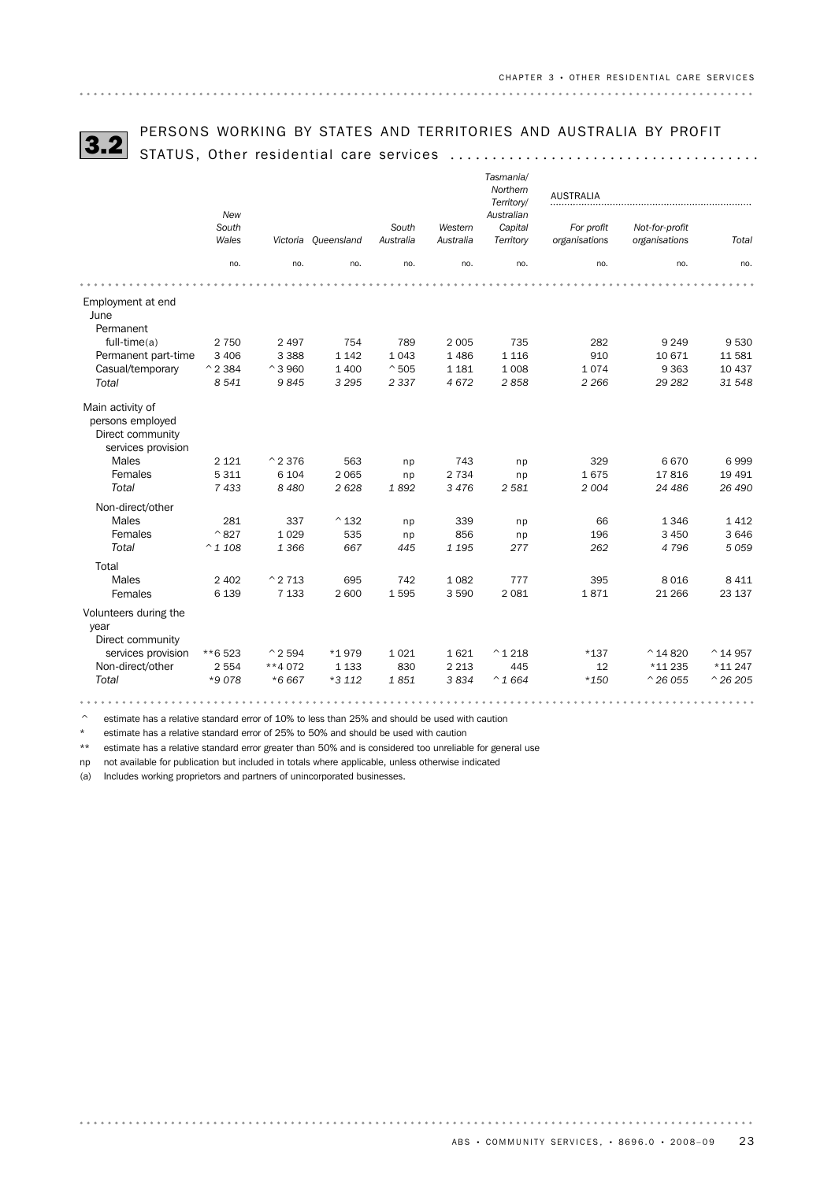

# PERSONS WORKING BY STATES AND TERRITORIES AND AUSTRALIA BY PROFIT 3.2 STATUS, Other residential care services .....................................

|  | TUS, Other residential care services |  |
|--|--------------------------------------|--|
|  |                                      |  |

|                                                          | New               |                    |                     |                |                    | Tasmania/<br>Northern<br>Territory/<br>Australian | <b>AUSTRALIA</b> |                    |                    |
|----------------------------------------------------------|-------------------|--------------------|---------------------|----------------|--------------------|---------------------------------------------------|------------------|--------------------|--------------------|
|                                                          | South             |                    |                     | South          | Western            | Capital                                           | For profit       | Not-for-profit     |                    |
|                                                          | Wales             |                    | Victoria Oueensland | Australia      | Australia          | Territory                                         | organisations    | organisations      | Total              |
|                                                          | no.               | no.                | no.                 | no.            | no.                | no.                                               | no.              | no.                | no.                |
|                                                          |                   |                    |                     |                |                    |                                                   |                  |                    |                    |
| Employment at end<br>June<br>Permanent                   |                   |                    |                     |                |                    |                                                   |                  |                    |                    |
| $full-time(a)$                                           | 2 7 5 0           | 2 4 9 7            | 754                 | 789            | 2 0 0 5            | 735                                               | 282              | 9 2 4 9            | 9530               |
| Permanent part-time                                      | 3 4 0 6           | 3 3 8 8            | 1 1 4 2             | 1043           | 1486               | 1 1 1 6                                           | 910              | 10 671             | 11 581             |
| Casual/temporary                                         | $^{\wedge}$ 2 384 | $^{\circ}$ 3 960   | 1 400               | $^{\wedge}505$ | 1 1 8 1            | 1 0 0 8                                           | 1074             | 9 3 6 3            | 10 437             |
| Total                                                    | 8 5 4 1           | 9845               | 3 2 9 5             | 2 3 3 7        | 4 6 7 2            | 2858                                              | 2 2 6 6          | 29 28 2            | 31 548             |
|                                                          |                   |                    |                     |                |                    |                                                   |                  |                    |                    |
| Main activity of<br>persons employed<br>Direct community |                   |                    |                     |                |                    |                                                   |                  |                    |                    |
| services provision<br>Males                              | 2 1 2 1           | $^{\wedge}$ 2 376  | 563                 |                | 743                |                                                   | 329              | 6670               | 6999               |
|                                                          |                   |                    |                     | np             |                    | np                                                |                  |                    |                    |
| Females<br><b>Total</b>                                  | 5 3 1 1<br>7433   | 6 1 0 4<br>8 4 8 0 | 2 0 6 5<br>2628     | np<br>1892     | 2 7 3 4<br>3 4 7 6 | np<br>2 5 8 1                                     | 1675<br>2004     | 17816<br>24 486    | 19 4 91<br>26 490  |
|                                                          |                   |                    |                     |                |                    |                                                   |                  |                    |                    |
| Non-direct/other                                         |                   |                    |                     |                |                    |                                                   |                  |                    |                    |
| Males                                                    | 281               | 337                | $^{\wedge}$ 132     | np             | 339                | np                                                | 66               | 1 3 4 6            | 1 4 1 2            |
| Females                                                  | $^{\wedge}827$    | 1 0 2 9            | 535                 | np             | 856                | np                                                | 196              | 3 4 5 0            | 3 6 4 6            |
| <b>Total</b>                                             | $^{\circ}$ 1 108  | 1 3 6 6            | 667                 | 445            | 1 1 9 5            | 277                                               | 262              | 4796               | 5 0 5 9            |
| Total                                                    |                   |                    |                     |                |                    |                                                   |                  |                    |                    |
| Males                                                    | 2 4 0 2           | $^{\circ}$ 2 713   | 695                 | 742            | 1082               | 777                                               | 395              | 8 0 1 6            | 8 4 1 1            |
| Females                                                  | 6 1 3 9           | 7 1 3 3            | 2 600               | 1595           | 3 5 9 0            | 2 0 8 1                                           | 1871             | 21 266             | 23 137             |
| Volunteers during the<br>year<br>Direct community        |                   |                    |                     |                |                    |                                                   |                  |                    |                    |
| services provision                                       | **6523            | $^{\circ}$ 2 594   | *1979               | 1021           | 1621               | $^{\wedge}$ 1 218                                 | $*137$           | $^{\wedge}$ 14 820 | $^{\circ}$ 14 957  |
| Non-direct/other                                         | 2 5 5 4           | **4 072            | 1 1 3 3             | 830            | 2 2 1 3            | 445                                               | 12               | *11 235            | *11 247            |
| Total                                                    | *9078             | $*6667$            | *3 112              | 1851           | 3834               | $^{\wedge}1664$                                   | $*150$           | $^{\wedge}$ 26 055 | $^{\wedge}$ 26 205 |
|                                                          |                   |                    |                     |                |                    |                                                   |                  |                    |                    |

 $\degree$  estimate has a relative standard error of 10% to less than 25% and should be used with caution

\* estimate has a relative standard error of 25% to 50% and should be used with caution

\*\* estimate has a relative standard error greater than 50% and is considered too unreliable for general use

np not available for publication but included in totals where applicable, unless otherwise indicated

(a) Includes working proprietors and partners of unincorporated businesses.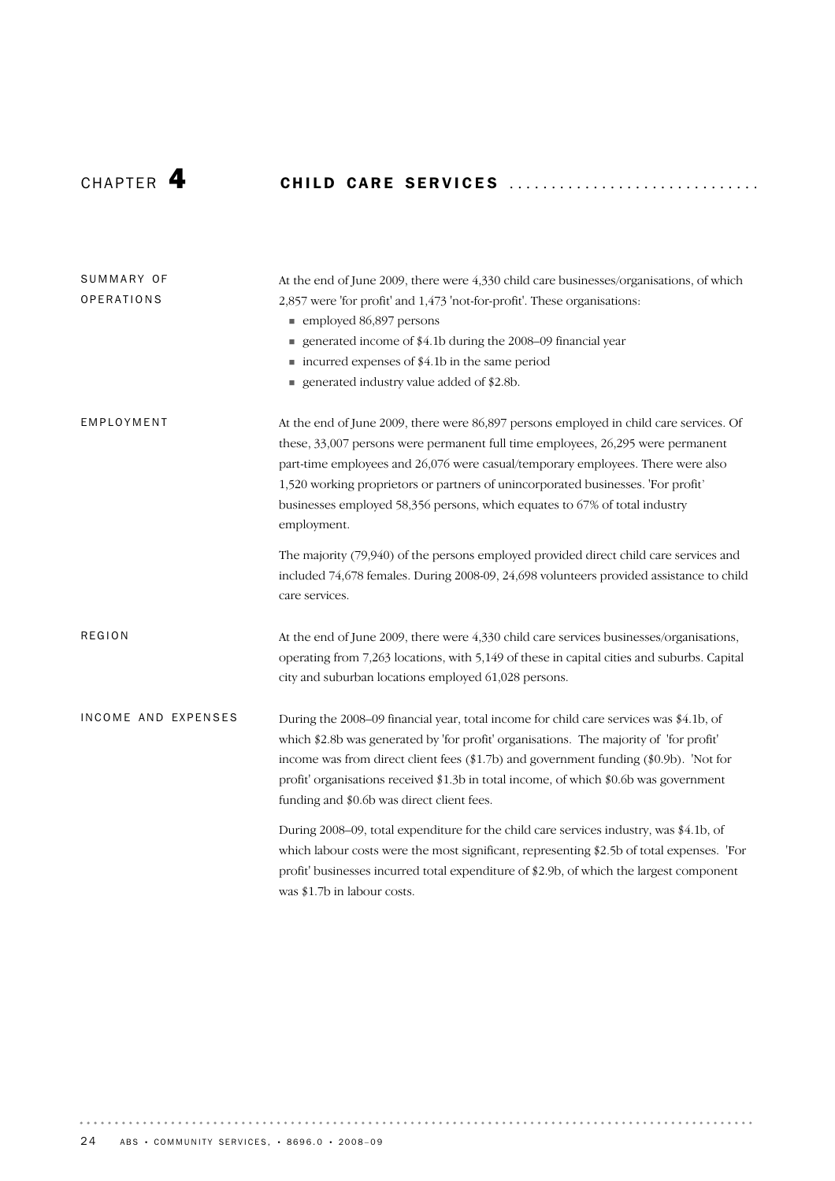# CHAP T E R 4 CH I L D CA R E SE R V I C E S ............................. .

| SUMMARY OF<br>OPERATIONS | At the end of June 2009, there were 4,330 child care businesses/organisations, of which<br>2,857 were 'for profit' and 1,473 'not-for-profit'. These organisations:                                                                                                                                                                                                                                                                           |  |  |  |  |  |  |
|--------------------------|-----------------------------------------------------------------------------------------------------------------------------------------------------------------------------------------------------------------------------------------------------------------------------------------------------------------------------------------------------------------------------------------------------------------------------------------------|--|--|--|--|--|--|
|                          | ■ employed 86,897 persons<br>generated income of \$4.1b during the 2008-09 financial year<br>■ incurred expenses of \$4.1b in the same period                                                                                                                                                                                                                                                                                                 |  |  |  |  |  |  |
|                          | generated industry value added of \$2.8b.                                                                                                                                                                                                                                                                                                                                                                                                     |  |  |  |  |  |  |
| EMPLOYMENT               | At the end of June 2009, there were 86,897 persons employed in child care services. Of<br>these, 33,007 persons were permanent full time employees, 26,295 were permanent<br>part-time employees and 26,076 were casual/temporary employees. There were also<br>1,520 working proprietors or partners of unincorporated businesses. 'For profit'<br>businesses employed 58,356 persons, which equates to 67% of total industry<br>employment. |  |  |  |  |  |  |
|                          | The majority (79,940) of the persons employed provided direct child care services and<br>included 74,678 females. During 2008-09, 24,698 volunteers provided assistance to child<br>care services.                                                                                                                                                                                                                                            |  |  |  |  |  |  |
| <b>REGION</b>            | At the end of June 2009, there were 4,330 child care services businesses/organisations,<br>operating from 7,263 locations, with 5,149 of these in capital cities and suburbs. Capital<br>city and suburban locations employed 61,028 persons.                                                                                                                                                                                                 |  |  |  |  |  |  |
| INCOME AND EXPENSES      | During the 2008-09 financial year, total income for child care services was \$4.1b, of<br>which \$2.8b was generated by 'for profit' organisations. The majority of 'for profit'<br>income was from direct client fees (\$1.7b) and government funding (\$0.9b). 'Not for<br>profit' organisations received \$1.3b in total income, of which \$0.6b was government<br>funding and \$0.6b was direct client fees.                              |  |  |  |  |  |  |
|                          | During 2008–09, total expenditure for the child care services industry, was \$4.1b, of<br>which labour costs were the most significant, representing \$2.5b of total expenses. 'For<br>profit' businesses incurred total expenditure of \$2.9b, of which the largest component<br>was \$1.7b in labour costs.                                                                                                                                 |  |  |  |  |  |  |

 $\cdots$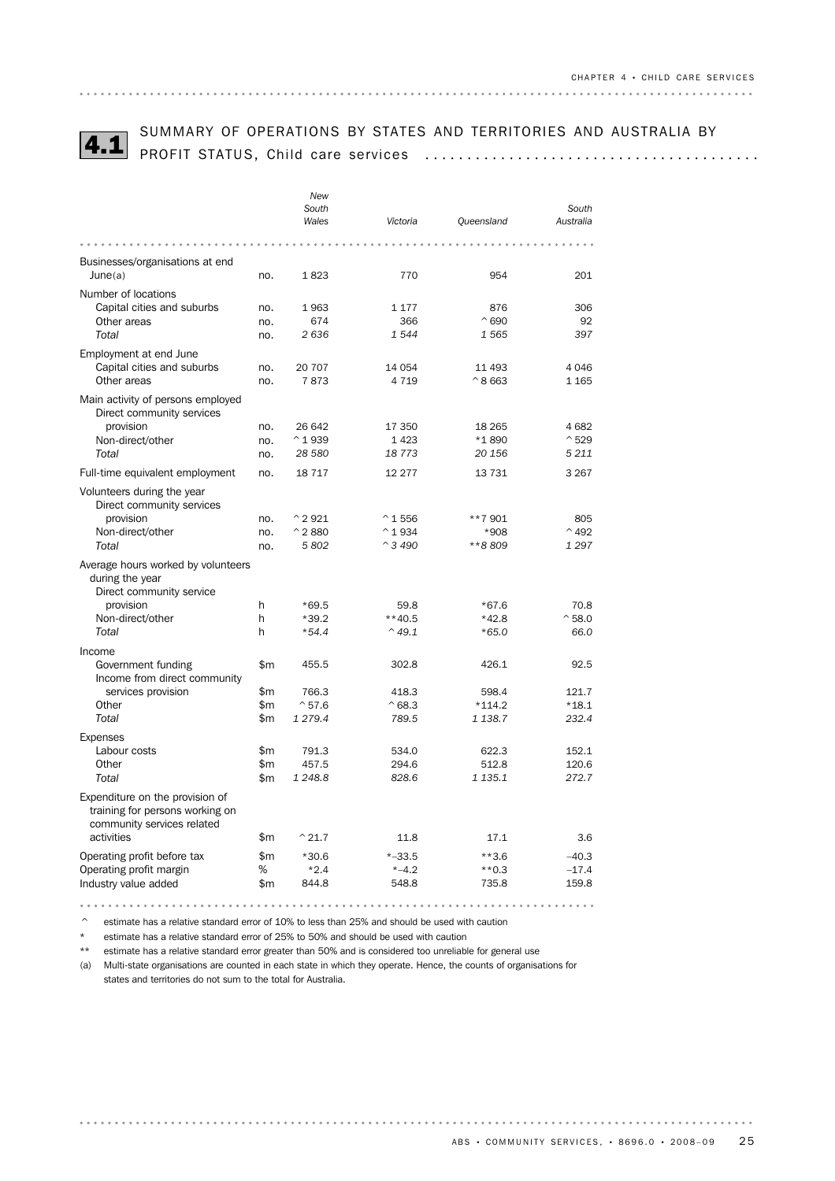

# SUMMARY OF OPERATIONS BY STATES AND TERRITORIES AND AUSTRALIA BY 4.1 PROFIT STATUS, Child care services ........................................

|                                                                                                  |            | <b>New</b><br>South<br>Wales | Victoria                 | Queensland           | South<br>Australia |
|--------------------------------------------------------------------------------------------------|------------|------------------------------|--------------------------|----------------------|--------------------|
|                                                                                                  |            |                              |                          |                      |                    |
| Businesses/organisations at end                                                                  |            |                              |                          |                      |                    |
| June(a)                                                                                          | no.        | 1823                         | 770                      | 954                  | 201                |
| Number of locations                                                                              |            |                              |                          |                      |                    |
| Capital cities and suburbs                                                                       | no.        | 1963                         | 1 1 7 7                  | 876                  | 306                |
| Other areas                                                                                      | no.        | 674                          | 366                      | $^{\circ}690$        | 92                 |
| <b>Total</b>                                                                                     | no.        | 2636                         | 1544                     | 1 5 6 5              | 397                |
| Employment at end June                                                                           |            |                              |                          |                      |                    |
| Capital cities and suburbs                                                                       | no.        | 20 70 7                      | 14 054                   | 11 493               | 4 0 4 6            |
| Other areas                                                                                      | no.        | 7873                         | 4 7 1 9                  | $^{\wedge}8663$      | 1 1 6 5            |
| Main activity of persons employed<br>Direct community services                                   |            |                              |                          |                      |                    |
| provision                                                                                        | no.        | 26 642                       | 17 350                   | 18 265               | 4682               |
| Non-direct/other                                                                                 | no.        | $^{\wedge}$ 1939             | 1423                     | *1890                | $^{\wedge}529$     |
| Total                                                                                            | no.        | 28 580                       | 18773                    | 20 156               | 5 2 1 1            |
| Full-time equivalent employment                                                                  | no.        | 18 7 17                      | 12 277                   | 13 7 31              | 3 2 6 7            |
| Volunteers during the year<br>Direct community services                                          |            |                              |                          |                      |                    |
| provision                                                                                        | no.        | $^{\wedge}$ 2921             | $^{\circ}$ 1 556         | **7 901              | 805                |
| Non-direct/other                                                                                 | no.        | $^{\circ}$ 2 880             | $^{\wedge}$ 1934         | *908                 | $^{\wedge}$ 492    |
| Total                                                                                            | no.        | 5802                         | $^{\sim}$ 3 490          | **8809               | 1 2 9 7            |
| Average hours worked by volunteers<br>during the year<br>Direct community service                |            |                              |                          |                      |                    |
| provision                                                                                        | h          | $*69.5$                      | 59.8                     | $*67.6$              | 70.8               |
| Non-direct/other                                                                                 | h          | $*39.2$                      | $**40.5$                 | $*42.8$              | $^{\circ}$ 58.0    |
| Total                                                                                            | h          | $*54.4$                      | $^{\wedge}$ 49.1         | $*65.0$              | 66.0               |
| Income                                                                                           |            |                              |                          |                      |                    |
| Government funding                                                                               | \$m        | 455.5                        | 302.8                    | 426.1                | 92.5               |
| Income from direct community                                                                     |            |                              |                          |                      |                    |
| services provision                                                                               | \$m        | 766.3                        | 418.3                    | 598.4                | 121.7              |
| Other<br>Total                                                                                   | \$m<br>\$m | $^{\circ}57.6$<br>1 279.4    | $^{\wedge}68.3$<br>789.5 | $*114.2$<br>1 1 38.7 | $*18.1$<br>232.4   |
|                                                                                                  |            |                              |                          |                      |                    |
| <b>Expenses</b>                                                                                  |            |                              |                          |                      |                    |
| Labour costs                                                                                     | \$m        | 791.3                        | 534.0                    | 622.3                | 152.1              |
| Other<br>Total                                                                                   | \$m<br>\$m | 457.5<br>1 248.8             | 294.6<br>828.6           | 512.8<br>1 1 3 5 . 1 | 120.6<br>272.7     |
|                                                                                                  |            |                              |                          |                      |                    |
| Expenditure on the provision of<br>training for persons working on<br>community services related |            |                              |                          |                      |                    |
| activities                                                                                       | \$m        | $^{\wedge}$ 21.7             | 11.8                     | 17.1                 | 3.6                |
| Operating profit before tax                                                                      | \$m        | $*30.6$                      | $* - 33.5$               | $***3.6$             | $-40.3$            |
| Operating profit margin                                                                          | %          | $*2.4$                       | $* -4.2$                 | $**0.3$              | $-17.4$            |
| Industry value added                                                                             | \$m        | 844.8                        | 548.8                    | 735.8                | 159.8              |
|                                                                                                  |            |                              |                          |                      |                    |

^ estimate has a relative standard error of 10% to less than 25% and should be used with caution

\* estimate has a relative standard error of 25% to 50% and should be used with caution

\*\* estimate has a relative standard error greater than 50% and is considered too unreliable for general use

(a) Multi-state organisations are counted in each state in which they operate. Hence, the counts of organisations for states and territories do not sum to the total for Australia.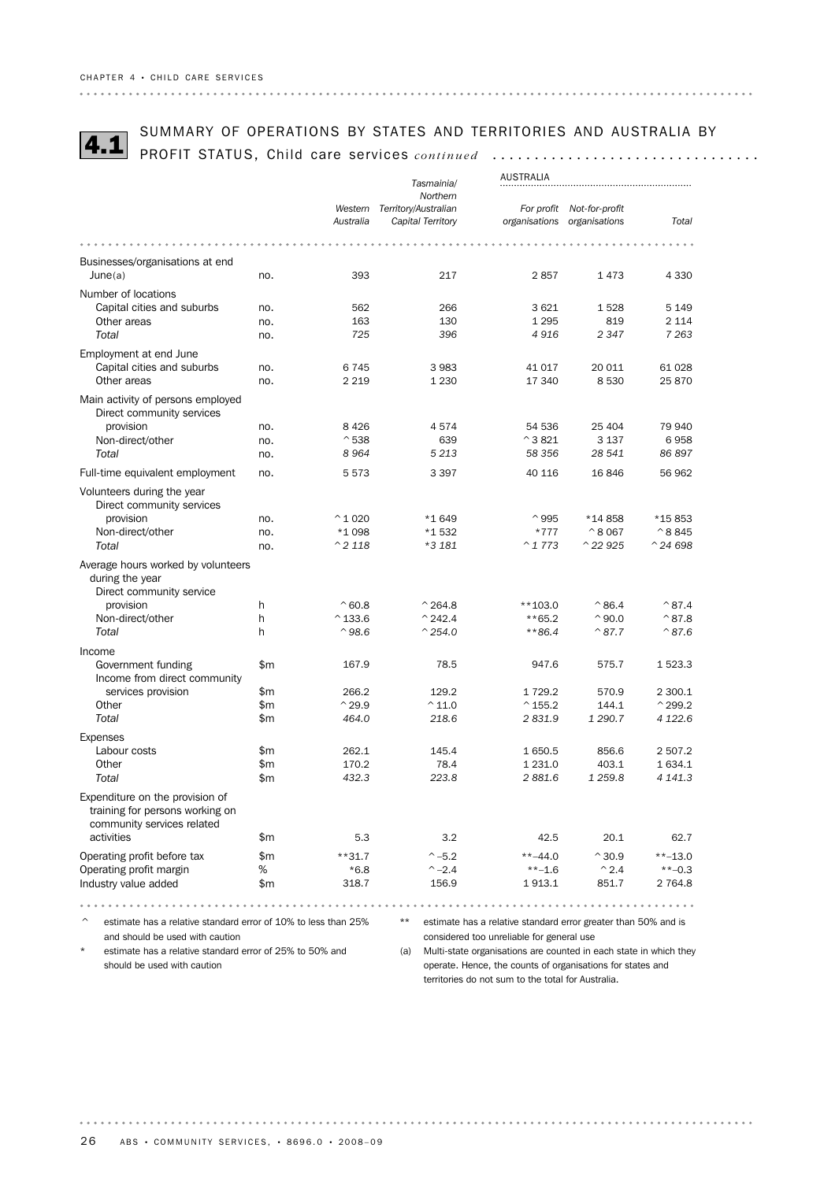# SUMMARY OF OPERATIONS BY STATES AND TERRITORIES AND AUSTRALIA BY<br>4.1 PROFIT STATUS, Child care services *continued* .................................

|                                                                        | <b>AUSTRALIA</b> |                   |                      |                                                                   |                             |                    |
|------------------------------------------------------------------------|------------------|-------------------|----------------------|-------------------------------------------------------------------|-----------------------------|--------------------|
|                                                                        |                  |                   | Tasmainia/           |                                                                   |                             |                    |
|                                                                        |                  |                   | Northern             |                                                                   |                             |                    |
|                                                                        |                  | Western           | Territory/Australian |                                                                   | For profit Not-for-profit   |                    |
|                                                                        |                  | Australia         | Capital Territory    |                                                                   | organisations organisations | Total              |
|                                                                        |                  |                   |                      |                                                                   |                             |                    |
| Businesses/organisations at end                                        |                  |                   |                      |                                                                   |                             |                    |
| June(a)                                                                | no.              | 393               | 217                  | 2857                                                              | 1473                        | 4 3 3 0            |
|                                                                        |                  |                   |                      |                                                                   |                             |                    |
| Number of locations                                                    |                  |                   |                      |                                                                   |                             |                    |
| Capital cities and suburbs                                             | no.              | 562               | 266                  | 3621                                                              | 1528                        | 5 1 4 9            |
| Other areas                                                            | no.              | 163               | 130                  | 1 2 9 5                                                           | 819                         | 2 1 1 4            |
| Total                                                                  | no.              | 725               | 396                  | 4916                                                              | 2 3 4 7                     | 7 2 6 3            |
| Employment at end June                                                 |                  |                   |                      |                                                                   |                             |                    |
| Capital cities and suburbs                                             | no.              | 6745              | 3983                 | 41 017                                                            | 20 011                      | 61 028             |
| Other areas                                                            | no.              | 2 2 1 9           | 1 2 3 0              | 17 340                                                            | 8530                        | 25870              |
|                                                                        |                  |                   |                      |                                                                   |                             |                    |
| Main activity of persons employed                                      |                  |                   |                      |                                                                   |                             |                    |
| Direct community services                                              |                  |                   |                      |                                                                   |                             |                    |
| provision                                                              | no.              | 8 4 2 6           | 4574                 | 54 536                                                            | 25 404                      | 79 940             |
| Non-direct/other                                                       | no.              | $^{\wedge}538$    | 639                  | $^{\wedge}$ 3 821                                                 | 3 1 3 7                     | 6958               |
| Total                                                                  | no.              | 8964              | 5 2 1 3              | 58 356                                                            | 28 541                      | 86 897             |
| Full-time equivalent employment                                        | no.              | 5 5 7 3           | 3 3 9 7              | 40 116                                                            | 16846                       | 56 962             |
| Volunteers during the year                                             |                  |                   |                      |                                                                   |                             |                    |
| Direct community services                                              |                  |                   |                      |                                                                   |                             |                    |
| provision                                                              | no.              | $^{\wedge}$ 1 020 | *1649                | $^{\wedge}$ 995                                                   | *14858                      | *15853             |
| Non-direct/other                                                       | no.              | *1 098            | *1532                | *777                                                              | $^{\circ}8067$              | $^{\wedge}8845$    |
| Total                                                                  | no.              | $^{\wedge}$ 2 118 | *3 181               | $^{\wedge}$ 1 773                                                 | $^{\wedge}$ 22 925          | $^{\wedge}$ 24 698 |
|                                                                        |                  |                   |                      |                                                                   |                             |                    |
| Average hours worked by volunteers                                     |                  |                   |                      |                                                                   |                             |                    |
| during the year                                                        |                  |                   |                      |                                                                   |                             |                    |
| Direct community service                                               |                  |                   |                      |                                                                   |                             |                    |
| provision                                                              | h                | $^{\wedge}60.8$   | $^{\circ}$ 264.8     | **103.0                                                           | $^{\wedge}86.4$             | $^{\wedge}87.4$    |
| Non-direct/other                                                       | h                | $^{\wedge}$ 133.6 | $^{\sim}$ 242.4      | $**65.2$                                                          | $^{\circ}$ 90.0             | $^{\wedge}87.8$    |
| Total                                                                  | h                | $^{\wedge}98.6$   | $^{\wedge}$ 254.0    | $**86.4$                                                          | $^{\wedge}87.7$             | $^{\wedge}87.6$    |
|                                                                        |                  |                   |                      |                                                                   |                             |                    |
| Income                                                                 |                  |                   |                      |                                                                   |                             |                    |
| Government funding                                                     | \$m              | 167.9             | 78.5                 | 947.6                                                             | 575.7                       | 1 523.3            |
| Income from direct community                                           |                  |                   |                      |                                                                   |                             |                    |
| services provision                                                     | \$m              | 266.2             | 129.2                | 1729.2                                                            | 570.9                       | 2 300.1            |
| Other                                                                  | \$m              | $^{\wedge}$ 29.9  | $^{\wedge}$ 11.0     | $^{\circ}$ 155.2                                                  | 144.1                       | $^{\wedge}$ 299.2  |
| Total                                                                  | \$m              | 464.0             | 218.6                | 2831.9                                                            | 1 290.7                     | 4 1 2 2.6          |
| <b>Expenses</b>                                                        |                  |                   |                      |                                                                   |                             |                    |
| Labour costs                                                           | \$m              | 262.1             | 145.4                | 1650.5                                                            | 856.6                       | 2 507.2            |
| Other                                                                  | \$m              | 170.2             | 78.4                 | 1 2 3 1 . 0                                                       | 403.1                       | 1 634.1            |
| Total                                                                  | \$m              | 432.3             | 223.8                | 2881.6                                                            | 1 2 5 9.8                   | 4 141.3            |
|                                                                        |                  |                   |                      |                                                                   |                             |                    |
| Expenditure on the provision of                                        |                  |                   |                      |                                                                   |                             |                    |
| training for persons working on                                        |                  |                   |                      |                                                                   |                             |                    |
| community services related                                             |                  |                   |                      |                                                                   |                             |                    |
| activities                                                             | \$m              | 5.3               | 3.2                  | 42.5                                                              | 20.1                        | 62.7               |
| Operating profit before tax                                            | \$m              | $**31.7$          | $^{\sim} -5.2$       | $***-44.0$                                                        | $^{\wedge}30.9$             | $**-13.0$          |
| Operating profit margin                                                | %                | *6.8              | $^{\sim} -2.4$       | $***-1.6$                                                         | $^{\wedge}$ 2.4             | $**-0.3$           |
| Industry value added                                                   | \$m              | 318.7             | 156.9                | 1 913.1                                                           | 851.7                       | 2 764.8            |
|                                                                        |                  |                   |                      |                                                                   |                             |                    |
|                                                                        |                  |                   |                      |                                                                   |                             |                    |
| estimate has a relative standard error of 10% to less than 25%         |                  |                   | **                   | estimate has a relative standard error greater than 50% and is    |                             |                    |
| and should be used with caution                                        |                  |                   |                      | considered too unreliable for general use                         |                             |                    |
| $^{\star}$<br>estimate has a relative standard error of 25% to 50% and |                  |                   | (a)                  | Multi-state organisations are counted in each state in which they |                             |                    |
|                                                                        |                  |                   |                      |                                                                   |                             |                    |

should be used with caution

(a) Multi-state organisations are counted in each state in which they operate. Hence, the counts of organisations for states and territories do not sum to the total for Australia.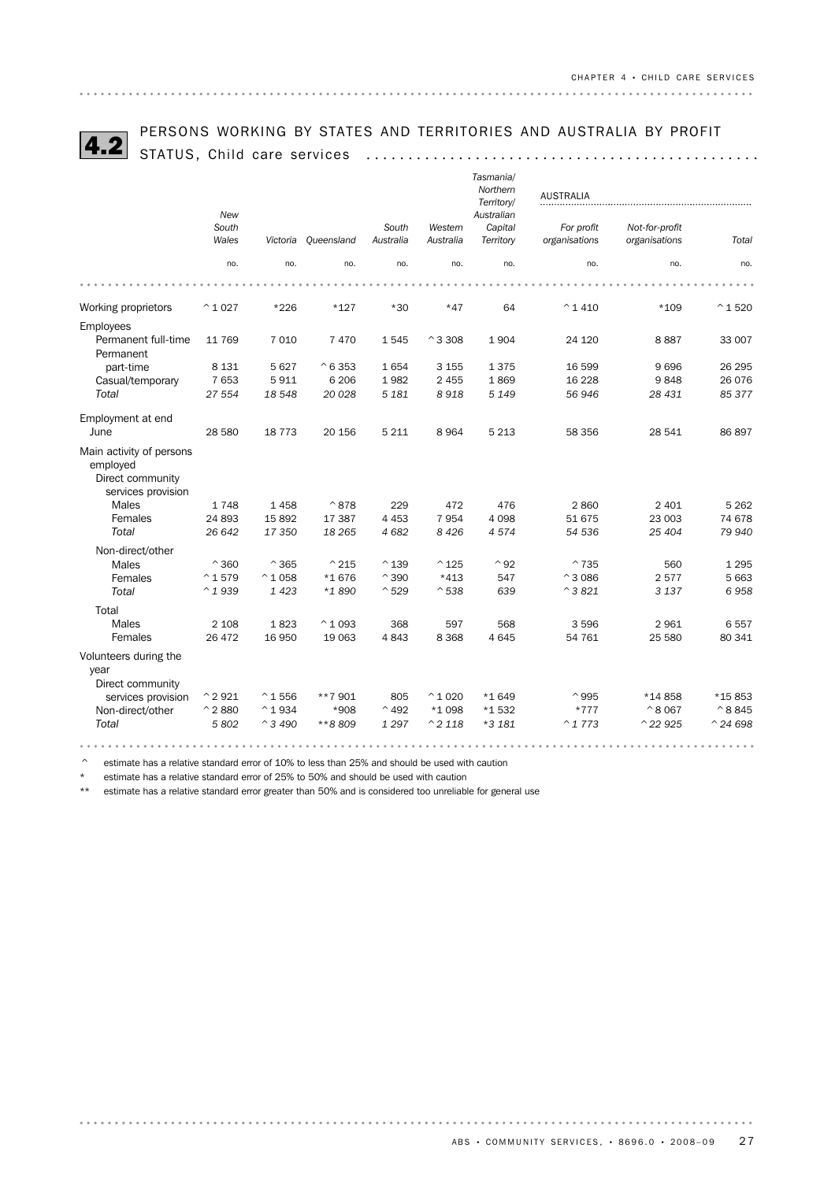

# PERSONS WORKING BY STATES AND TERRITORIES AND AUSTRALIA BY PROFIT 4.2 STATUS, Child care services ...............................................

| STATUS, UNITA Care Services                                                    |                   |                   |                  |                    |                      | Tasmania/<br>Northern<br>Territory/ | <b>AUSTRALIA</b>            |                                 |                   |
|--------------------------------------------------------------------------------|-------------------|-------------------|------------------|--------------------|----------------------|-------------------------------------|-----------------------------|---------------------------------|-------------------|
|                                                                                | New               |                   |                  |                    |                      | Australian                          |                             |                                 |                   |
|                                                                                | South<br>Wales    | Victoria          | Queensland       | South<br>Australia | Western<br>Australia | Capital<br>Territory                | For profit<br>organisations | Not-for-profit<br>organisations | Total             |
|                                                                                | no.               | no.               | no.              | no.                | no.                  | no.                                 | no.                         | no.                             | no.               |
|                                                                                |                   |                   |                  |                    |                      |                                     |                             |                                 |                   |
| Working proprietors                                                            | $^{\wedge}$ 1 027 | $*226$            | $*127$           | $*30$              | $*47$                | 64                                  | $^{\circ}$ 1 410            | $*109$                          | $^{\wedge}$ 1 520 |
| <b>Employees</b>                                                               |                   |                   |                  |                    |                      |                                     |                             |                                 |                   |
| Permanent full-time<br>Permanent                                               | 11 769            | 7 0 1 0           | 7 4 7 0          | 1 5 4 5            | $^{\circ}$ 3 308     | 1904                                | 24 120                      | 8887                            | 33 007            |
| part-time                                                                      | 8 1 3 1           | 5 6 27            | $^{\circ}6353$   | 1654               | 3 1 5 5              | 1375                                | 16 599                      | 9696                            | 26 295            |
| Casual/temporary                                                               | 7 6 5 3           | 5911              | 6 2 0 6          | 1982               | 2 4 5 5              | 1869                                | 16 228                      | 9848                            | 26 076            |
| Total                                                                          | 27 554            | 18 548            | 20 0 28          | 5 1 8 1            | 8918                 | 5 1 4 9                             | 56 946                      | 28 431                          | 85 377            |
| Employment at end                                                              |                   |                   |                  |                    |                      |                                     |                             |                                 |                   |
| June                                                                           | 28 580            | 18 7 7 3          | 20 156           | 5 2 1 1            | 8964                 | 5 2 1 3                             | 58 356                      | 28 541                          | 86 897            |
| Main activity of persons<br>employed<br>Direct community<br>services provision |                   |                   |                  |                    |                      |                                     |                             |                                 |                   |
| <b>Males</b>                                                                   | 1748              | 1458              | $^{\wedge}878$   | 229                | 472                  | 476                                 | 2860                        | 2 4 0 1                         | 5 2 6 2           |
| Females                                                                        | 24 893            | 15 8 9 2          | 17 387           | 4 4 5 3            | 7954                 | 4 0 9 8                             | 51 675                      | 23 003                          | 74 678            |
| <b>Total</b>                                                                   | 26 642            | 17350             | 18 26 5          | 4 6 8 2            | 8 4 2 6              | 4574                                | 54 536                      | 25 404                          | 79 940            |
| Non-direct/other                                                               |                   |                   |                  |                    |                      |                                     |                             |                                 |                   |
| Males                                                                          | $^{\wedge}360$    | $^{\wedge}365$    | $^{\wedge}$ 215  | $^{\wedge}$ 139    | $^{\wedge}$ 125      | $^{\wedge}92$                       | $^{\sim}735$                | 560                             | 1 2 9 5           |
| Females                                                                        | $^{\wedge}1579$   | $^{\wedge}$ 1 058 | *1676            | $^{\wedge}390$     | $*413$               | 547                                 | $^{\wedge}3086$             | 2577                            | 5 6 63            |
| Total                                                                          | $^{\wedge}1939$   | 1423              | *1890            | $^{\sim}$ 529      | $^{\wedge}538$       | 639                                 | $^{\wedge}$ 3 821           | 3 1 3 7                         | 6958              |
| Total                                                                          |                   |                   |                  |                    |                      |                                     |                             |                                 |                   |
| Males                                                                          | 2 1 0 8           | 1823              | $^{\wedge} 1093$ | 368                | 597                  | 568                                 | 3 5 9 6                     | 2961                            | 6557              |
| Females                                                                        | 26 472            | 16 950            | 19 063           | 4843               | 8 3 6 8              | 4 6 4 5                             | 54 761                      | 25 580                          | 80 341            |
| Volunteers during the<br>year<br>Direct community                              |                   |                   |                  |                    |                      |                                     |                             |                                 |                   |
| services provision                                                             | $^{\wedge}$ 2 921 | $^{\circ}$ 1 556  | **7901           | 805                | $^{\wedge}$ 1 020    | *1 649                              | $^{\wedge}995$              | *14858                          | *15853            |
| Non-direct/other                                                               | $^{\wedge}$ 2 880 | $^{\wedge}$ 1934  | *908             | $^{\wedge}$ 492    | *1098                | *1532                               | $*777$                      | $^{\circ}8067$                  | $^{\wedge}8845$   |

*Total 5 802* ^*3 490* \*\**8 809 1 297* ^*2 118* \**3 181* ^*1 773* ^*22 925* ^*24 698*

 $\degree$  estimate has a relative standard error of 10% to less than 25% and should be used with caution

\* estimate has a relative standard error of 25% to 50% and should be used with caution

\*\* estimate has a relative standard error greater than 50% and is considered too unreliable for general use

. . . . . . . . . . . . . . . . . . . .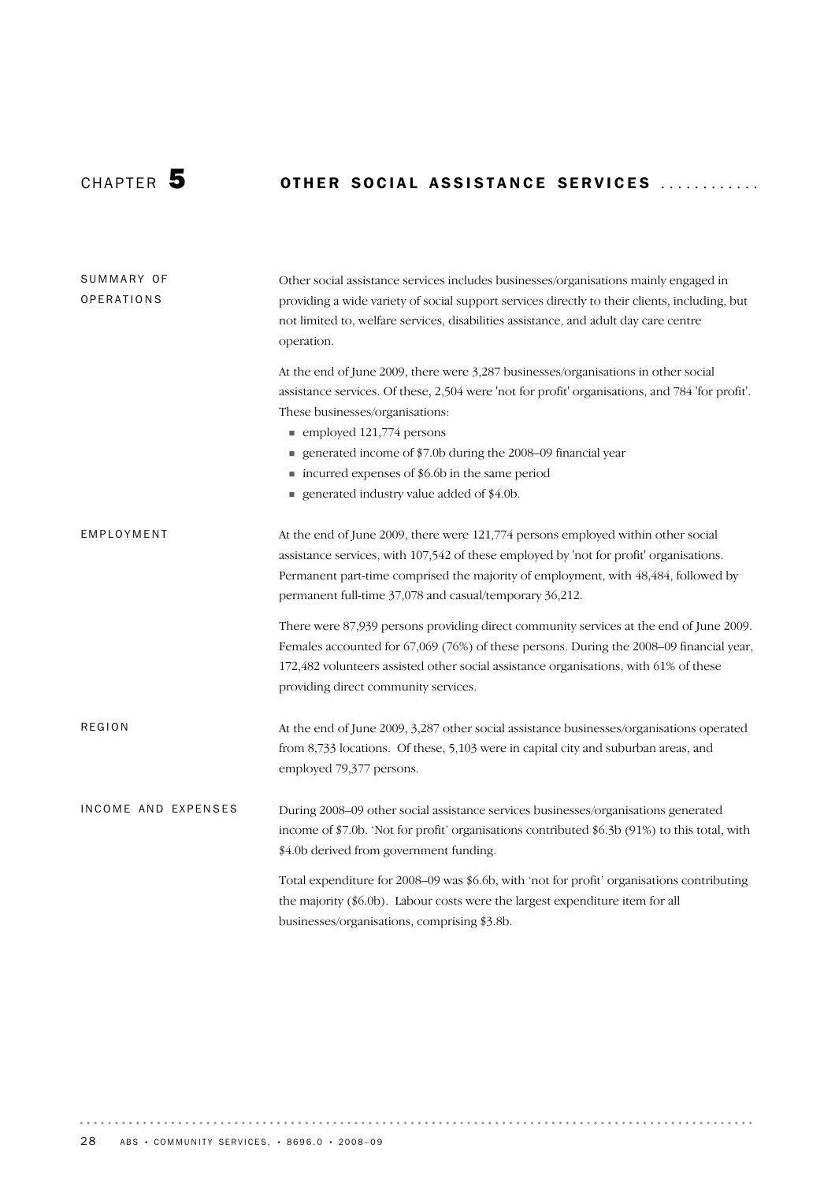# CHAPTER 50THER SOCIAL ASSISTANCE SERVICES .............

| SUMMARY OF<br><b>OPERATIONS</b> | Other social assistance services includes businesses/organisations mainly engaged in<br>providing a wide variety of social support services directly to their clients, including, but<br>not limited to, welfare services, disabilities assistance, and adult day care centre<br>operation.                                                                                                                                          |  |  |  |  |  |
|---------------------------------|--------------------------------------------------------------------------------------------------------------------------------------------------------------------------------------------------------------------------------------------------------------------------------------------------------------------------------------------------------------------------------------------------------------------------------------|--|--|--|--|--|
|                                 | At the end of June 2009, there were 3,287 businesses/organisations in other social<br>assistance services. Of these, 2,504 were 'not for profit' organisations, and 784 'for profit'.<br>These businesses/organisations:<br>$\blacksquare$ employed 121,774 persons<br>generated income of \$7.0b during the 2008–09 financial year<br>■ incurred expenses of \$6.6b in the same period<br>generated industry value added of \$4.0b. |  |  |  |  |  |
| EMPLOYMENT                      | At the end of June 2009, there were 121,774 persons employed within other social<br>assistance services, with 107,542 of these employed by 'not for profit' organisations.<br>Permanent part-time comprised the majority of employment, with 48,484, followed by<br>permanent full-time 37,078 and casual/temporary 36,212.                                                                                                          |  |  |  |  |  |
|                                 | There were 87,939 persons providing direct community services at the end of June 2009.<br>Females accounted for 67,069 (76%) of these persons. During the 2008–09 financial year,<br>172,482 volunteers assisted other social assistance organisations, with 61% of these<br>providing direct community services.                                                                                                                    |  |  |  |  |  |
| <b>REGION</b>                   | At the end of June 2009, 3,287 other social assistance businesses/organisations operated<br>from 8,733 locations. Of these, 5,103 were in capital city and suburban areas, and<br>employed 79,377 persons.                                                                                                                                                                                                                           |  |  |  |  |  |
| INCOME AND EXPENSES             | During 2008-09 other social assistance services businesses/organisations generated<br>income of \$7.0b. 'Not for profit' organisations contributed \$6.3b (91%) to this total, with<br>\$4.0b derived from government funding.                                                                                                                                                                                                       |  |  |  |  |  |
|                                 | Total expenditure for 2008–09 was \$6.6b, with 'not for profit' organisations contributing<br>the majority (\$6.0b). Labour costs were the largest expenditure item for all<br>businesses/organisations, comprising \$3.8b.                                                                                                                                                                                                          |  |  |  |  |  |

 $\alpha$  ,  $\alpha$  ,  $\alpha$  ,  $\alpha$  ,  $\alpha$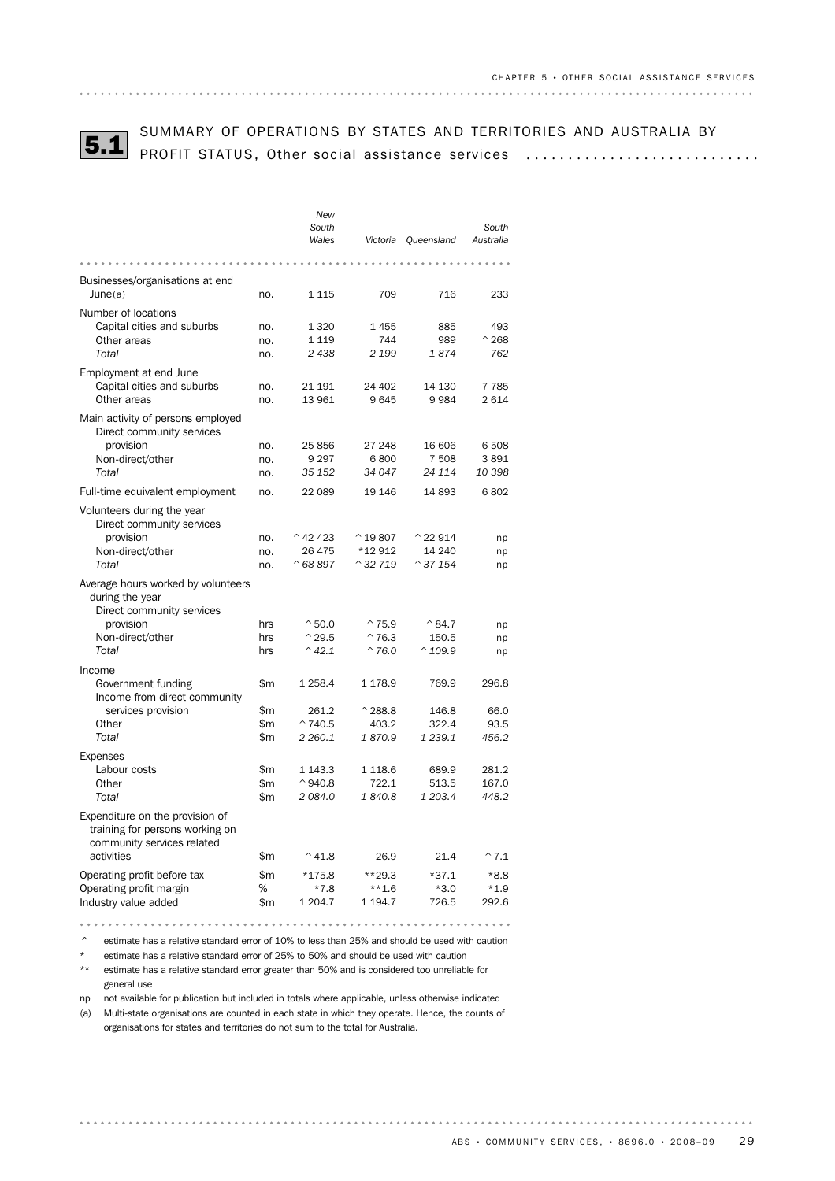

# SUMMARY OF OPERATIONS BY STATES AND TERRITORIES AND AUSTRALIA BY 5.1 PROFIT STATUS, Other social assistance services ............................

|                                                                                                  |       | New<br>South<br>Wales | Victoria           | Queensland         | South<br>Australia |
|--------------------------------------------------------------------------------------------------|-------|-----------------------|--------------------|--------------------|--------------------|
|                                                                                                  |       |                       |                    |                    |                    |
| Businesses/organisations at end                                                                  |       |                       |                    |                    |                    |
| June(a)                                                                                          | no.   | 1 1 1 5               | 709                | 716                | 233                |
| Number of locations                                                                              |       |                       |                    |                    |                    |
| Capital cities and suburbs                                                                       | no.   | 1 3 2 0               | 1455               | 885                | 493                |
| Other areas                                                                                      | no.   | 1 1 1 9               | 744                | 989                | $^{\wedge}$ 268    |
| Total                                                                                            | no.   | 2 4 3 8               | 2 1 9 9            | 1874               | 762                |
| Employment at end June                                                                           |       |                       |                    |                    | 7 7 8 5            |
| Capital cities and suburbs<br>Other areas                                                        | no.   | 21 191<br>13 961      | 24 402<br>9645     | 14 130<br>9984     | 2614               |
|                                                                                                  | no.   |                       |                    |                    |                    |
| Main activity of persons employed                                                                |       |                       |                    |                    |                    |
| Direct community services<br>provision                                                           | no.   | 25 856                | 27 248             | 16 606             | 6 508              |
| Non-direct/other                                                                                 | no.   | 9 2 9 7               | 6800               | 7 508              | 3891               |
| Total                                                                                            | no.   | 35 152                | 34 047             | 24 114             | 10 398             |
| Full-time equivalent employment                                                                  | no.   | 22 089                | 19 14 6            | 14893              | 6802               |
|                                                                                                  |       |                       |                    |                    |                    |
| Volunteers during the year<br>Direct community services                                          |       |                       |                    |                    |                    |
| provision                                                                                        | no.   | $^{\wedge}$ 42 423    | $^{\circ}$ 19807   | $^{\wedge}$ 22 914 | np                 |
| Non-direct/other                                                                                 | no.   | 26 475                | *12 912            | 14 240             | np                 |
| Total                                                                                            | no.   | $^{\circ}68897$       | $^{\wedge}$ 32 719 | $^{\circ}$ 37 154  | np                 |
| Average hours worked by volunteers<br>during the year                                            |       |                       |                    |                    |                    |
| Direct community services<br>provision                                                           | hrs   | $^{\circ}50.0$        | $^{\sim}$ 75.9     | $^{\wedge}84.7$    |                    |
| Non-direct/other                                                                                 | hrs   | $^{\wedge}$ 29.5      | $^{\wedge}76.3$    | 150.5              | np<br>np           |
| Total                                                                                            | hrs   | $^{\wedge}$ 42.1      | $^{\sim}76.0$      | $^{\wedge}$ 109.9  | np                 |
| Income                                                                                           |       |                       |                    |                    |                    |
| Government funding                                                                               | \$m   | 1 2 5 8.4             | 1 178.9            | 769.9              | 296.8              |
| Income from direct community                                                                     |       |                       |                    |                    |                    |
| services provision                                                                               | \$m   | 261.2                 | $^{\wedge}$ 288.8  | 146.8              | 66.0               |
| Other                                                                                            | \$m   | $^{\sim}740.5$        | 403.2              | 322.4              | 93.5               |
| Total                                                                                            | \$m   | 2 260.1               | 1870.9             | 1 239.1            | 456.2              |
| <b>Expenses</b>                                                                                  |       |                       |                    |                    |                    |
| Labour costs                                                                                     | \$m   | 1 1 4 3 . 3           | 1 1 1 8.6          | 689.9              | 281.2              |
| Other                                                                                            | \$m   | $^{\circ}$ 940.8      | 722.1              | 513.5              | 167.0              |
| Total                                                                                            | \$m   | 2 084.0               | 1840.8             | 1 203.4            | 448.2              |
| Expenditure on the provision of<br>training for persons working on<br>community services related |       |                       |                    |                    |                    |
| activities                                                                                       | \$m   | $^{\wedge}$ 41.8      | 26.9               | 21.4               | $^{\wedge}7.1$     |
| Operating profit before tax                                                                      | \$m\$ | $*175.8$              | $**29.3$           | $*37.1$            | $*8.8$             |
| Operating profit margin                                                                          | %     | $*7.8$                | $***1.6$           | $*3.0$             | $*1.9$             |
| Industry value added                                                                             | \$m   | 1 204.7               | 1 1 9 4.7          | 726.5              | 292.6              |
|                                                                                                  |       |                       |                    |                    |                    |

^ estimate has a relative standard error of 10% to less than 25% and should be used with caution

\* estimate has a relative standard error of 25% to 50% and should be used with caution

\*\* estimate has a relative standard error greater than 50% and is considered too unreliable for general use

np not available for publication but included in totals where applicable, unless otherwise indicated

(a) Multi-state organisations are counted in each state in which they operate. Hence, the counts of organisations for states and territories do not sum to the total for Australia.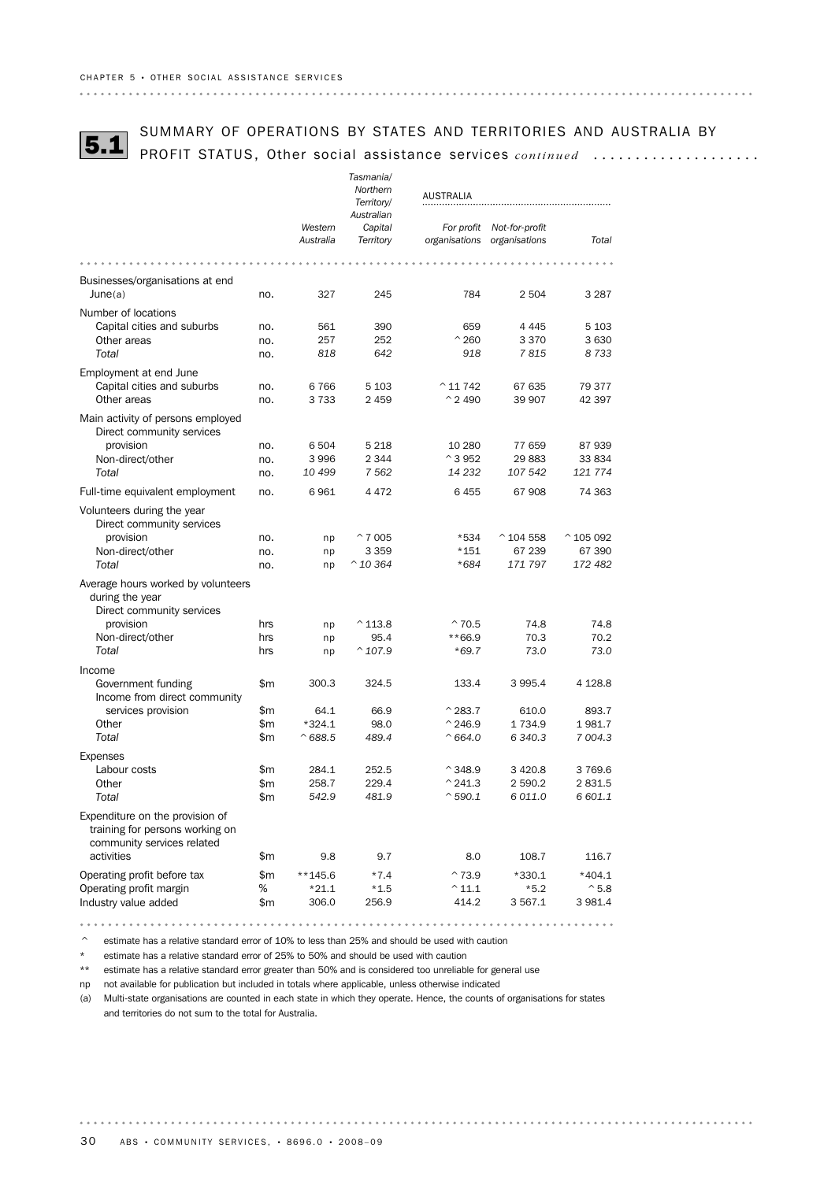# SUMMARY OF OPERATIONS BY STATES AND TERRITORIES AND AUSTRALIA BY<br>5.1 PROFIT STATUS, Other social assistance services *continued .................*...

|                                                                                                  |     |                  | Tasmania/              |                    |                    |                     |
|--------------------------------------------------------------------------------------------------|-----|------------------|------------------------|--------------------|--------------------|---------------------|
|                                                                                                  |     |                  | Northern<br>Territory/ | <b>AUSTRALIA</b>   |                    |                     |
|                                                                                                  |     |                  | Australian             |                    |                    |                     |
|                                                                                                  |     | Western          | Capital                | For profit         | Not-for-profit     |                     |
|                                                                                                  |     | Australia        | Territory              | organisations      | organisations      | Total               |
|                                                                                                  |     |                  |                        |                    |                    |                     |
| Businesses/organisations at end                                                                  |     |                  |                        |                    |                    |                     |
| June(a)                                                                                          | no. | 327              | 245                    | 784                | 2 504              | 3 2 8 7             |
| Number of locations                                                                              |     |                  |                        |                    |                    |                     |
| Capital cities and suburbs                                                                       | no. | 561              | 390                    | 659                | 4 4 4 5            | 5 1 0 3             |
| Other areas                                                                                      | no. | 257              | 252                    | $^{\wedge}$ 260    | 3 3 7 0            | 3 6 3 0             |
| Total                                                                                            | no. | 818              | 642                    | 918                | 7815               | 8733                |
| Employment at end June                                                                           |     |                  |                        |                    |                    |                     |
| Capital cities and suburbs                                                                       | no. | 6766             | 5 1 0 3                | $^{\wedge}$ 11 742 | 67 635             | 79 377              |
| Other areas                                                                                      | no. | 3733             | 2 4 5 9                | $^{\circ}$ 2 490   | 39 907             | 42 397              |
| Main activity of persons employed<br>Direct community services                                   |     |                  |                        |                    |                    |                     |
| provision                                                                                        | no. | 6 504            | 5 2 1 8                | 10 280             | 77 659             | 87939               |
| Non-direct/other                                                                                 | no. | 3 9 9 6          | 2 3 4 4                | $^{\circ}$ 3 952   | 29 883             | 33 834              |
| Total                                                                                            | no. | 10 499           | 7562                   | 14 232             | 107 542            | 121 774             |
| Full-time equivalent employment                                                                  | no. | 6961             | 4472                   | 6455               | 67908              | 74 363              |
| Volunteers during the year<br>Direct community services                                          |     |                  |                        |                    |                    |                     |
| provision                                                                                        | no. | np               | $^{\circ}$ 7 005       | *534               | $^{\circ}$ 104 558 | $^{\wedge}$ 105 092 |
| Non-direct/other                                                                                 | no. | np               | 3 3 5 9                | *151               | 67 239             | 67 390              |
| Total                                                                                            | no. | np               | $^{\wedge}$ 10 364     | $*684$             | 171797             | 172482              |
| Average hours worked by volunteers<br>during the year                                            |     |                  |                        |                    |                    |                     |
| Direct community services<br>provision                                                           | hrs |                  | $^{\wedge}$ 113.8      | $^{\sim}$ 70.5     | 74.8               | 74.8                |
| Non-direct/other                                                                                 | hrs | np<br>np         | 95.4                   | **66.9             | 70.3               | 70.2                |
| Total                                                                                            | hrs | np               | $^{\wedge}$ 107.9      | $*69.7$            | 73.0               | 73.0                |
|                                                                                                  |     |                  |                        |                    |                    |                     |
| Income<br>Government funding                                                                     | \$m | 300.3            | 324.5                  | 133.4              | 3 9 9 5.4          | 4 1 28.8            |
| Income from direct community                                                                     |     |                  |                        |                    |                    |                     |
| services provision                                                                               | \$m | 64.1             | 66.9                   | $^{\wedge}$ 283.7  | 610.0              | 893.7               |
| Other                                                                                            | \$m | $*324.1$         | 98.0                   | $^{\wedge}$ 246.9  | 1 7 3 4 .9         | 1981.7              |
| Total                                                                                            | \$m | $^{\wedge}688.5$ | 489.4                  | $^{\wedge}664.0$   | 6 340.3            | 7 004.3             |
| <b>Expenses</b>                                                                                  |     |                  |                        |                    |                    |                     |
| Labour costs                                                                                     | \$m | 284.1            | 252.5                  | $^{\wedge}$ 348.9  | 3 4 2 0.8          | 3769.6              |
| Other                                                                                            | \$m | 258.7            | 229.4                  | $^{\wedge}$ 241.3  | 2 590.2            | 2831.5              |
| Total                                                                                            | \$m | 542.9            | 481.9                  | $^{\wedge}$ 590.1  | 6 011.0            | 6 601.1             |
| Expenditure on the provision of<br>training for persons working on<br>community services related |     |                  |                        |                    |                    |                     |
| activities                                                                                       | \$m | 9.8              | 9.7                    | 8.0                | 108.7              | 116.7               |
| Operating profit before tax                                                                      | \$m | $**145.6$        | $*7.4$                 | $^{\sim}73.9$      | $*330.1$           | $*404.1$            |
| Operating profit margin                                                                          | %   | $*21.1$          | $*1.5$                 | $^{\wedge}$ 11.1   | $*5.2$             | $^{\wedge}$ 5.8     |
| Industry value added                                                                             | \$m | 306.0            | 256.9                  | 414.2              | 3 567.1            | 3 981.4             |

^ estimate has a relative standard error of 10% to less than 25% and should be used with caution

\* estimate has a relative standard error of 25% to 50% and should be used with caution

\*\* estimate has a relative standard error greater than 50% and is considered too unreliable for general use

np not available for publication but included in totals where applicable, unless otherwise indicated

(a) Multi-state organisations are counted in each state in which they operate. Hence, the counts of organisations for states and territories do not sum to the total for Australia.

. . . . . .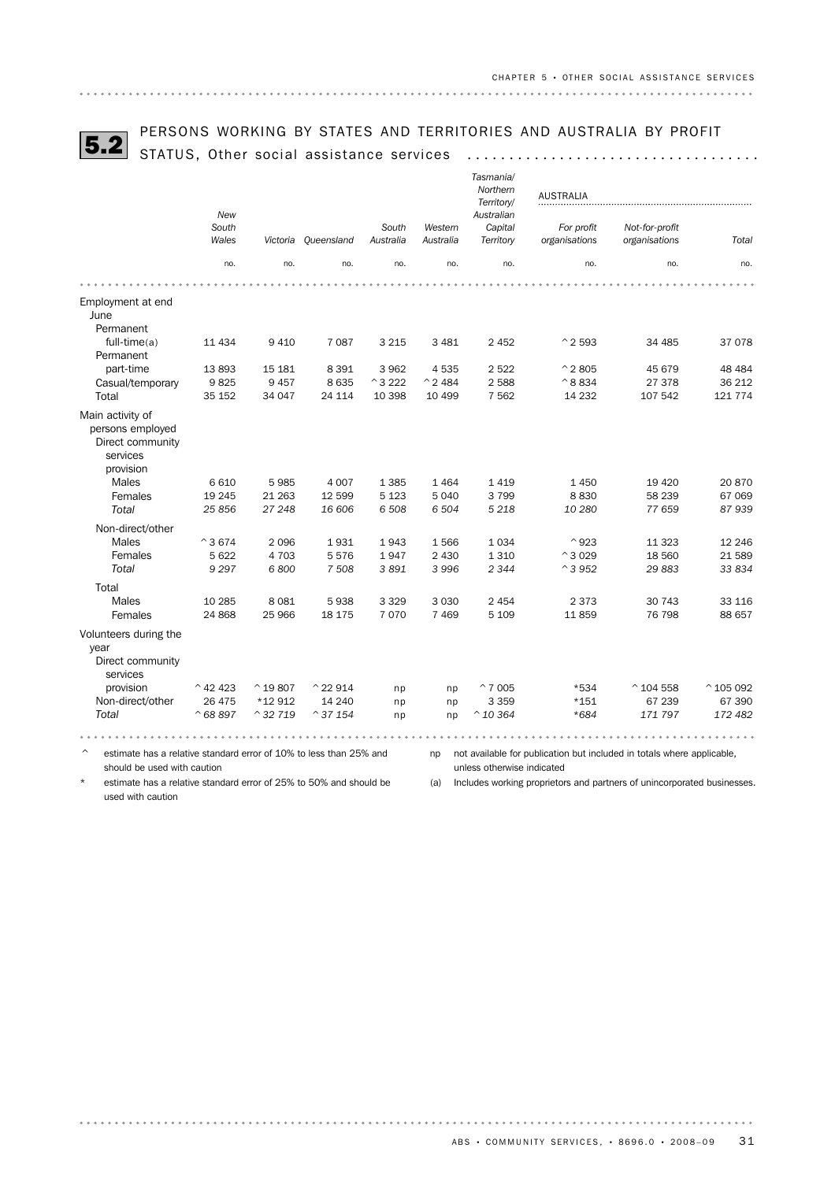# PERSONS WORKING BY STATES AND TERRITORIES AND AUSTRALIA BY PROFIT<br>5.2 STATUS, Other social assistance services ...................................

|                                                                                   |                    |                   |                    |                 |                   | Tasmania/<br>Northern<br>Territory/ | <b>AUSTRALIA</b>                                                       |                    |                    |  |
|-----------------------------------------------------------------------------------|--------------------|-------------------|--------------------|-----------------|-------------------|-------------------------------------|------------------------------------------------------------------------|--------------------|--------------------|--|
|                                                                                   | New<br>South       |                   |                    | South           | Western           | Australian<br>Capital               | For profit                                                             | Not-for-profit     |                    |  |
|                                                                                   | Wales              | Victoria          | Queensland         | Australia       | Australia         | Territory                           | organisations                                                          | organisations      | Total              |  |
|                                                                                   | no.                | no.               | no.                | no.             | no.               | no.                                 | no.                                                                    | no.                | no.                |  |
|                                                                                   |                    |                   |                    |                 |                   |                                     |                                                                        |                    |                    |  |
| Employment at end<br>June                                                         |                    |                   |                    |                 |                   |                                     |                                                                        |                    |                    |  |
| Permanent<br>$full-time(a)$<br>Permanent                                          | 11 434             | 9410              | 7 0 8 7            | 3 2 1 5         | 3 4 8 1           | 2 4 5 2                             | $^{\wedge}$ 2 593                                                      | 34 485             | 37 078             |  |
| part-time                                                                         | 13893              | 15 181            | 8 3 9 1            | 3 9 6 2         | 4535              | 2522                                | $^{\circ}$ 2 805                                                       | 45 679             | 48 4 84            |  |
| Casual/temporary                                                                  | 9825               | 9457              | 8 6 3 5            | $^{\sim}$ 3 222 | $^{\wedge}$ 2 484 | 2588                                | $^{\wedge}8834$                                                        | 27 378             | 36 212             |  |
| Total                                                                             | 35 152             | 34 047            | 24 114             | 10 398          | 10 499            | 7 5 6 2                             | 14 2 32                                                                | 107 542            | 121 774            |  |
| Main activity of<br>persons employed<br>Direct community<br>services<br>provision |                    |                   |                    |                 |                   |                                     |                                                                        |                    |                    |  |
| Males                                                                             | 6610               | 5985              | 4 0 0 7            | 1 3 8 5         | 1464              | 1419                                | 1 4 5 0                                                                | 19 4 20            | 20 870             |  |
| Females                                                                           | 19 245             | 21 263            | 12 599             | 5 1 2 3         | 5 0 4 0           | 3799                                | 8830                                                                   | 58 239             | 67 069             |  |
| Total                                                                             | 25856              | 27 248            | 16 606             | 6 508           | 6 504             | 5 2 1 8                             | 10 280                                                                 | 77 659             | 87939              |  |
| Non-direct/other                                                                  |                    |                   |                    |                 |                   |                                     |                                                                        |                    |                    |  |
| Males                                                                             | $^{\circ}3674$     | 2096              | 1931               | 1943            | 1566              | 1034                                | $^{\wedge}923$                                                         | 11 3 23            | 12 24 6            |  |
| Females                                                                           | 5 6 22             | 4 703             | 5576               | 1947            | 2 4 3 0           | 1 3 1 0                             | $^{\circ}3029$                                                         | 18 560             | 21 589             |  |
| Total                                                                             | 9 2 9 7            | 6800              | 7508               | 3891            | 3 9 9 6           | 2 3 4 4                             | $^{\wedge}$ 3 952                                                      | 29 883             | 33 834             |  |
| Total                                                                             |                    |                   |                    |                 |                   |                                     |                                                                        |                    |                    |  |
| Males                                                                             | 10 285             | 8 0 8 1           | 5938               | 3 3 2 9         | 3 0 3 0           | 2 4 5 4                             | 2 3 7 3                                                                | 30 743             | 33 116             |  |
| Females                                                                           | 24 868             | 25 966            | 18 175             | 7070            | 7469              | 5 1 0 9                             | 11859                                                                  | 76 798             | 88 657             |  |
| Volunteers during the<br>year<br>Direct community<br>services                     |                    |                   |                    |                 |                   |                                     |                                                                        |                    |                    |  |
| provision                                                                         | $^{\wedge}$ 42 423 | $^{\circ}$ 19807  | $^{\wedge}$ 22 914 | np              | np                | $^{\circ}$ 7 005                    | *534                                                                   | $^{\circ}$ 104 558 | $^{\circ}$ 105 092 |  |
| Non-direct/other                                                                  | 26 475             | *12 912           | 14 240             | np              | np                | 3 3 5 9                             | $*151$                                                                 | 67 239             | 67 390             |  |
| Total                                                                             | $^{\circ}68897$    | $^{\circ}$ 32 719 | $^{\circ}$ 37 154  | np              | np                | $^{\wedge}$ 10 364                  | $*684$                                                                 | 171 797            | 172 482            |  |
|                                                                                   |                    |                   |                    |                 |                   |                                     |                                                                        |                    |                    |  |
| estimate has a relative standard error of 10% to less than 25% and                |                    |                   |                    |                 | np                |                                     | not available for publication but included in totals where applicable, |                    |                    |  |

should be used with caution

estimate has a relative standard error of 25% to 50% and should be

unless otherwise indicated (a) Includes working proprietors and partners of unincorporated businesses.

used with caution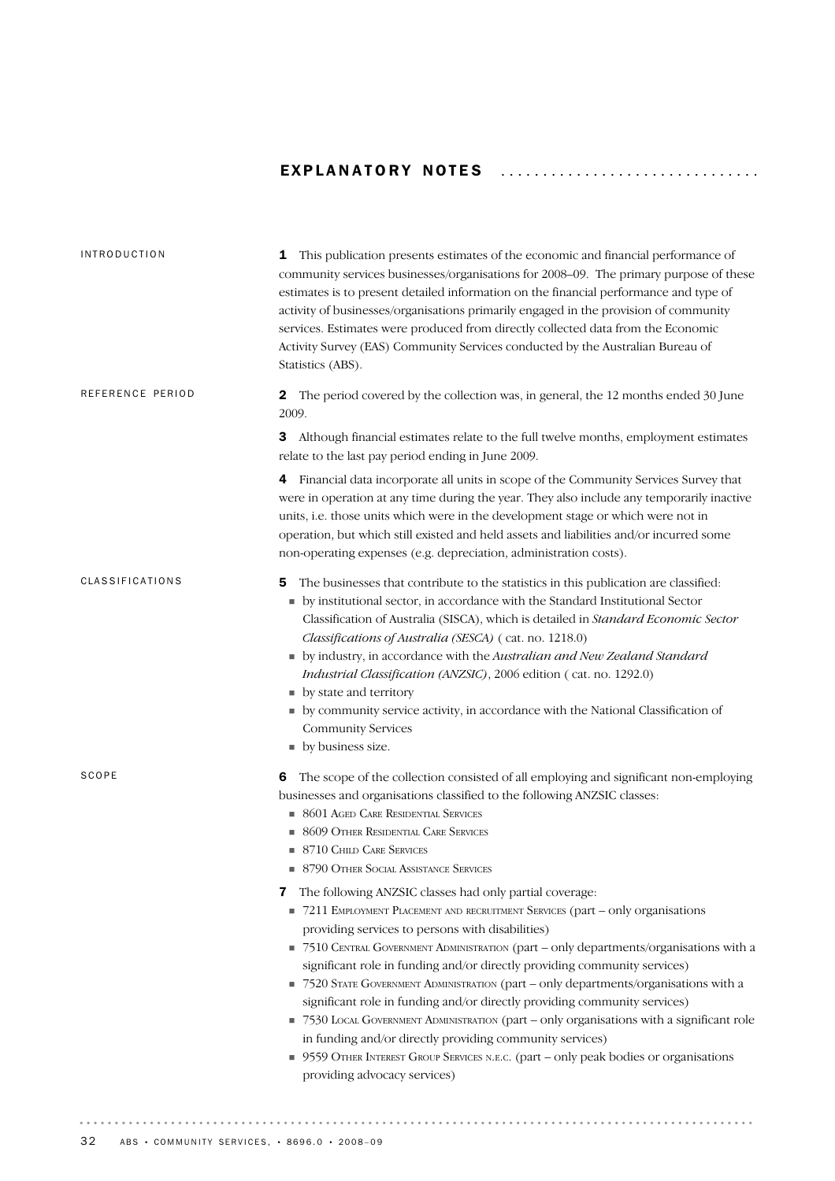# EXPLANATORY NOTES .................................

| <b>1</b> This publication presents estimates of the economic and financial performance of<br>community services businesses/organisations for 2008-09. The primary purpose of these<br>estimates is to present detailed information on the financial performance and type of<br>activity of businesses/organisations primarily engaged in the provision of community<br>services. Estimates were produced from directly collected data from the Economic<br>Activity Survey (EAS) Community Services conducted by the Australian Bureau of<br>Statistics (ABS).                                                                                                                                                                                                                                                                                                                                                                                                                                                                                                                                                                                                                    |
|-----------------------------------------------------------------------------------------------------------------------------------------------------------------------------------------------------------------------------------------------------------------------------------------------------------------------------------------------------------------------------------------------------------------------------------------------------------------------------------------------------------------------------------------------------------------------------------------------------------------------------------------------------------------------------------------------------------------------------------------------------------------------------------------------------------------------------------------------------------------------------------------------------------------------------------------------------------------------------------------------------------------------------------------------------------------------------------------------------------------------------------------------------------------------------------|
| The period covered by the collection was, in general, the 12 months ended 30 June<br>2<br>2009.                                                                                                                                                                                                                                                                                                                                                                                                                                                                                                                                                                                                                                                                                                                                                                                                                                                                                                                                                                                                                                                                                   |
| Although financial estimates relate to the full twelve months, employment estimates<br>3<br>relate to the last pay period ending in June 2009.                                                                                                                                                                                                                                                                                                                                                                                                                                                                                                                                                                                                                                                                                                                                                                                                                                                                                                                                                                                                                                    |
| 4 Financial data incorporate all units in scope of the Community Services Survey that<br>were in operation at any time during the year. They also include any temporarily inactive<br>units, i.e. those units which were in the development stage or which were not in<br>operation, but which still existed and held assets and liabilities and/or incurred some<br>non-operating expenses (e.g. depreciation, administration costs).                                                                                                                                                                                                                                                                                                                                                                                                                                                                                                                                                                                                                                                                                                                                            |
| The businesses that contribute to the statistics in this publication are classified:<br>5<br>• by institutional sector, in accordance with the Standard Institutional Sector<br>Classification of Australia (SISCA), which is detailed in Standard Economic Sector<br>Classifications of Australia (SESCA) (cat. no. 1218.0)<br>by industry, in accordance with the Australian and New Zealand Standard<br><i>Industrial Classification (ANZSIC)</i> , 2006 edition (cat. no. 1292.0)<br>• by state and territory<br>• by community service activity, in accordance with the National Classification of<br><b>Community Services</b><br>• by business size.                                                                                                                                                                                                                                                                                                                                                                                                                                                                                                                       |
| The scope of the collection consisted of all employing and significant non-employing<br>6<br>businesses and organisations classified to the following ANZSIC classes:<br><b>8601 AGED CARE RESIDENTIAL SERVICES</b><br>• 8609 OTHER RESIDENTIAL CARE SERVICES<br><b>8710 CHILD CARE SERVICES</b><br><b>8790 OTHER SOCIAL ASSISTANCE SERVICES</b><br>The following ANZSIC classes had only partial coverage:<br>7<br>7211 EMPLOYMENT PLACEMENT AND RECRUITMENT SERVICES (part – only organisations<br>providing services to persons with disabilities)<br>• 7510 CENTRAL GOVERNMENT ADMINISTRATION (part – only departments/organisations with a<br>significant role in funding and/or directly providing community services)<br>■ 7520 STATE GOVERNMENT ADMINISTRATION (part – only departments/organisations with a<br>significant role in funding and/or directly providing community services)<br>■ 7530 LOCAL GOVERNMENT ADMINISTRATION (part – only organisations with a significant role<br>in funding and/or directly providing community services)<br>9559 OTHER INTEREST GROUP SERVICES N.E.C. (part - only peak bodies or organisations<br>providing advocacy services) |
|                                                                                                                                                                                                                                                                                                                                                                                                                                                                                                                                                                                                                                                                                                                                                                                                                                                                                                                                                                                                                                                                                                                                                                                   |

. . . . . . . . . . . . . . .

 $\begin{array}{cccccccccccccc} \bullet & \bullet & \bullet & \bullet & \bullet & \bullet & \bullet & \bullet & \bullet \end{array}$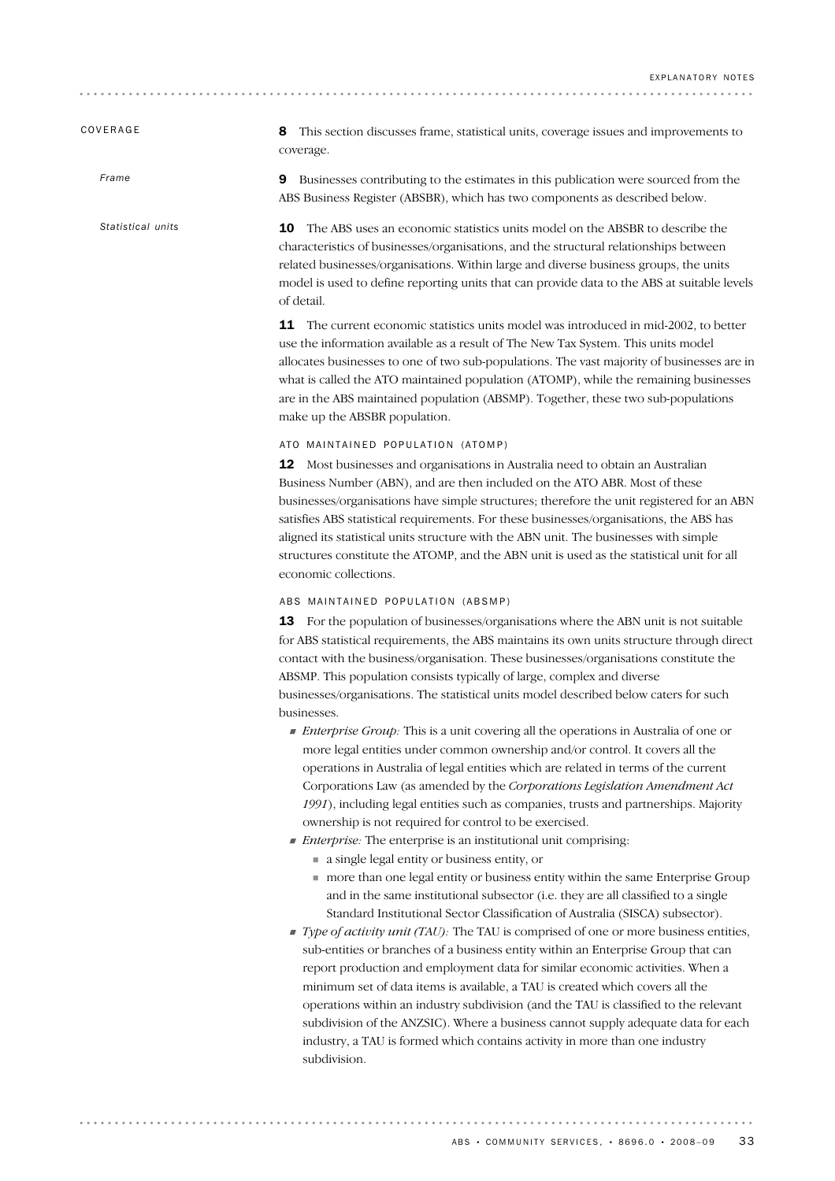### COVERAGE

*Frame*

*Statistical units*

8 This section discusses frame, statistical units, coverage issues and improvements to coverage.

9 Businesses contributing to the estimates in this publication were sourced from the ABS Business Register (ABSBR), which has two components as described below.

10 The ABS uses an economic statistics units model on the ABSBR to describe the characteristics of businesses/organisations, and the structural relationships between related businesses/organisations. Within large and diverse business groups, the units model is used to define reporting units that can provide data to the ABS at suitable levels of detail.

11 The current economic statistics units model was introduced in mid-2002, to better use the information available as a result of The New Tax System. This units model allocates businesses to one of two sub-populations. The vast majority of businesses are in what is called the ATO maintained population (ATOMP), while the remaining businesses are in the ABS maintained population (ABSMP). Together, these two sub-populations make up the ABSBR population.

#### ATO MAINTAINED POPULATION (ATOMP)

12 Most businesses and organisations in Australia need to obtain an Australian Business Number (ABN), and are then included on the ATO ABR. Most of these businesses/organisations have simple structures; therefore the unit registered for an ABN satisfies ABS statistical requirements. For these businesses/organisations, the ABS has aligned its statistical units structure with the ABN unit. The businesses with simple structures constitute the ATOMP, and the ABN unit is used as the statistical unit for all economic collections.

#### ABS MAINTAINED POPULATION (ABSMP)

13 For the population of businesses/organisations where the ABN unit is not suitable for ABS statistical requirements, the ABS maintains its own units structure through direct contact with the business/organisation. These businesses/organisations constitute the ABSMP. This population consists typically of large, complex and diverse businesses/organisations. The statistical units model described below caters for such businesses.

- ! *Enterprise Group:* This is a unit covering all the operations in Australia of one or more legal entities under common ownership and/or control. It covers all the operations in Australia of legal entities which are related in terms of the current Corporations Law (as amended by the *Corporations Legislation Amendment Act 1991*), including legal entities such as companies, trusts and partnerships. Majority ownership is not required for control to be exercised.
- ! *Enterprise:* The enterprise is an institutional unit comprising:
	- ! a single legal entity or business entity, or

. . . . . . . . . . .

- ! more than one legal entity or business entity within the same Enterprise Group and in the same institutional subsector (i.e. they are all classified to a single Standard Institutional Sector Classification of Australia (SISCA) subsector).
- ! *Type of activity unit (TAU):* The TAU is comprised of one or more business entities, sub-entities or branches of a business entity within an Enterprise Group that can report production and employment data for similar economic activities. When a minimum set of data items is available, a TAU is created which covers all the operations within an industry subdivision (and the TAU is classified to the relevant subdivision of the ANZSIC). Where a business cannot supply adequate data for each industry, a TAU is formed which contains activity in more than one industry subdivision.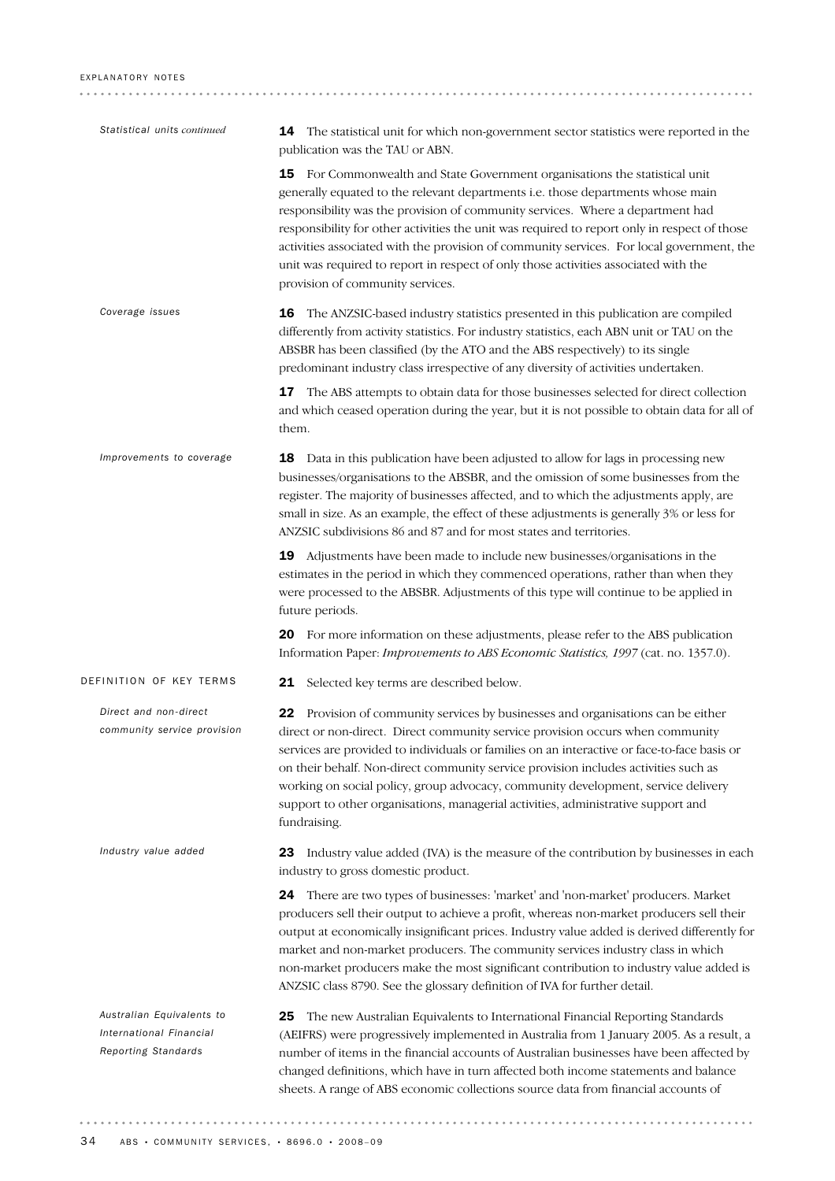| Statistical units continued                                                 | 14 The statistical unit for which non-government sector statistics were reported in the<br>publication was the TAU or ABN.                                                                                                                                                                                                                                                                                                                                                                                                                                                  |
|-----------------------------------------------------------------------------|-----------------------------------------------------------------------------------------------------------------------------------------------------------------------------------------------------------------------------------------------------------------------------------------------------------------------------------------------------------------------------------------------------------------------------------------------------------------------------------------------------------------------------------------------------------------------------|
|                                                                             | For Commonwealth and State Government organisations the statistical unit<br>15<br>generally equated to the relevant departments i.e. those departments whose main<br>responsibility was the provision of community services. Where a department had<br>responsibility for other activities the unit was required to report only in respect of those<br>activities associated with the provision of community services. For local government, the<br>unit was required to report in respect of only those activities associated with the<br>provision of community services. |
| Coverage issues                                                             | 16<br>The ANZSIC-based industry statistics presented in this publication are compiled<br>differently from activity statistics. For industry statistics, each ABN unit or TAU on the<br>ABSBR has been classified (by the ATO and the ABS respectively) to its single<br>predominant industry class irrespective of any diversity of activities undertaken.                                                                                                                                                                                                                  |
|                                                                             | The ABS attempts to obtain data for those businesses selected for direct collection<br>17<br>and which ceased operation during the year, but it is not possible to obtain data for all of<br>them.                                                                                                                                                                                                                                                                                                                                                                          |
| Improvements to coverage                                                    | Data in this publication have been adjusted to allow for lags in processing new<br>18<br>businesses/organisations to the ABSBR, and the omission of some businesses from the<br>register. The majority of businesses affected, and to which the adjustments apply, are<br>small in size. As an example, the effect of these adjustments is generally 3% or less for<br>ANZSIC subdivisions 86 and 87 and for most states and territories.                                                                                                                                   |
|                                                                             | Adjustments have been made to include new businesses/organisations in the<br>19<br>estimates in the period in which they commenced operations, rather than when they<br>were processed to the ABSBR. Adjustments of this type will continue to be applied in<br>future periods.                                                                                                                                                                                                                                                                                             |
|                                                                             | 20 For more information on these adjustments, please refer to the ABS publication<br>Information Paper: <i>Improvements to ABS Economic Statistics</i> , 1997 (cat. no. 1357.0).                                                                                                                                                                                                                                                                                                                                                                                            |
| DEFINITION OF KEY TERMS                                                     | 21<br>Selected key terms are described below.                                                                                                                                                                                                                                                                                                                                                                                                                                                                                                                               |
| Direct and non-direct<br>community service provision                        | 22<br>Provision of community services by businesses and organisations can be either<br>direct or non-direct. Direct community service provision occurs when community<br>services are provided to individuals or families on an interactive or face-to-face basis or<br>on their behalf. Non-direct community service provision includes activities such as<br>working on social policy, group advocacy, community development, service delivery<br>support to other organisations, managerial activities, administrative support and<br>fundraising.                       |
| Industry value added                                                        | Industry value added (IVA) is the measure of the contribution by businesses in each<br>23<br>industry to gross domestic product.                                                                                                                                                                                                                                                                                                                                                                                                                                            |
|                                                                             | 24 There are two types of businesses: 'market' and 'non-market' producers. Market<br>producers sell their output to achieve a profit, whereas non-market producers sell their<br>output at economically insignificant prices. Industry value added is derived differently for<br>market and non-market producers. The community services industry class in which<br>non-market producers make the most significant contribution to industry value added is<br>ANZSIC class 8790. See the glossary definition of IVA for further detail.                                     |
| Australian Equivalents to<br>International Financial<br>Reporting Standards | The new Australian Equivalents to International Financial Reporting Standards<br>25<br>(AEIFRS) were progressively implemented in Australia from 1 January 2005. As a result, a<br>number of items in the financial accounts of Australian businesses have been affected by<br>changed definitions, which have in turn affected both income statements and balance<br>sheets. A range of ABS economic collections source data from financial accounts of                                                                                                                    |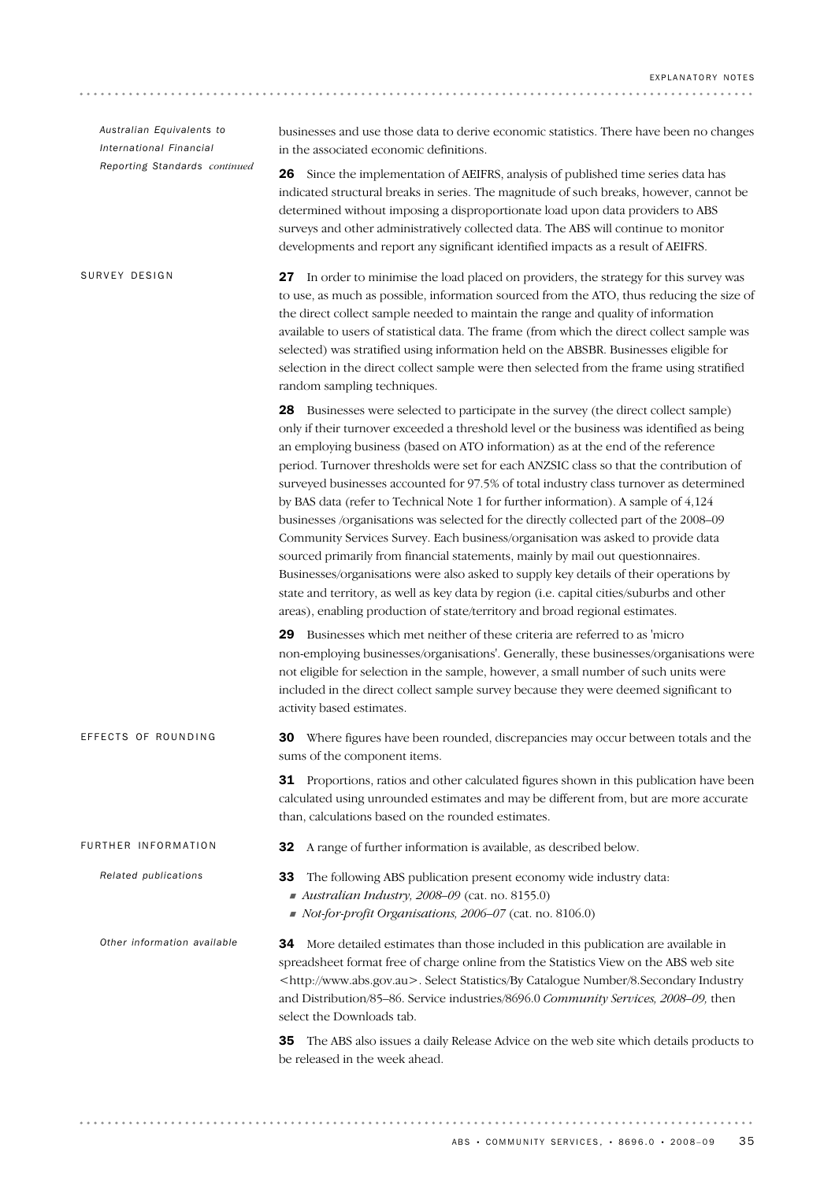34 More detailed estimates than those included in this publication are available in spreadsheet format free of charge online from the Statistics View on the ABS web site <http://www.abs.gov.au>. Select Statistics/By Catalogue Number/8.Secondary Industry and Distribution/85–86. Service industries/8696.0 *Community Services, 2008–09,* then select the Downloads tab. 35 The ABS also issues a daily Release Advice on the web site which details products to be released in the week ahead. *Other information available* 33 The following ABS publication present economy wide industry data: ! *Australian Industry, 2008–09* (cat. no. 8155.0) ! *Not-for-profit Organisations, 2006–07* (cat. no. 8106.0) *Related publications* FURTHER INFORMATION **32** A range of further information is available, as described below. 30 Where figures have been rounded, discrepancies may occur between totals and the sums of the component items. 31 Proportions, ratios and other calculated figures shown in this publication have been calculated using unrounded estimates and may be different from, but are more accurate than, calculations based on the rounded estimates. EFFECTS OF ROUNDING 27 In order to minimise the load placed on providers, the strategy for this survey was to use, as much as possible, information sourced from the ATO, thus reducing the size of the direct collect sample needed to maintain the range and quality of information available to users of statistical data. The frame (from which the direct collect sample was selected) was stratified using information held on the ABSBR. Businesses eligible for selection in the direct collect sample were then selected from the frame using stratified random sampling techniques. 28 Businesses were selected to participate in the survey (the direct collect sample) only if their turnover exceeded a threshold level or the business was identified as being an employing business (based on ATO information) as at the end of the reference period. Turnover thresholds were set for each ANZSIC class so that the contribution of surveyed businesses accounted for 97.5% of total industry class turnover as determined by BAS data (refer to Technical Note 1 for further information). A sample of 4,124 businesses /organisations was selected for the directly collected part of the 2008–09 Community Services Survey. Each business/organisation was asked to provide data sourced primarily from financial statements, mainly by mail out questionnaires. Businesses/organisations were also asked to supply key details of their operations by state and territory, as well as key data by region (i.e. capital cities/suburbs and other areas), enabling production of state/territory and broad regional estimates. 29 Businesses which met neither of these criteria are referred to as 'micro non-employing businesses/organisations'. Generally, these businesses/organisations were not eligible for selection in the sample, however, a small number of such units were included in the direct collect sample survey because they were deemed significant to activity based estimates. SURVEY DESIGN businesses and use those data to derive economic statistics. There have been no changes in the associated economic definitions. 26 Since the implementation of AEIFRS, analysis of published time series data has indicated structural breaks in series. The magnitude of such breaks, however, cannot be determined without imposing a disproportionate load upon data providers to ABS surveys and other administratively collected data. The ABS will continue to monitor developments and report any significant identified impacts as a result of AEIFRS. *Australian Equivalents to International Financial Reporting Standards continued*

. . . . . . . . . . . . . . . . .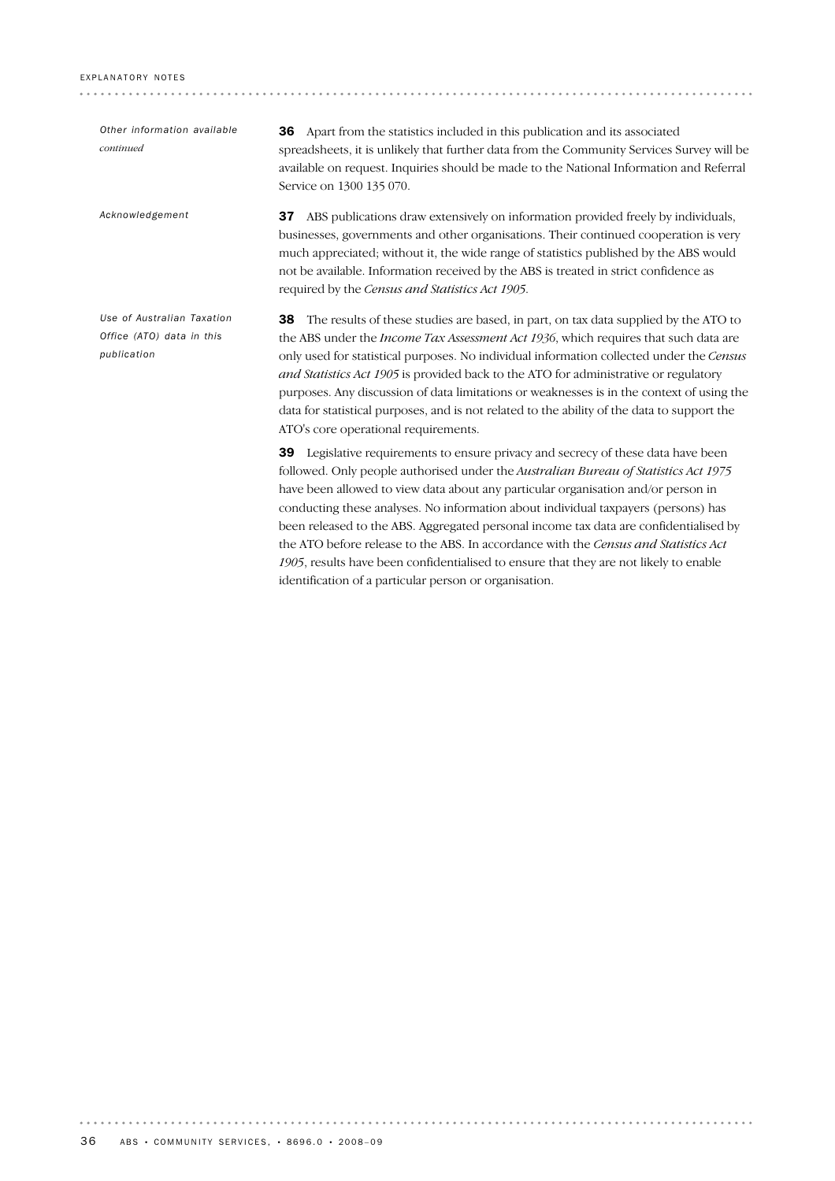*Other information available continued*

*Use of Australian Taxation Office (ATO) data in this*

*Acknowledgement*

*publication*

36 Apart from the statistics included in this publication and its associated spreadsheets, it is unlikely that further data from the Community Services Survey will be available on request. Inquiries should be made to the National Information and Referral Service on 1300 135 070.

37 ABS publications draw extensively on information provided freely by individuals, businesses, governments and other organisations. Their continued cooperation is very much appreciated; without it, the wide range of statistics published by the ABS would not be available. Information received by the ABS is treated in strict confidence as required by the *Census and Statistics Act 1905*.

38 The results of these studies are based, in part, on tax data supplied by the ATO to the ABS under the *Income Tax Assessment Act 1936*, which requires that such data are only used for statistical purposes. No individual information collected under the *Census and Statistics Act 1905* is provided back to the ATO for administrative or regulatory purposes. Any discussion of data limitations or weaknesses is in the context of using the data for statistical purposes, and is not related to the ability of the data to support the ATO's core operational requirements.

39 Legislative requirements to ensure privacy and secrecy of these data have been followed. Only people authorised under the *Australian Bureau of Statistics Act 1975* have been allowed to view data about any particular organisation and/or person in conducting these analyses. No information about individual taxpayers (persons) has been released to the ABS. Aggregated personal income tax data are confidentialised by the ATO before release to the ABS. In accordance with the *Census and Statistics Act 1905*, results have been confidentialised to ensure that they are not likely to enable identification of a particular person or organisation.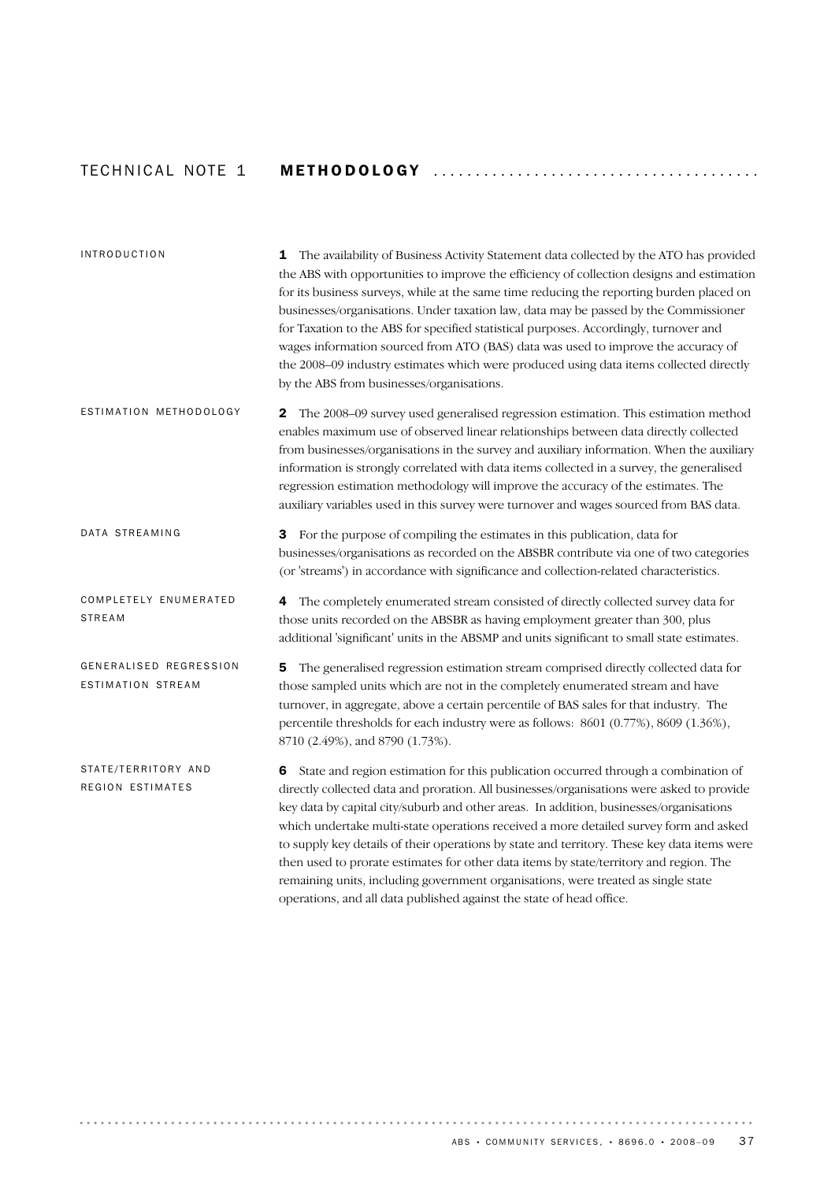# TECH N I C A L NOTE 1 METHODOLOGY ...................................... .

| <b>INTRODUCTION</b>                         | The availability of Business Activity Statement data collected by the ATO has provided<br>1<br>the ABS with opportunities to improve the efficiency of collection designs and estimation<br>for its business surveys, while at the same time reducing the reporting burden placed on<br>businesses/organisations. Under taxation law, data may be passed by the Commissioner<br>for Taxation to the ABS for specified statistical purposes. Accordingly, turnover and<br>wages information sourced from ATO (BAS) data was used to improve the accuracy of<br>the 2008-09 industry estimates which were produced using data items collected directly<br>by the ABS from businesses/organisations.                             |
|---------------------------------------------|-------------------------------------------------------------------------------------------------------------------------------------------------------------------------------------------------------------------------------------------------------------------------------------------------------------------------------------------------------------------------------------------------------------------------------------------------------------------------------------------------------------------------------------------------------------------------------------------------------------------------------------------------------------------------------------------------------------------------------|
| ESTIMATION METHODOLOGY                      | The 2008-09 survey used generalised regression estimation. This estimation method<br>$\mathbf{2}$<br>enables maximum use of observed linear relationships between data directly collected<br>from businesses/organisations in the survey and auxiliary information. When the auxiliary<br>information is strongly correlated with data items collected in a survey, the generalised<br>regression estimation methodology will improve the accuracy of the estimates. The<br>auxiliary variables used in this survey were turnover and wages sourced from BAS data.                                                                                                                                                            |
| DATA STREAMING                              | For the purpose of compiling the estimates in this publication, data for<br>3<br>businesses/organisations as recorded on the ABSBR contribute via one of two categories<br>(or 'streams') in accordance with significance and collection-related characteristics.                                                                                                                                                                                                                                                                                                                                                                                                                                                             |
| COMPLETELY ENUMERATED<br><b>STREAM</b>      | The completely enumerated stream consisted of directly collected survey data for<br>4<br>those units recorded on the ABSBR as having employment greater than 300, plus<br>additional 'significant' units in the ABSMP and units significant to small state estimates.                                                                                                                                                                                                                                                                                                                                                                                                                                                         |
| GENERALISED REGRESSION<br>ESTIMATION STREAM | The generalised regression estimation stream comprised directly collected data for<br>5<br>those sampled units which are not in the completely enumerated stream and have<br>turnover, in aggregate, above a certain percentile of BAS sales for that industry. The<br>percentile thresholds for each industry were as follows: 8601 (0.77%), 8609 (1.36%),<br>8710 (2.49%), and 8790 (1.73%).                                                                                                                                                                                                                                                                                                                                |
| STATE/TERRITORY AND<br>REGION ESTIMATES     | State and region estimation for this publication occurred through a combination of<br>6<br>directly collected data and proration. All businesses/organisations were asked to provide<br>key data by capital city/suburb and other areas. In addition, businesses/organisations<br>which undertake multi-state operations received a more detailed survey form and asked<br>to supply key details of their operations by state and territory. These key data items were<br>then used to prorate estimates for other data items by state/territory and region. The<br>remaining units, including government organisations, were treated as single state<br>operations, and all data published against the state of head office. |

 $\sim$   $\sim$   $\sim$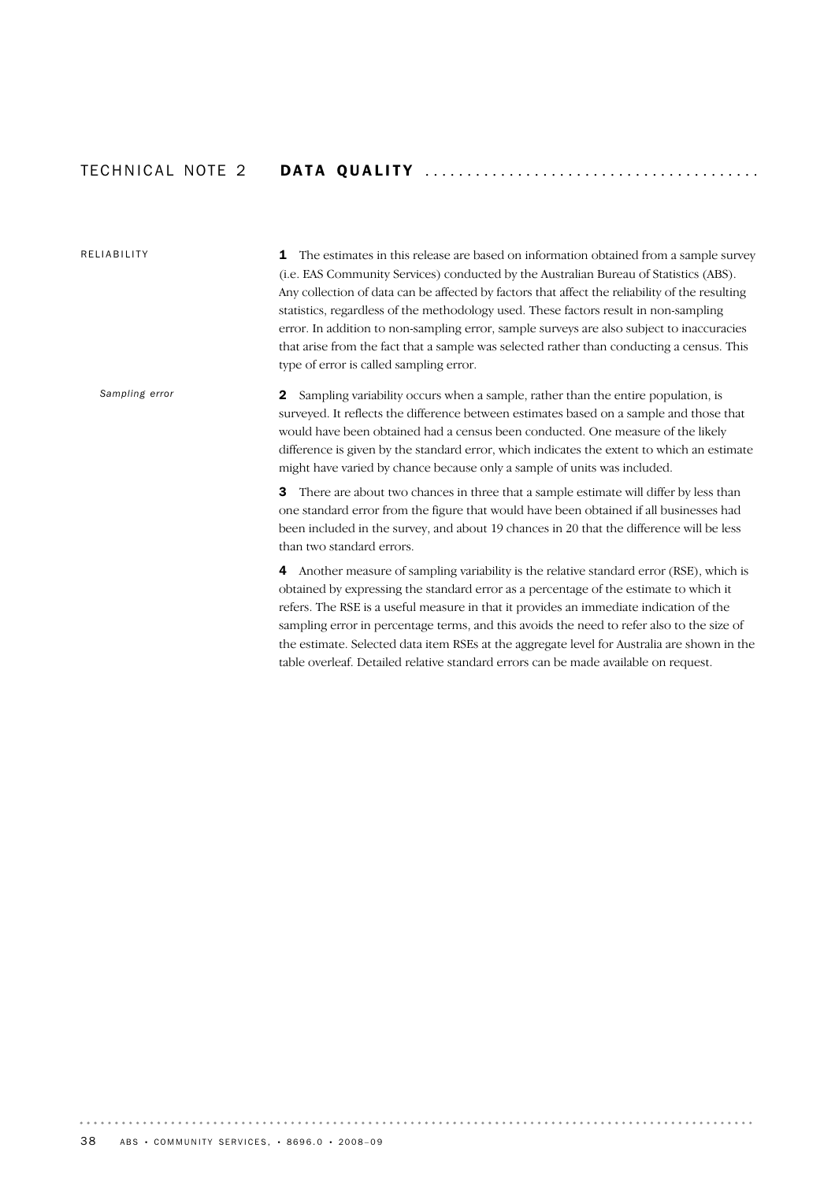## TECH N I C A L NOTE 2 DA T A QU A L I T Y ....................................... .

### RELIABILITY

*Sampling error*

**1** The estimates in this release are based on information obtained from a sample survey (i.e. EAS Community Services) conducted by the Australian Bureau of Statistics (ABS). Any collection of data can be affected by factors that affect the reliability of the resulting statistics, regardless of the methodology used. These factors result in non-sampling error. In addition to non-sampling error, sample surveys are also subject to inaccuracies that arise from the fact that a sample was selected rather than conducting a census. This type of error is called sampling error.

2 Sampling variability occurs when a sample, rather than the entire population, is surveyed. It reflects the difference between estimates based on a sample and those that would have been obtained had a census been conducted. One measure of the likely difference is given by the standard error, which indicates the extent to which an estimate might have varied by chance because only a sample of units was included.

**3** There are about two chances in three that a sample estimate will differ by less than one standard error from the figure that would have been obtained if all businesses had been included in the survey, and about 19 chances in 20 that the difference will be less than two standard errors.

4 Another measure of sampling variability is the relative standard error (RSE), which is obtained by expressing the standard error as a percentage of the estimate to which it refers. The RSE is a useful measure in that it provides an immediate indication of the sampling error in percentage terms, and this avoids the need to refer also to the size of the estimate. Selected data item RSEs at the aggregate level for Australia are shown in the table overleaf. Detailed relative standard errors can be made available on request.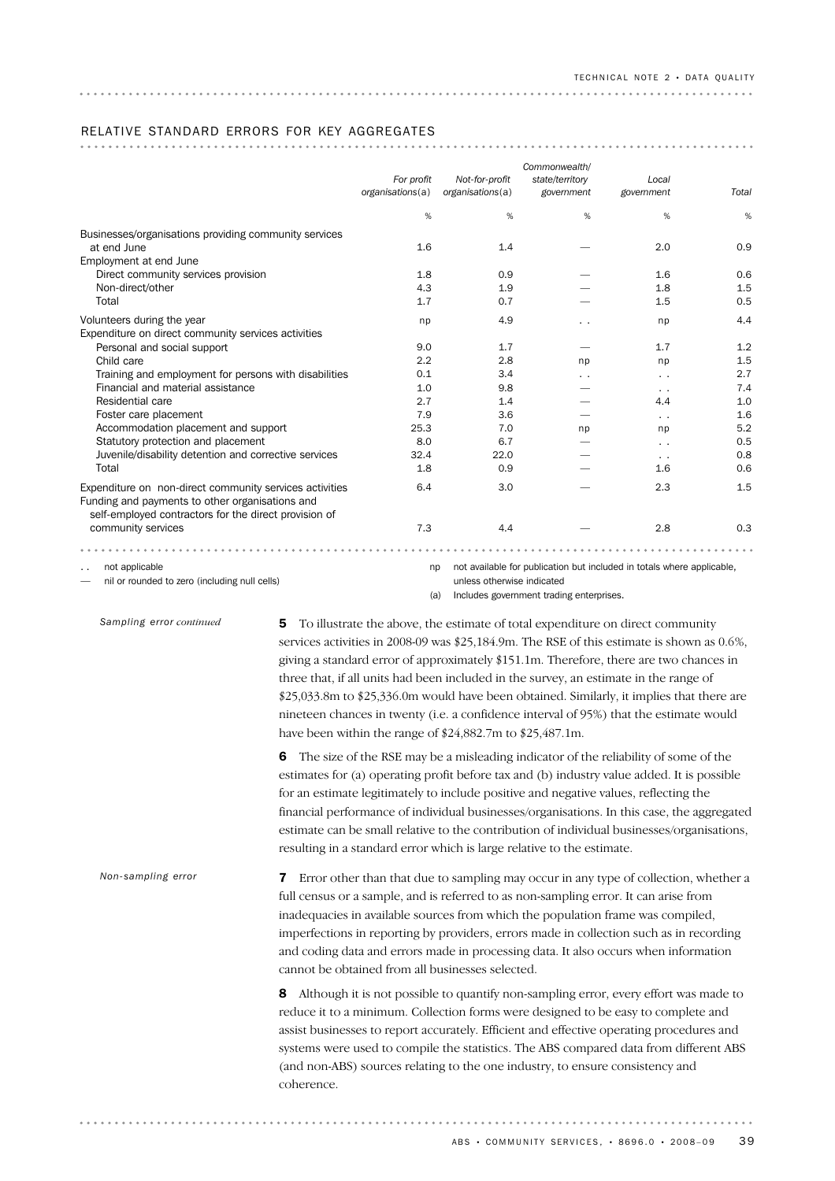### RELATIVE STANDARD ERRORS FOR KEY AGGREGATES

|                                                                                                            | For profit<br>organisations(a) | Not-for-profit<br>organisations(a) | Commonwealth/<br>state/territory<br>government                         | Local<br>government | Total |
|------------------------------------------------------------------------------------------------------------|--------------------------------|------------------------------------|------------------------------------------------------------------------|---------------------|-------|
|                                                                                                            | %                              | %                                  | %                                                                      | %                   | %     |
| Businesses/organisations providing community services                                                      |                                |                                    |                                                                        |                     |       |
| at end June                                                                                                | 1.6                            | 1.4                                |                                                                        | 2.0                 | 0.9   |
| Employment at end June                                                                                     |                                |                                    |                                                                        |                     |       |
| Direct community services provision                                                                        | 1.8                            | 0.9                                |                                                                        | 1.6                 | 0.6   |
| Non-direct/other                                                                                           | 4.3                            | 1.9                                |                                                                        | 1.8                 | 1.5   |
| Total                                                                                                      | 1.7                            | 0.7                                |                                                                        | 1.5                 | 0.5   |
| Volunteers during the year                                                                                 | np                             | 4.9                                | $\sim$                                                                 | np                  | 4.4   |
| Expenditure on direct community services activities                                                        |                                |                                    |                                                                        |                     |       |
| Personal and social support                                                                                | 9.0                            | 1.7                                |                                                                        | 1.7                 | 1.2   |
| Child care                                                                                                 | 2.2                            | 2.8                                | np                                                                     | np                  | 1.5   |
| Training and employment for persons with disabilities                                                      | 0.1                            | 3.4                                | . .                                                                    |                     | 2.7   |
| Financial and material assistance                                                                          | 1.0                            | 9.8                                |                                                                        |                     | 7.4   |
| Residential care                                                                                           | 2.7                            | 1.4                                |                                                                        | 4.4                 | 1.0   |
| Foster care placement                                                                                      | 7.9                            | 3.6                                |                                                                        | $\ddotsc$           | 1.6   |
| Accommodation placement and support                                                                        | 25.3                           | 7.0                                | np                                                                     | np                  | 5.2   |
| Statutory protection and placement                                                                         | 8.0                            | 6.7                                |                                                                        | $\sim$              | 0.5   |
| Juvenile/disability detention and corrective services                                                      | 32.4                           | 22.0                               |                                                                        | $\ddotsc$           | 0.8   |
| Total                                                                                                      | 1.8                            | 0.9                                |                                                                        | 1.6                 | 0.6   |
| Expenditure on non-direct community services activities<br>Funding and payments to other organisations and | 6.4                            | 3.0                                |                                                                        | 2.3                 | 1.5   |
| self-employed contractors for the direct provision of<br>community services                                | 7.3                            | 4.4                                |                                                                        | 2.8                 | 0.3   |
|                                                                                                            |                                |                                    |                                                                        |                     |       |
| not applicable                                                                                             | np                             |                                    | not available for publication but included in totals where applicable, |                     |       |
| nil or rounded to zero (including null cells)                                                              |                                | unless otherwise indicated         |                                                                        |                     |       |

*Sampling error continued*

5 To illustrate the above, the estimate of total expenditure on direct community services activities in 2008-09 was \$25,184.9m. The RSE of this estimate is shown as 0.6%, giving a standard error of approximately \$151.1m. Therefore, there are two chances in three that, if all units had been included in the survey, an estimate in the range of \$25,033.8m to \$25,336.0m would have been obtained. Similarly, it implies that there are nineteen chances in twenty (i.e. a confidence interval of 95%) that the estimate would have been within the range of \$24,882.7m to \$25,487.1m.

(a) Includes government trading enterprises.

6 The size of the RSE may be a misleading indicator of the reliability of some of the estimates for (a) operating profit before tax and (b) industry value added. It is possible for an estimate legitimately to include positive and negative values, reflecting the financial performance of individual businesses/organisations. In this case, the aggregated estimate can be small relative to the contribution of individual businesses/organisations, resulting in a standard error which is large relative to the estimate.

**7** Error other than that due to sampling may occur in any type of collection, whether a full census or a sample, and is referred to as non-sampling error. It can arise from inadequacies in available sources from which the population frame was compiled, imperfections in reporting by providers, errors made in collection such as in recording and coding data and errors made in processing data. It also occurs when information cannot be obtained from all businesses selected. *Non-sampling error*

> 8 Although it is not possible to quantify non-sampling error, every effort was made to reduce it to a minimum. Collection forms were designed to be easy to complete and assist businesses to report accurately. Efficient and effective operating procedures and systems were used to compile the statistics. The ABS compared data from different ABS (and non-ABS) sources relating to the one industry, to ensure consistency and coherence.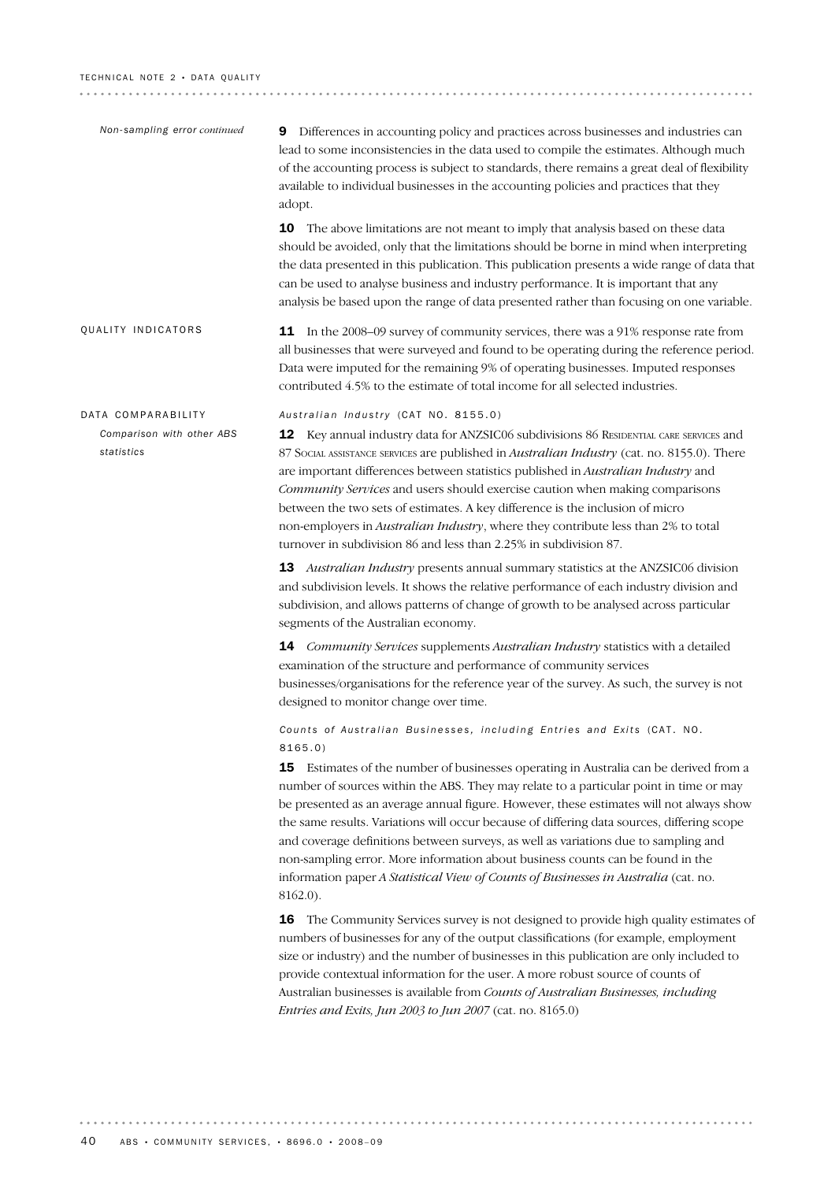#### TECHNICAL NOTE 2 · DATA QUALITY

| Non-sampling error continued            | Differences in accounting policy and practices across businesses and industries can<br>9<br>lead to some inconsistencies in the data used to compile the estimates. Although much<br>of the accounting process is subject to standards, there remains a great deal of flexibility<br>available to individual businesses in the accounting policies and practices that they<br>adopt.                                                                                                                                                                                                                                                                    |
|-----------------------------------------|---------------------------------------------------------------------------------------------------------------------------------------------------------------------------------------------------------------------------------------------------------------------------------------------------------------------------------------------------------------------------------------------------------------------------------------------------------------------------------------------------------------------------------------------------------------------------------------------------------------------------------------------------------|
|                                         | 10 The above limitations are not meant to imply that analysis based on these data<br>should be avoided, only that the limitations should be borne in mind when interpreting<br>the data presented in this publication. This publication presents a wide range of data that<br>can be used to analyse business and industry performance. It is important that any<br>analysis be based upon the range of data presented rather than focusing on one variable.                                                                                                                                                                                            |
| QUALITY INDICATORS                      | 11 In the 2008–09 survey of community services, there was a 91% response rate from<br>all businesses that were surveyed and found to be operating during the reference period.<br>Data were imputed for the remaining 9% of operating businesses. Imputed responses<br>contributed 4.5% to the estimate of total income for all selected industries.                                                                                                                                                                                                                                                                                                    |
| DATA COMPARABILITY                      | Australian Industry (CAT NO. 8155.0)                                                                                                                                                                                                                                                                                                                                                                                                                                                                                                                                                                                                                    |
| Comparison with other ABS<br>statistics | 12 Key annual industry data for ANZSIC06 subdivisions 86 RESIDENTIAL CARE SERVICES and<br>87 SOCIAL ASSISTANCE SERVICES are published in Australian Industry (cat. no. 8155.0). There<br>are important differences between statistics published in Australian Industry and<br>Community Services and users should exercise caution when making comparisons<br>between the two sets of estimates. A key difference is the inclusion of micro<br>non-employers in Australian Industry, where they contribute less than 2% to total<br>turnover in subdivision 86 and less than 2.25% in subdivision 87.                                                   |
|                                         | Australian Industry presents annual summary statistics at the ANZSIC06 division<br>13<br>and subdivision levels. It shows the relative performance of each industry division and<br>subdivision, and allows patterns of change of growth to be analysed across particular<br>segments of the Australian economy.                                                                                                                                                                                                                                                                                                                                        |
|                                         | 14 Community Services supplements Australian Industry statistics with a detailed<br>examination of the structure and performance of community services<br>businesses/organisations for the reference year of the survey. As such, the survey is not<br>designed to monitor change over time.                                                                                                                                                                                                                                                                                                                                                            |
|                                         | Counts of Australian Businesses, including Entries and Exits (CAT. NO.<br>8165.0)                                                                                                                                                                                                                                                                                                                                                                                                                                                                                                                                                                       |
|                                         | Estimates of the number of businesses operating in Australia can be derived from a<br>15<br>number of sources within the ABS. They may relate to a particular point in time or may<br>be presented as an average annual figure. However, these estimates will not always show<br>the same results. Variations will occur because of differing data sources, differing scope<br>and coverage definitions between surveys, as well as variations due to sampling and<br>non-sampling error. More information about business counts can be found in the<br>information paper A Statistical View of Counts of Businesses in Australia (cat. no.<br>8162.0). |
|                                         | The Community Services survey is not designed to provide high quality estimates of<br>16<br>numbers of businesses for any of the output classifications (for example, employment<br>size or industry) and the number of businesses in this publication are only included to<br>provide contextual information for the user. A more robust source of counts of<br>Australian businesses is available from Counts of Australian Businesses, including<br>Entries and Exits, Jun 2003 to Jun 2007 (cat. no. 8165.0)                                                                                                                                        |
|                                         |                                                                                                                                                                                                                                                                                                                                                                                                                                                                                                                                                                                                                                                         |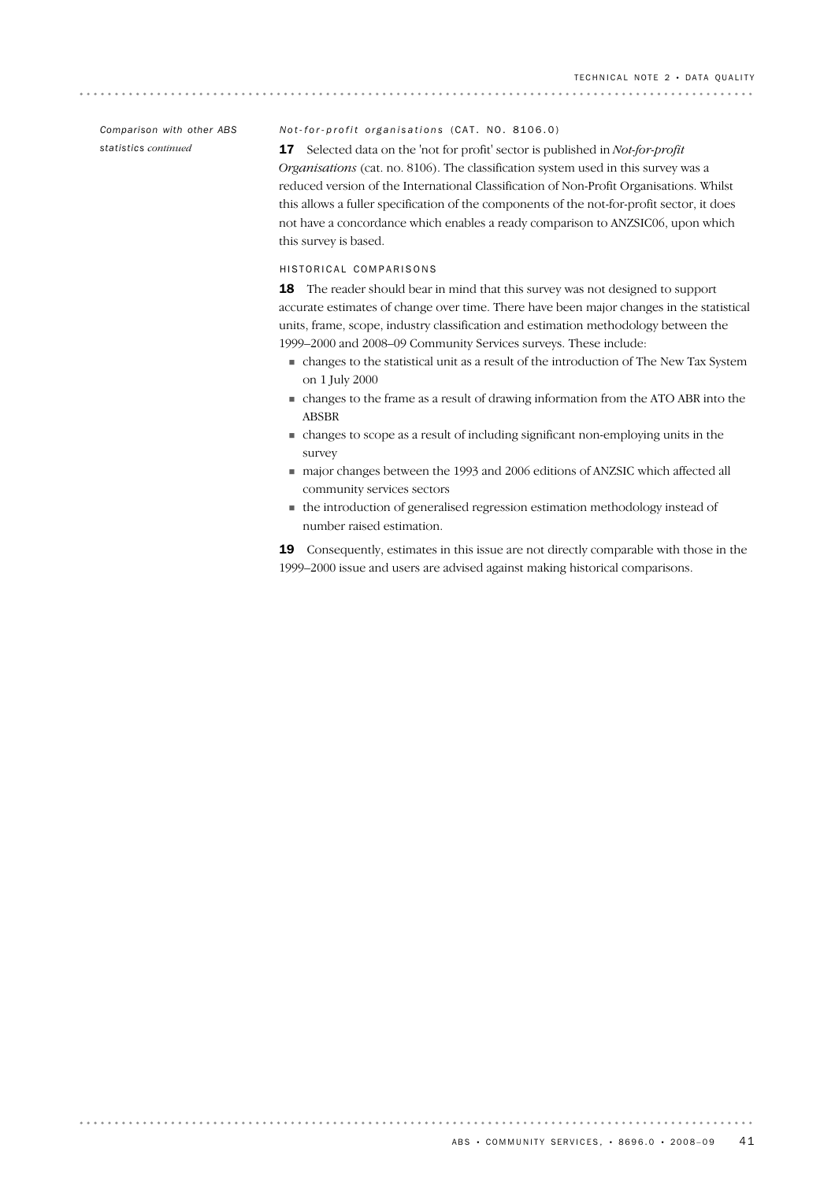*Comparison with other ABS statistics continued*

. . . . . . . . .

### *Not-for-profit organisations* (CAT. NO. 8106.0)

17 Selected data on the 'not for profit' sector is published in *Not-for-profit Organisations* (cat. no. 8106). The classification system used in this survey was a reduced version of the International Classification of Non-Profit Organisations. Whilst this allows a fuller specification of the components of the not-for-profit sector, it does not have a concordance which enables a ready comparison to ANZSIC06, upon which this survey is based.

### HISTORICAL COMPARISONS

18 The reader should bear in mind that this survey was not designed to support accurate estimates of change over time. There have been major changes in the statistical units, frame, scope, industry classification and estimation methodology between the 1999–2000 and 2008–09 Community Services surveys. These include:

- ! changes to the statistical unit as a result of the introduction of The New Tax System on 1 July 2000
- ! changes to the frame as a result of drawing information from the ATO ABR into the ABSBR
- ! changes to scope as a result of including significant non-employing units in the survey
- ! major changes between the 1993 and 2006 editions of ANZSIC which affected all community services sectors
- ! the introduction of generalised regression estimation methodology instead of number raised estimation.

19 Consequently, estimates in this issue are not directly comparable with those in the 1999–2000 issue and users are advised against making historical comparisons.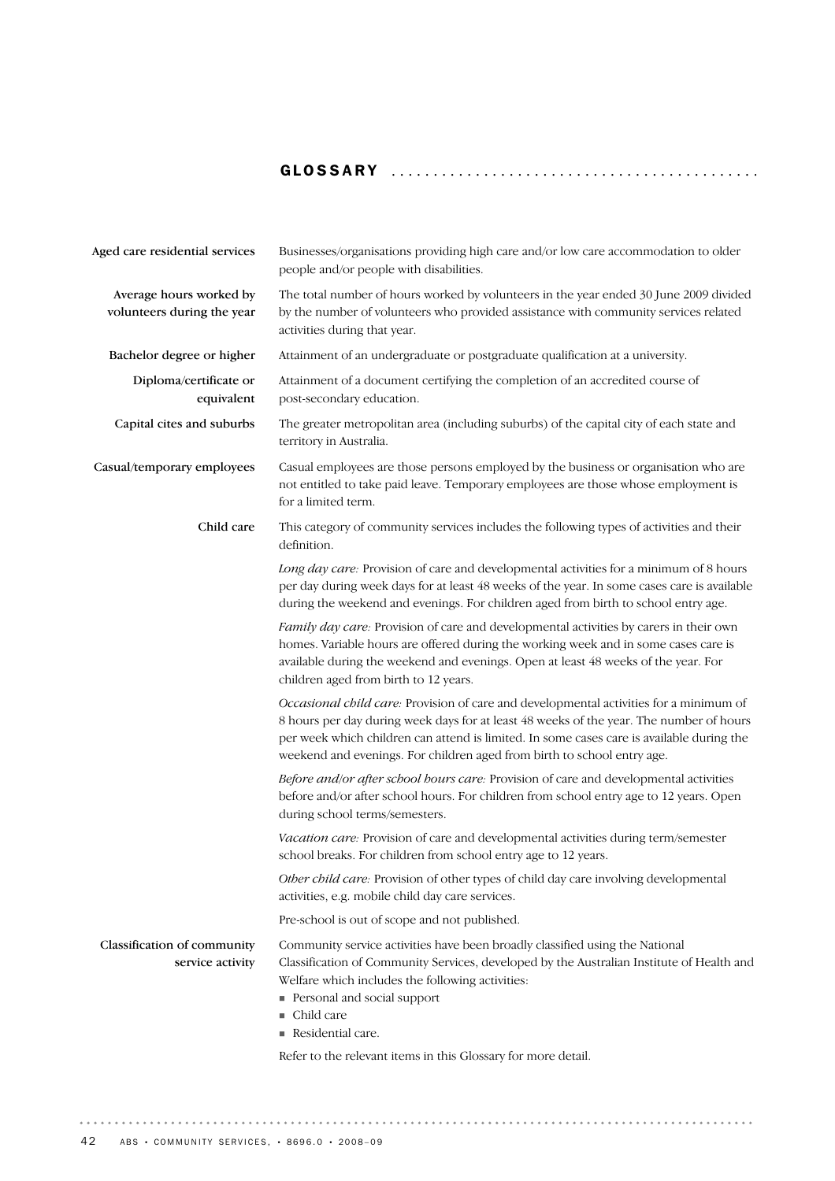# GLOSSARY ........................................... .

| Aged care residential services                        | Businesses/organisations providing high care and/or low care accommodation to older<br>people and/or people with disabilities.                                                                                                                                                                                                                            |
|-------------------------------------------------------|-----------------------------------------------------------------------------------------------------------------------------------------------------------------------------------------------------------------------------------------------------------------------------------------------------------------------------------------------------------|
| Average hours worked by<br>volunteers during the year | The total number of hours worked by volunteers in the year ended 30 June 2009 divided<br>by the number of volunteers who provided assistance with community services related<br>activities during that year.                                                                                                                                              |
| Bachelor degree or higher                             | Attainment of an undergraduate or postgraduate qualification at a university.                                                                                                                                                                                                                                                                             |
| Diploma/certificate or<br>equivalent                  | Attainment of a document certifying the completion of an accredited course of<br>post-secondary education.                                                                                                                                                                                                                                                |
| Capital cites and suburbs                             | The greater metropolitan area (including suburbs) of the capital city of each state and<br>territory in Australia.                                                                                                                                                                                                                                        |
| Casual/temporary employees                            | Casual employees are those persons employed by the business or organisation who are<br>not entitled to take paid leave. Temporary employees are those whose employment is<br>for a limited term.                                                                                                                                                          |
| Child care                                            | This category of community services includes the following types of activities and their<br>definition.                                                                                                                                                                                                                                                   |
|                                                       | Long day care: Provision of care and developmental activities for a minimum of 8 hours<br>per day during week days for at least 48 weeks of the year. In some cases care is available<br>during the weekend and evenings. For children aged from birth to school entry age.                                                                               |
|                                                       | Family day care: Provision of care and developmental activities by carers in their own<br>homes. Variable hours are offered during the working week and in some cases care is<br>available during the weekend and evenings. Open at least 48 weeks of the year. For<br>children aged from birth to 12 years.                                              |
|                                                       | Occasional child care: Provision of care and developmental activities for a minimum of<br>8 hours per day during week days for at least 48 weeks of the year. The number of hours<br>per week which children can attend is limited. In some cases care is available during the<br>weekend and evenings. For children aged from birth to school entry age. |
|                                                       | Before and/or after school hours care: Provision of care and developmental activities<br>before and/or after school hours. For children from school entry age to 12 years. Open<br>during school terms/semesters.                                                                                                                                         |
|                                                       | Vacation care: Provision of care and developmental activities during term/semester<br>school breaks. For children from school entry age to 12 years.                                                                                                                                                                                                      |
|                                                       | Other child care: Provision of other types of child day care involving developmental<br>activities, e.g. mobile child day care services.                                                                                                                                                                                                                  |
|                                                       | Pre-school is out of scope and not published.                                                                                                                                                                                                                                                                                                             |
| Classification of community<br>service activity       | Community service activities have been broadly classified using the National<br>Classification of Community Services, developed by the Australian Institute of Health and<br>Welfare which includes the following activities:<br>Personal and social support<br>Child care<br>Residential care.                                                           |
|                                                       | Refer to the relevant items in this Glossary for more detail.                                                                                                                                                                                                                                                                                             |

 $\alpha$  ,  $\alpha$  ,  $\alpha$  ,  $\alpha$  ,  $\alpha$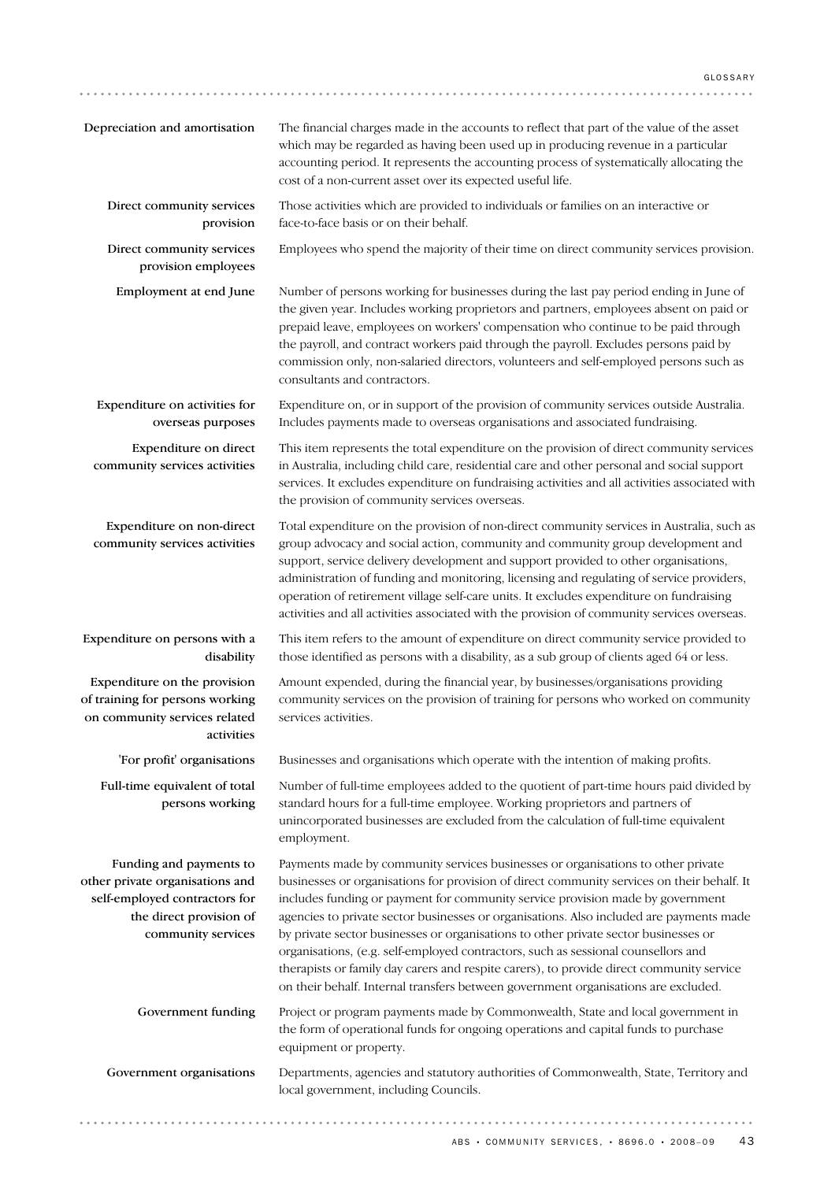| Depreciation and amortisation                                                                                                                | The financial charges made in the accounts to reflect that part of the value of the asset<br>which may be regarded as having been used up in producing revenue in a particular<br>accounting period. It represents the accounting process of systematically allocating the<br>cost of a non-current asset over its expected useful life.                                                                                                                                                                                                                                                                                                                                                                                  |
|----------------------------------------------------------------------------------------------------------------------------------------------|---------------------------------------------------------------------------------------------------------------------------------------------------------------------------------------------------------------------------------------------------------------------------------------------------------------------------------------------------------------------------------------------------------------------------------------------------------------------------------------------------------------------------------------------------------------------------------------------------------------------------------------------------------------------------------------------------------------------------|
| Direct community services<br>provision                                                                                                       | Those activities which are provided to individuals or families on an interactive or<br>face-to-face basis or on their behalf.                                                                                                                                                                                                                                                                                                                                                                                                                                                                                                                                                                                             |
| Direct community services<br>provision employees                                                                                             | Employees who spend the majority of their time on direct community services provision.                                                                                                                                                                                                                                                                                                                                                                                                                                                                                                                                                                                                                                    |
| Employment at end June                                                                                                                       | Number of persons working for businesses during the last pay period ending in June of<br>the given year. Includes working proprietors and partners, employees absent on paid or<br>prepaid leave, employees on workers' compensation who continue to be paid through<br>the payroll, and contract workers paid through the payroll. Excludes persons paid by<br>commission only, non-salaried directors, volunteers and self-employed persons such as<br>consultants and contractors.                                                                                                                                                                                                                                     |
| Expenditure on activities for<br>overseas purposes                                                                                           | Expenditure on, or in support of the provision of community services outside Australia.<br>Includes payments made to overseas organisations and associated fundraising.                                                                                                                                                                                                                                                                                                                                                                                                                                                                                                                                                   |
| Expenditure on direct<br>community services activities                                                                                       | This item represents the total expenditure on the provision of direct community services<br>in Australia, including child care, residential care and other personal and social support<br>services. It excludes expenditure on fundraising activities and all activities associated with<br>the provision of community services overseas.                                                                                                                                                                                                                                                                                                                                                                                 |
| Expenditure on non-direct<br>community services activities                                                                                   | Total expenditure on the provision of non-direct community services in Australia, such as<br>group advocacy and social action, community and community group development and<br>support, service delivery development and support provided to other organisations,<br>administration of funding and monitoring, licensing and regulating of service providers,<br>operation of retirement village self-care units. It excludes expenditure on fundraising<br>activities and all activities associated with the provision of community services overseas.                                                                                                                                                                  |
| Expenditure on persons with a<br>disability                                                                                                  | This item refers to the amount of expenditure on direct community service provided to<br>those identified as persons with a disability, as a sub group of clients aged 64 or less.                                                                                                                                                                                                                                                                                                                                                                                                                                                                                                                                        |
| Expenditure on the provision<br>of training for persons working<br>on community services related<br>activities                               | Amount expended, during the financial year, by businesses/organisations providing<br>community services on the provision of training for persons who worked on community<br>services activities.                                                                                                                                                                                                                                                                                                                                                                                                                                                                                                                          |
| 'For profit' organisations                                                                                                                   | Businesses and organisations which operate with the intention of making profits.                                                                                                                                                                                                                                                                                                                                                                                                                                                                                                                                                                                                                                          |
| Full-time equivalent of total<br>persons working                                                                                             | Number of full-time employees added to the quotient of part-time hours paid divided by<br>standard hours for a full-time employee. Working proprietors and partners of<br>unincorporated businesses are excluded from the calculation of full-time equivalent<br>employment.                                                                                                                                                                                                                                                                                                                                                                                                                                              |
| Funding and payments to<br>other private organisations and<br>self-employed contractors for<br>the direct provision of<br>community services | Payments made by community services businesses or organisations to other private<br>businesses or organisations for provision of direct community services on their behalf. It<br>includes funding or payment for community service provision made by government<br>agencies to private sector businesses or organisations. Also included are payments made<br>by private sector businesses or organisations to other private sector businesses or<br>organisations, (e.g. self-employed contractors, such as sessional counsellors and<br>therapists or family day carers and respite carers), to provide direct community service<br>on their behalf. Internal transfers between government organisations are excluded. |
| Government funding                                                                                                                           | Project or program payments made by Commonwealth, State and local government in<br>the form of operational funds for ongoing operations and capital funds to purchase<br>equipment or property.                                                                                                                                                                                                                                                                                                                                                                                                                                                                                                                           |
| Government organisations                                                                                                                     | Departments, agencies and statutory authorities of Commonwealth, State, Territory and<br>local government, including Councils.                                                                                                                                                                                                                                                                                                                                                                                                                                                                                                                                                                                            |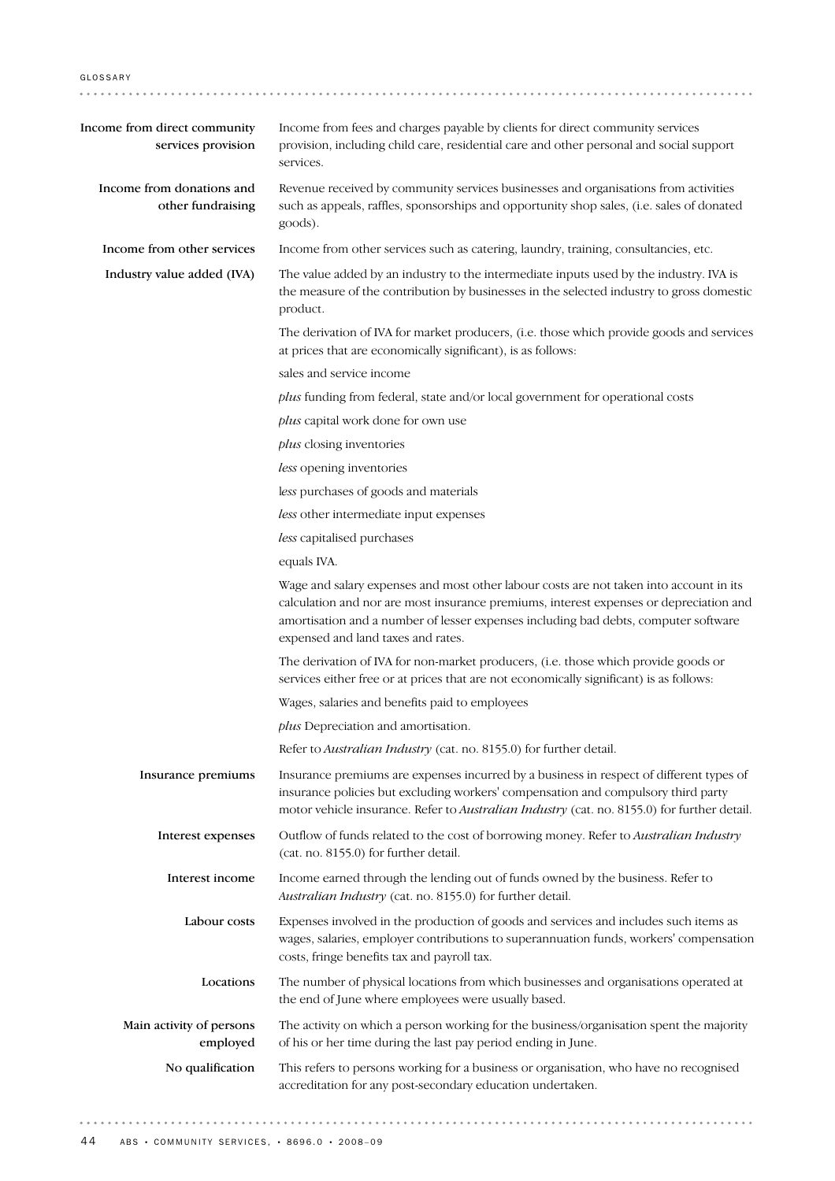| Income from direct community<br>services provision | Income from fees and charges payable by clients for direct community services<br>provision, including child care, residential care and other personal and social support<br>services.                                                                                                                         |
|----------------------------------------------------|---------------------------------------------------------------------------------------------------------------------------------------------------------------------------------------------------------------------------------------------------------------------------------------------------------------|
| Income from donations and<br>other fundraising     | Revenue received by community services businesses and organisations from activities<br>such as appeals, raffles, sponsorships and opportunity shop sales, (i.e. sales of donated<br>goods).                                                                                                                   |
| Income from other services                         | Income from other services such as catering, laundry, training, consultancies, etc.                                                                                                                                                                                                                           |
| Industry value added (IVA)                         | The value added by an industry to the intermediate inputs used by the industry. IVA is<br>the measure of the contribution by businesses in the selected industry to gross domestic<br>product.                                                                                                                |
|                                                    | The derivation of IVA for market producers, (i.e. those which provide goods and services<br>at prices that are economically significant), is as follows:                                                                                                                                                      |
|                                                    | sales and service income                                                                                                                                                                                                                                                                                      |
|                                                    | plus funding from federal, state and/or local government for operational costs                                                                                                                                                                                                                                |
|                                                    | plus capital work done for own use                                                                                                                                                                                                                                                                            |
|                                                    | plus closing inventories                                                                                                                                                                                                                                                                                      |
|                                                    | less opening inventories                                                                                                                                                                                                                                                                                      |
|                                                    | less purchases of goods and materials                                                                                                                                                                                                                                                                         |
|                                                    | less other intermediate input expenses                                                                                                                                                                                                                                                                        |
|                                                    | less capitalised purchases                                                                                                                                                                                                                                                                                    |
|                                                    | equals IVA.                                                                                                                                                                                                                                                                                                   |
|                                                    | Wage and salary expenses and most other labour costs are not taken into account in its<br>calculation and nor are most insurance premiums, interest expenses or depreciation and<br>amortisation and a number of lesser expenses including bad debts, computer software<br>expensed and land taxes and rates. |
|                                                    | The derivation of IVA for non-market producers, (i.e. those which provide goods or<br>services either free or at prices that are not economically significant) is as follows:                                                                                                                                 |
|                                                    | Wages, salaries and benefits paid to employees                                                                                                                                                                                                                                                                |
|                                                    | plus Depreciation and amortisation.                                                                                                                                                                                                                                                                           |
|                                                    | Refer to Australian Industry (cat. no. 8155.0) for further detail.                                                                                                                                                                                                                                            |
| Insurance premiums                                 | Insurance premiums are expenses incurred by a business in respect of different types of<br>insurance policies but excluding workers' compensation and compulsory third party<br>motor vehicle insurance. Refer to Australian Industry (cat. no. 8155.0) for further detail.                                   |
| Interest expenses                                  | Outflow of funds related to the cost of borrowing money. Refer to Australian Industry<br>(cat. no. 8155.0) for further detail.                                                                                                                                                                                |
| Interest income                                    | Income earned through the lending out of funds owned by the business. Refer to<br>Australian Industry (cat. no. 8155.0) for further detail.                                                                                                                                                                   |
| Labour costs                                       | Expenses involved in the production of goods and services and includes such items as<br>wages, salaries, employer contributions to superannuation funds, workers' compensation<br>costs, fringe benefits tax and payroll tax.                                                                                 |
| Locations                                          | The number of physical locations from which businesses and organisations operated at<br>the end of June where employees were usually based.                                                                                                                                                                   |
| Main activity of persons<br>employed               | The activity on which a person working for the business/organisation spent the majority<br>of his or her time during the last pay period ending in June.                                                                                                                                                      |
| No qualification                                   | This refers to persons working for a business or organisation, who have no recognised<br>accreditation for any post-secondary education undertaken.                                                                                                                                                           |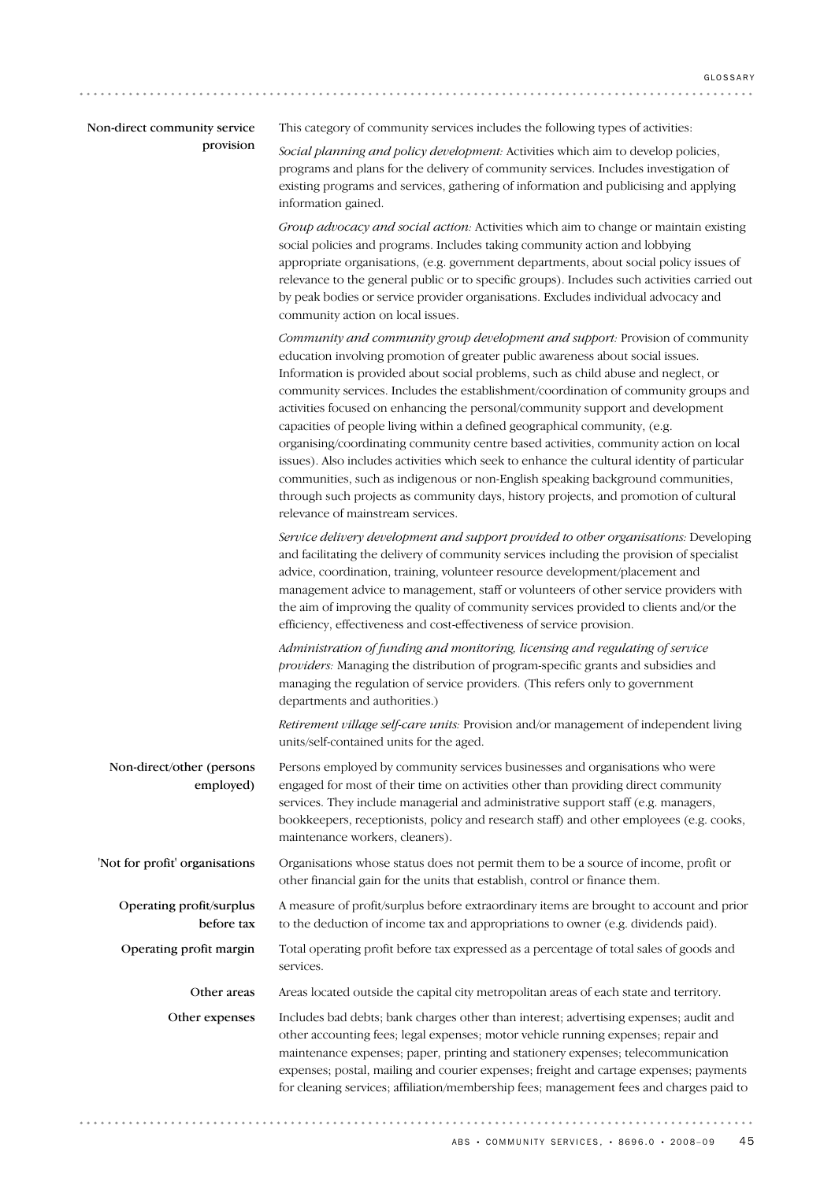| Non-direct community service |
|------------------------------|
| provision                    |

This category of community services includes the following types of activities:

*Social planning and policy development:* Activities which aim to develop policies, programs and plans for the delivery of community services. Includes investigation of existing programs and services, gathering of information and publicising and applying information gained.

*Group advocacy and social action:* Activities which aim to change or maintain existing social policies and programs. Includes taking community action and lobbying appropriate organisations, (e.g. government departments, about social policy issues of relevance to the general public or to specific groups). Includes such activities carried out by peak bodies or service provider organisations. Excludes individual advocacy and community action on local issues.

*Community and community group development and support:* Provision of community education involving promotion of greater public awareness about social issues. Information is provided about social problems, such as child abuse and neglect, or community services. Includes the establishment/coordination of community groups and activities focused on enhancing the personal/community support and development capacities of people living within a defined geographical community, (e.g. organising/coordinating community centre based activities, community action on local issues). Also includes activities which seek to enhance the cultural identity of particular communities, such as indigenous or non-English speaking background communities, through such projects as community days, history projects, and promotion of cultural relevance of mainstream services.

*Service delivery development and support provided to other organisations:* Developing and facilitating the delivery of community services including the provision of specialist advice, coordination, training, volunteer resource development/placement and management advice to management, staff or volunteers of other service providers with the aim of improving the quality of community services provided to clients and/or the efficiency, effectiveness and cost-effectiveness of service provision.

*Administration of funding and monitoring, licensing and regulating of service providers:* Managing the distribution of program-specific grants and subsidies and managing the regulation of service providers. (This refers only to government departments and authorities.)

*Retirement village self-care units:* Provision and/or management of independent living units/self-contained units for the aged.

Organisations whose status does not permit them to be a source of income, profit or other financial gain for the units that establish, control or finance them. 'Not for profit' organisations Persons employed by community services businesses and organisations who were engaged for most of their time on activities other than providing direct community services. They include managerial and administrative support staff (e.g. managers, bookkeepers, receptionists, policy and research staff) and other employees (e.g. cooks, maintenance workers, cleaners). Non-direct/other (persons employed)

A measure of profit/surplus before extraordinary items are brought to account and prior to the deduction of income tax and appropriations to owner (e.g. dividends paid). Operating profit/surplus before tax

Total operating profit before tax expressed as a percentage of total sales of goods and services. Operating profit margin

Other areas Areas located outside the capital city metropolitan areas of each state and territory.

Includes bad debts; bank charges other than interest; advertising expenses; audit and other accounting fees; legal expenses; motor vehicle running expenses; repair and maintenance expenses; paper, printing and stationery expenses; telecommunication expenses; postal, mailing and courier expenses; freight and cartage expenses; payments for cleaning services; affiliation/membership fees; management fees and charges paid to Other expenses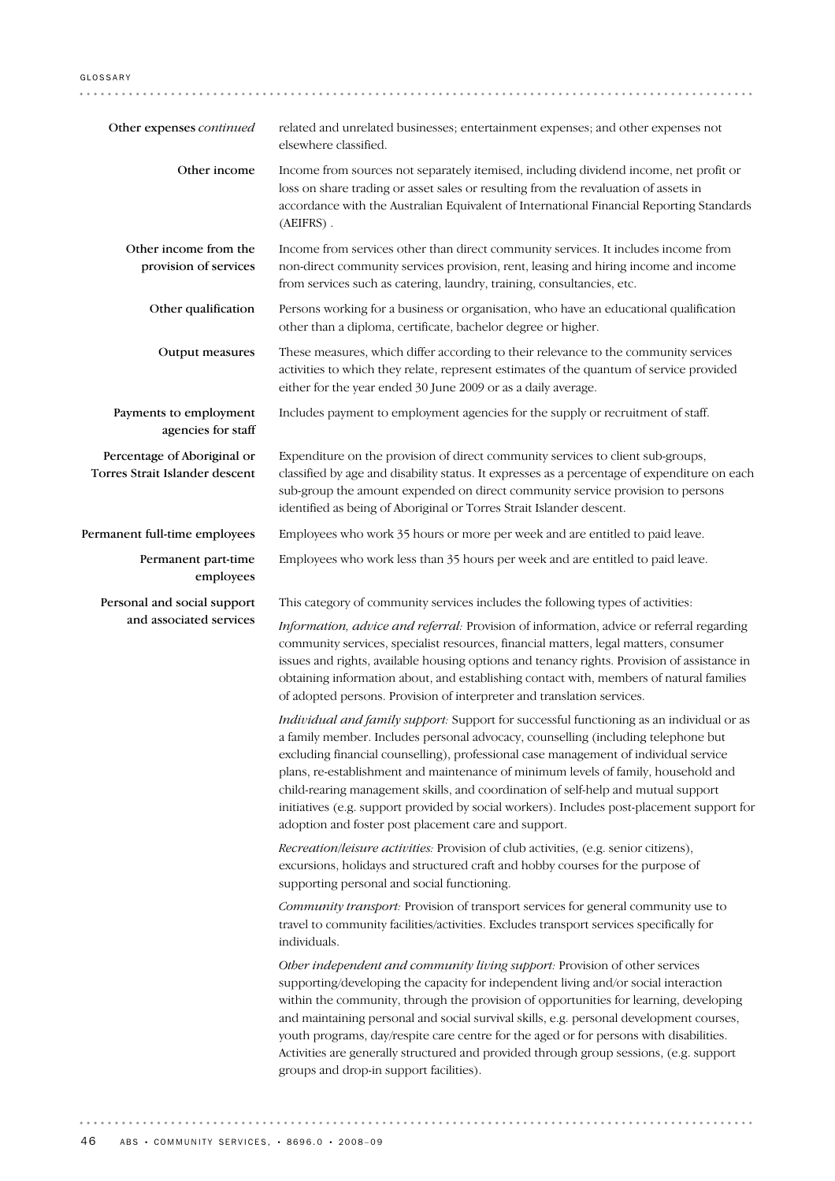#### GLOSSARY

| Other expenses continued                                      | related and unrelated businesses; entertainment expenses; and other expenses not<br>elsewhere classified.                                                                                                                                                                                                                                                                                                                                                                                                                                                                                              |
|---------------------------------------------------------------|--------------------------------------------------------------------------------------------------------------------------------------------------------------------------------------------------------------------------------------------------------------------------------------------------------------------------------------------------------------------------------------------------------------------------------------------------------------------------------------------------------------------------------------------------------------------------------------------------------|
| Other income                                                  | Income from sources not separately itemised, including dividend income, net profit or<br>loss on share trading or asset sales or resulting from the revaluation of assets in<br>accordance with the Australian Equivalent of International Financial Reporting Standards<br>(AEIFRS).                                                                                                                                                                                                                                                                                                                  |
| Other income from the<br>provision of services                | Income from services other than direct community services. It includes income from<br>non-direct community services provision, rent, leasing and hiring income and income<br>from services such as catering, laundry, training, consultancies, etc.                                                                                                                                                                                                                                                                                                                                                    |
| Other qualification                                           | Persons working for a business or organisation, who have an educational qualification<br>other than a diploma, certificate, bachelor degree or higher.                                                                                                                                                                                                                                                                                                                                                                                                                                                 |
| Output measures                                               | These measures, which differ according to their relevance to the community services<br>activities to which they relate, represent estimates of the quantum of service provided<br>either for the year ended 30 June 2009 or as a daily average.                                                                                                                                                                                                                                                                                                                                                        |
| Payments to employment<br>agencies for staff                  | Includes payment to employment agencies for the supply or recruitment of staff.                                                                                                                                                                                                                                                                                                                                                                                                                                                                                                                        |
| Percentage of Aboriginal or<br>Torres Strait Islander descent | Expenditure on the provision of direct community services to client sub-groups,<br>classified by age and disability status. It expresses as a percentage of expenditure on each<br>sub-group the amount expended on direct community service provision to persons<br>identified as being of Aboriginal or Torres Strait Islander descent.                                                                                                                                                                                                                                                              |
| Permanent full-time employees                                 | Employees who work 35 hours or more per week and are entitled to paid leave.                                                                                                                                                                                                                                                                                                                                                                                                                                                                                                                           |
| Permanent part-time<br>employees                              | Employees who work less than 35 hours per week and are entitled to paid leave.                                                                                                                                                                                                                                                                                                                                                                                                                                                                                                                         |
| Personal and social support                                   | This category of community services includes the following types of activities:                                                                                                                                                                                                                                                                                                                                                                                                                                                                                                                        |
| and associated services                                       | Information, advice and referral: Provision of information, advice or referral regarding<br>community services, specialist resources, financial matters, legal matters, consumer<br>issues and rights, available housing options and tenancy rights. Provision of assistance in<br>obtaining information about, and establishing contact with, members of natural families<br>of adopted persons. Provision of interpreter and translation services.                                                                                                                                                   |
|                                                               | Individual and family support: Support for successful functioning as an individual or as<br>a family member. Includes personal advocacy, counselling (including telephone but<br>excluding financial counselling), professional case management of individual service<br>plans, re-establishment and maintenance of minimum levels of family, household and<br>child-rearing management skills, and coordination of self-help and mutual support<br>initiatives (e.g. support provided by social workers). Includes post-placement support for<br>adoption and foster post placement care and support. |
|                                                               | Recreation/leisure activities: Provision of club activities, (e.g. senior citizens),<br>excursions, holidays and structured craft and hobby courses for the purpose of<br>supporting personal and social functioning.                                                                                                                                                                                                                                                                                                                                                                                  |
|                                                               | Community transport: Provision of transport services for general community use to<br>travel to community facilities/activities. Excludes transport services specifically for<br>individuals.                                                                                                                                                                                                                                                                                                                                                                                                           |
|                                                               | Other independent and community living support: Provision of other services<br>supporting/developing the capacity for independent living and/or social interaction<br>within the community, through the provision of opportunities for learning, developing<br>and maintaining personal and social survival skills, e.g. personal development courses,<br>youth programs, day/respite care centre for the aged or for persons with disabilities.<br>Activities are generally structured and provided through group sessions, (e.g. support<br>groups and drop-in support facilities).                  |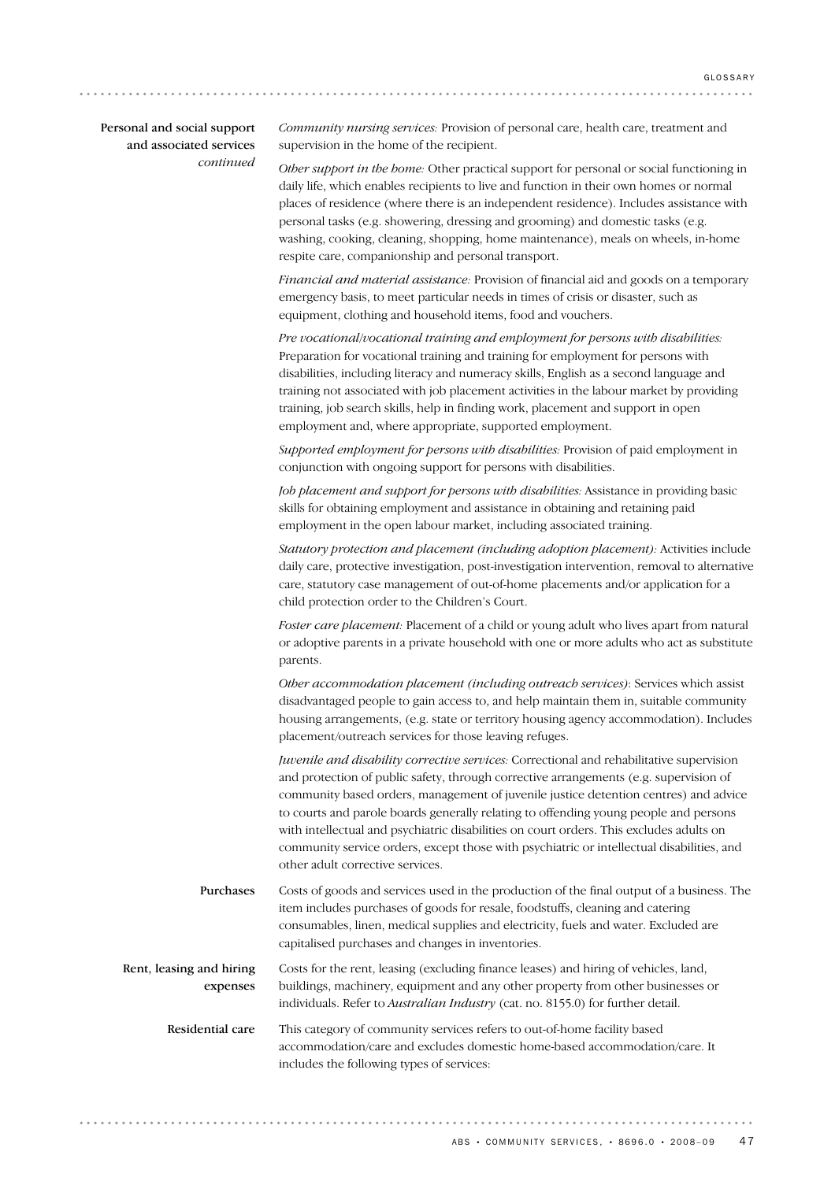| Personal and social support |
|-----------------------------|
| and associated services     |
| continued                   |

*Community nursing services:* Provision of personal care, health care, treatment and supervision in the home of the recipient.

*Other support in the home:* Other practical support for personal or social functioning in daily life, which enables recipients to live and function in their own homes or normal places of residence (where there is an independent residence). Includes assistance with personal tasks (e.g. showering, dressing and grooming) and domestic tasks (e.g. washing, cooking, cleaning, shopping, home maintenance), meals on wheels, in-home respite care, companionship and personal transport.

*Financial and material assistance:* Provision of financial aid and goods on a temporary emergency basis, to meet particular needs in times of crisis or disaster, such as equipment, clothing and household items, food and vouchers.

*Pre vocational/vocational training and employment for persons with disabilities:* Preparation for vocational training and training for employment for persons with disabilities, including literacy and numeracy skills, English as a second language and training not associated with job placement activities in the labour market by providing training, job search skills, help in finding work, placement and support in open employment and, where appropriate, supported employment.

*Supported employment for persons with disabilities:* Provision of paid employment in conjunction with ongoing support for persons with disabilities.

*Job placement and support for persons with disabilities:* Assistance in providing basic skills for obtaining employment and assistance in obtaining and retaining paid employment in the open labour market, including associated training.

*Statutory protection and placement (including adoption placement):* Activities include daily care, protective investigation, post-investigation intervention, removal to alternative care, statutory case management of out-of-home placements and/or application for a child protection order to the Children's Court.

*Foster care placement:* Placement of a child or young adult who lives apart from natural or adoptive parents in a private household with one or more adults who act as substitute parents.

*Other accommodation placement (including outreach services)*: Services which assist disadvantaged people to gain access to, and help maintain them in, suitable community housing arrangements, (e.g. state or territory housing agency accommodation). Includes placement/outreach services for those leaving refuges.

*Juvenile and disability corrective services:* Correctional and rehabilitative supervision and protection of public safety, through corrective arrangements (e.g. supervision of community based orders, management of juvenile justice detention centres) and advice to courts and parole boards generally relating to offending young people and persons with intellectual and psychiatric disabilities on court orders. This excludes adults on community service orders, except those with psychiatric or intellectual disabilities, and other adult corrective services.

Costs of goods and services used in the production of the final output of a business. The item includes purchases of goods for resale, foodstuffs, cleaning and catering consumables, linen, medical supplies and electricity, fuels and water. Excluded are capitalised purchases and changes in inventories. Purchases

Costs for the rent, leasing (excluding finance leases) and hiring of vehicles, land, buildings, machinery, equipment and any other property from other businesses or individuals. Refer to *Australian Industry* (cat. no. 8155.0) for further detail. Rent, leasing and hiring expenses

This category of community services refers to out-of-home facility based accommodation/care and excludes domestic home-based accommodation/care. It includes the following types of services: Residential care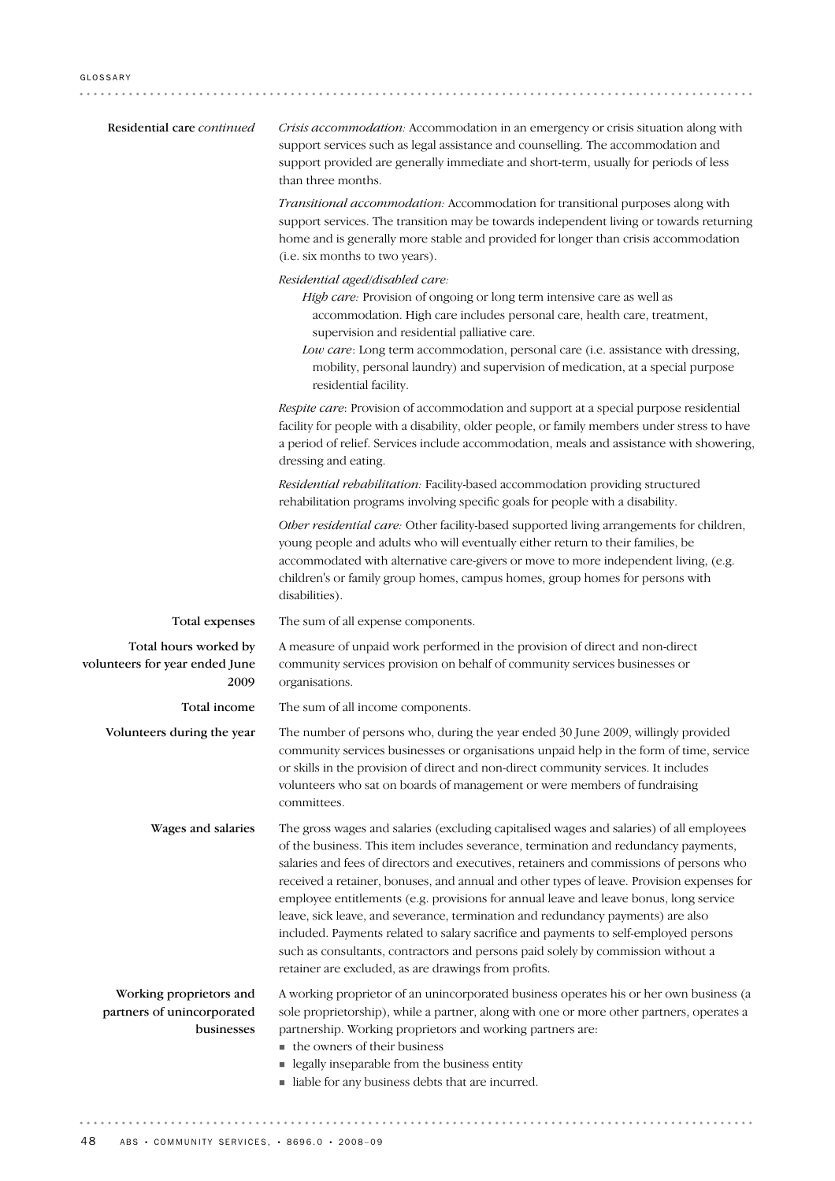| Residential care continued                                          | Crisis accommodation: Accommodation in an emergency or crisis situation along with<br>support services such as legal assistance and counselling. The accommodation and<br>support provided are generally immediate and short-term, usually for periods of less<br>than three months.                                                                                                                                                                                                                                                                                                                                                                                                                                                                                                    |
|---------------------------------------------------------------------|-----------------------------------------------------------------------------------------------------------------------------------------------------------------------------------------------------------------------------------------------------------------------------------------------------------------------------------------------------------------------------------------------------------------------------------------------------------------------------------------------------------------------------------------------------------------------------------------------------------------------------------------------------------------------------------------------------------------------------------------------------------------------------------------|
|                                                                     | Transitional accommodation: Accommodation for transitional purposes along with<br>support services. The transition may be towards independent living or towards returning<br>home and is generally more stable and provided for longer than crisis accommodation<br>(i.e. six months to two years).                                                                                                                                                                                                                                                                                                                                                                                                                                                                                     |
|                                                                     | Residential aged/disabled care:<br>High care: Provision of ongoing or long term intensive care as well as<br>accommodation. High care includes personal care, health care, treatment,<br>supervision and residential palliative care.<br>Low care: Long term accommodation, personal care (i.e. assistance with dressing,<br>mobility, personal laundry) and supervision of medication, at a special purpose<br>residential facility.                                                                                                                                                                                                                                                                                                                                                   |
|                                                                     | Respite care: Provision of accommodation and support at a special purpose residential<br>facility for people with a disability, older people, or family members under stress to have<br>a period of relief. Services include accommodation, meals and assistance with showering,<br>dressing and eating.                                                                                                                                                                                                                                                                                                                                                                                                                                                                                |
|                                                                     | Residential rehabilitation: Facility-based accommodation providing structured<br>rehabilitation programs involving specific goals for people with a disability.                                                                                                                                                                                                                                                                                                                                                                                                                                                                                                                                                                                                                         |
|                                                                     | Other residential care: Other facility-based supported living arrangements for children,<br>young people and adults who will eventually either return to their families, be<br>accommodated with alternative care-givers or move to more independent living, (e.g.<br>children's or family group homes, campus homes, group homes for persons with<br>disabilities).                                                                                                                                                                                                                                                                                                                                                                                                                    |
| Total expenses                                                      | The sum of all expense components.                                                                                                                                                                                                                                                                                                                                                                                                                                                                                                                                                                                                                                                                                                                                                      |
| Total hours worked by<br>volunteers for year ended June<br>2009     | A measure of unpaid work performed in the provision of direct and non-direct<br>community services provision on behalf of community services businesses or<br>organisations.                                                                                                                                                                                                                                                                                                                                                                                                                                                                                                                                                                                                            |
| Total income                                                        | The sum of all income components.                                                                                                                                                                                                                                                                                                                                                                                                                                                                                                                                                                                                                                                                                                                                                       |
| Volunteers during the year                                          | The number of persons who, during the year ended 30 June 2009, willingly provided<br>community services businesses or organisations unpaid help in the form of time, service<br>or skills in the provision of direct and non-direct community services. It includes<br>volunteers who sat on boards of management or were members of fundraising<br>committees.                                                                                                                                                                                                                                                                                                                                                                                                                         |
| Wages and salaries                                                  | The gross wages and salaries (excluding capitalised wages and salaries) of all employees<br>of the business. This item includes severance, termination and redundancy payments,<br>salaries and fees of directors and executives, retainers and commissions of persons who<br>received a retainer, bonuses, and annual and other types of leave. Provision expenses for<br>employee entitlements (e.g. provisions for annual leave and leave bonus, long service<br>leave, sick leave, and severance, termination and redundancy payments) are also<br>included. Payments related to salary sacrifice and payments to self-employed persons<br>such as consultants, contractors and persons paid solely by commission without a<br>retainer are excluded, as are drawings from profits. |
| Working proprietors and<br>partners of unincorporated<br>businesses | A working proprietor of an unincorporated business operates his or her own business (a<br>sole proprietorship), while a partner, along with one or more other partners, operates a<br>partnership. Working proprietors and working partners are:<br>the owners of their business<br>legally inseparable from the business entity<br>in liable for any business debts that are incurred.                                                                                                                                                                                                                                                                                                                                                                                                 |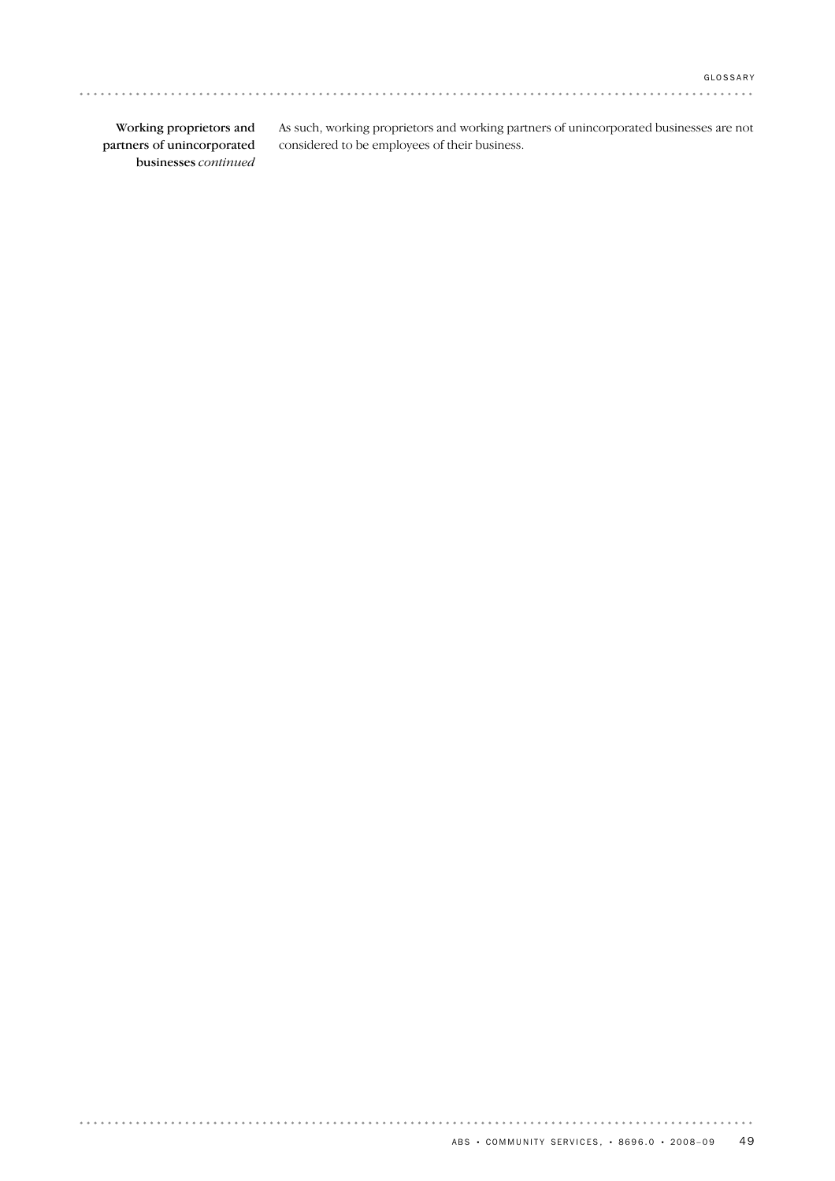. . . . . . . . . . . . . .

Working proprietors and partners of unincorporated businesses *continued*

. . . . . . . . . . . . . . . . . .

As such, working proprietors and working partners of unincorporated businesses are not considered to be employees of their business.

a a a a